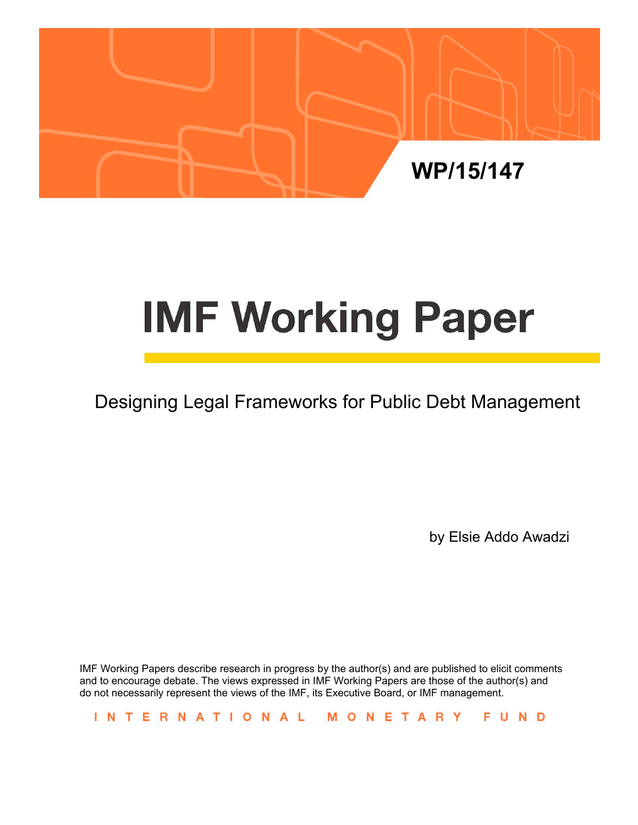

# **IMF Working Paper**

## Designing Legal Frameworks for Public Debt Management

by Elsie Addo Awadzi

IMF Working Papers describe research in progress by the author(s) and are published to elicit comments and to encourage debate. The views expressed in IMF Working Papers are those of the author(s) and do not necessarily represent the views of the IMF, its Executive Board, or IMF management.

INTERNATIONAL MONETARY FUND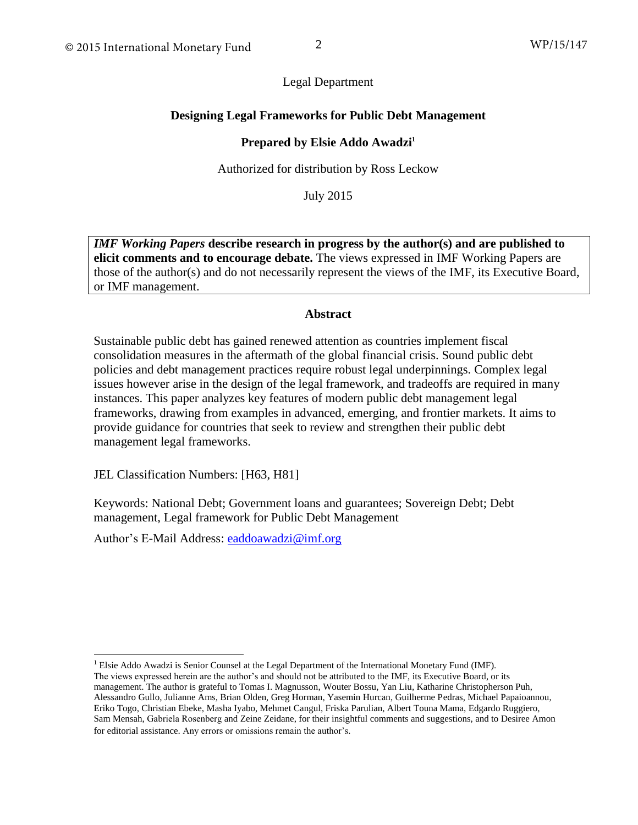Legal Department

## **Designing Legal Frameworks for Public Debt Management**

## **Prepared by Elsie Addo Awadzi<sup>1</sup>**

Authorized for distribution by Ross Leckow

July 2015

*IMF Working Papers* **describe research in progress by the author(s) and are published to elicit comments and to encourage debate.** The views expressed in IMF Working Papers are those of the author(s) and do not necessarily represent the views of the IMF, its Executive Board, or IMF management.

#### **Abstract**

Sustainable public debt has gained renewed attention as countries implement fiscal consolidation measures in the aftermath of the global financial crisis. Sound public debt policies and debt management practices require robust legal underpinnings. Complex legal issues however arise in the design of the legal framework, and tradeoffs are required in many instances. This paper analyzes key features of modern public debt management legal frameworks, drawing from examples in advanced, emerging, and frontier markets. It aims to provide guidance for countries that seek to review and strengthen their public debt management legal frameworks.

JEL Classification Numbers: [H63, H81]

Keywords: National Debt; Government loans and guarantees; Sovereign Debt; Debt management, Legal framework for Public Debt Management

Author's E-Mail Address: [eaddoawadzi@imf.org](mailto:eaddoawadzi@imf.org)

<sup>&</sup>lt;sup>1</sup> Elsie Addo Awadzi is Senior Counsel at the Legal Department of the International Monetary Fund (IMF). The views expressed herein are the author's and should not be attributed to the IMF, its Executive Board, or its management. The author is grateful to Tomas I. Magnusson, Wouter Bossu, Yan Liu, Katharine Christopherson Puh, Alessandro Gullo, Julianne Ams, Brian Olden, Greg Horman, Yasemin Hurcan, Guilherme Pedras, Michael Papaioannou, Eriko Togo, Christian Ebeke, Masha Iyabo, Mehmet Cangul, Friska Parulian, Albert Touna Mama, Edgardo Ruggiero, Sam Mensah, Gabriela Rosenberg and Zeine Zeidane, for their insightful comments and suggestions, and to Desiree Amon for editorial assistance. Any errors or omissions remain the author's.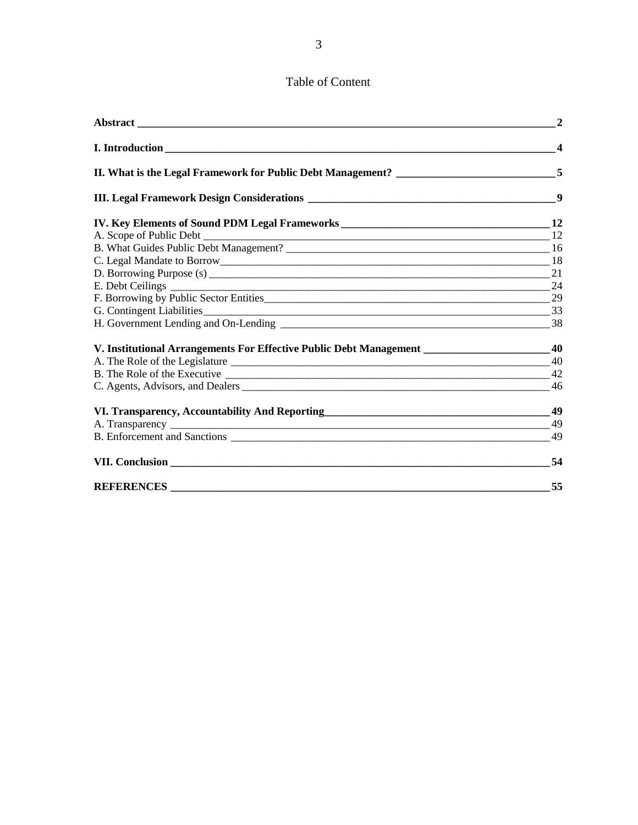## Table of Content

|                                                                                             | $\overline{2}$          |
|---------------------------------------------------------------------------------------------|-------------------------|
|                                                                                             | $\overline{\mathbf{4}}$ |
|                                                                                             |                         |
|                                                                                             | 9                       |
|                                                                                             |                         |
|                                                                                             |                         |
|                                                                                             |                         |
| C. Legal Mandate to Borrow 18                                                               |                         |
|                                                                                             |                         |
|                                                                                             |                         |
|                                                                                             |                         |
|                                                                                             |                         |
|                                                                                             |                         |
| V. Institutional Arrangements For Effective Public Debt Management ______________________40 |                         |
|                                                                                             |                         |
|                                                                                             |                         |
|                                                                                             | 46                      |
|                                                                                             |                         |
|                                                                                             |                         |
|                                                                                             | 49                      |
|                                                                                             | -54                     |
|                                                                                             | 55                      |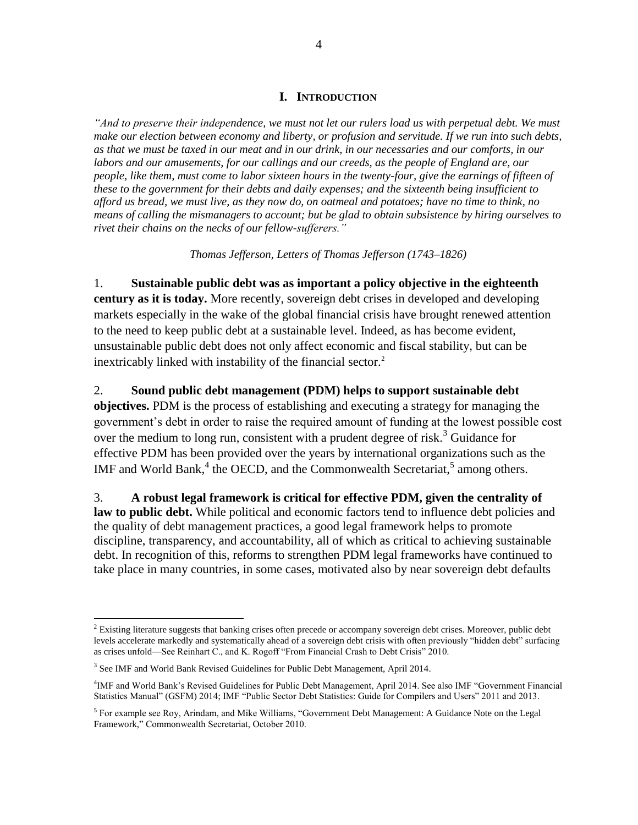#### **I. INTRODUCTION**

*"And to preserve their independence, we must not let our rulers load us with perpetual debt. We must make our election between economy and liberty, or profusion and servitude. If we run into such debts, as that we must be taxed in our meat and in our drink, in our necessaries and our comforts, in our labors and our amusements, for our callings and our creeds, as the people of England are, our people, like them, must come to labor sixteen hours in the twenty-four, give the earnings of fifteen of these to the government for their debts and daily expenses; and the sixteenth being insufficient to afford us bread, we must live, as they now do, on oatmeal and potatoes; have no time to think, no means of calling the mismanagers to account; but be glad to obtain subsistence by hiring ourselves to rivet their chains on the necks of our fellow-sufferers."* 

*Thomas Jefferson, Letters of Thomas Jefferson (1743–1826)*

1. **Sustainable public debt was as important a policy objective in the eighteenth century as it is today.** More recently, sovereign debt crises in developed and developing markets especially in the wake of the global financial crisis have brought renewed attention to the need to keep public debt at a sustainable level. Indeed, as has become evident, unsustainable public debt does not only affect economic and fiscal stability, but can be inextricably linked with instability of the financial sector.<sup>2</sup>

2. **Sound public debt management (PDM) helps to support sustainable debt objectives.** PDM is the process of establishing and executing a strategy for managing the government's debt in order to raise the required amount of funding at the lowest possible cost over the medium to long run, consistent with a prudent degree of risk.<sup>3</sup> Guidance for effective PDM has been provided over the years by international organizations such as the IMF and World Bank, $^{4}$  the OECD, and the Commonwealth Secretariat, $^{5}$  among others.

3. **A robust legal framework is critical for effective PDM, given the centrality of**  law to public debt. While political and economic factors tend to influence debt policies and the quality of debt management practices, a good legal framework helps to promote discipline, transparency, and accountability, all of which as critical to achieving sustainable debt. In recognition of this, reforms to strengthen PDM legal frameworks have continued to take place in many countries, in some cases, motivated also by near sovereign debt defaults

<sup>&</sup>lt;sup>2</sup> Existing literature suggests that banking crises often precede or accompany sovereign debt crises. Moreover, public debt levels accelerate markedly and systematically ahead of a sovereign debt crisis with often previously "hidden debt" surfacing as crises unfold—See Reinhart C., and K. Rogoff "From Financial Crash to Debt Crisis" 2010.

<sup>&</sup>lt;sup>3</sup> See IMF and World Bank Revised Guidelines for Public Debt Management, April 2014.

<sup>4</sup> IMF and World Bank's Revised Guidelines for Public Debt Management, April 2014. See also IMF "Government Financial Statistics Manual" (GSFM) 2014; IMF "Public Sector Debt Statistics: Guide for Compilers and Users" 2011 and 2013.

<sup>&</sup>lt;sup>5</sup> For example see Roy, Arindam, and Mike Williams, "Government Debt Management: A Guidance Note on the Legal Framework," Commonwealth Secretariat, October 2010.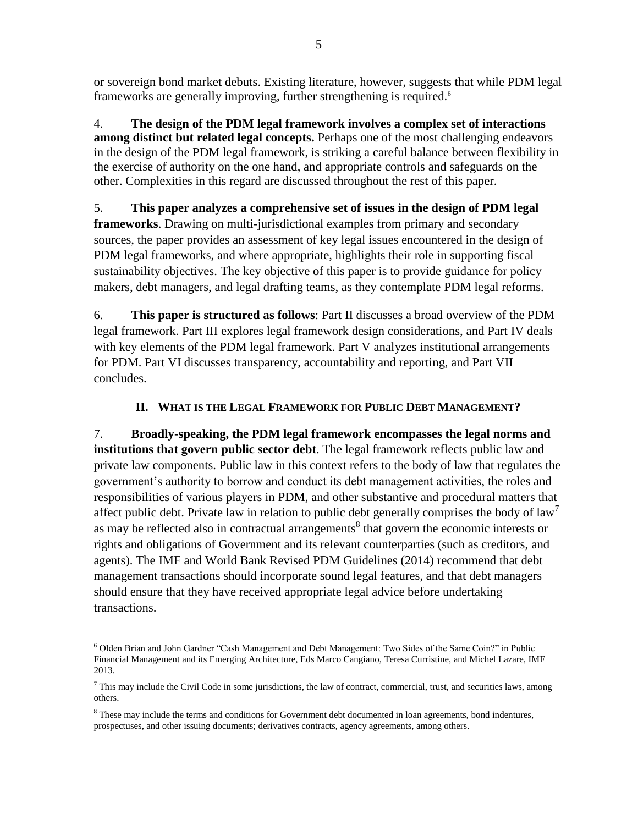or sovereign bond market debuts. Existing literature, however, suggests that while PDM legal frameworks are generally improving, further strengthening is required.<sup>6</sup>

4. **The design of the PDM legal framework involves a complex set of interactions among distinct but related legal concepts.** Perhaps one of the most challenging endeavors in the design of the PDM legal framework, is striking a careful balance between flexibility in the exercise of authority on the one hand, and appropriate controls and safeguards on the other. Complexities in this regard are discussed throughout the rest of this paper.

5. **This paper analyzes a comprehensive set of issues in the design of PDM legal frameworks**. Drawing on multi-jurisdictional examples from primary and secondary sources, the paper provides an assessment of key legal issues encountered in the design of PDM legal frameworks, and where appropriate, highlights their role in supporting fiscal sustainability objectives. The key objective of this paper is to provide guidance for policy makers, debt managers, and legal drafting teams, as they contemplate PDM legal reforms.

6. **This paper is structured as follows**: Part II discusses a broad overview of the PDM legal framework. Part III explores legal framework design considerations, and Part IV deals with key elements of the PDM legal framework. Part V analyzes institutional arrangements for PDM. Part VI discusses transparency, accountability and reporting, and Part VII concludes.

## **II. WHAT IS THE LEGAL FRAMEWORK FOR PUBLIC DEBT MANAGEMENT?**

7. **Broadly-speaking, the PDM legal framework encompasses the legal norms and institutions that govern public sector debt**. The legal framework reflects public law and private law components. Public law in this context refers to the body of law that regulates the government's authority to borrow and conduct its debt management activities, the roles and responsibilities of various players in PDM, and other substantive and procedural matters that affect public debt. Private law in relation to public debt generally comprises the body of law<sup>7</sup> as may be reflected also in contractual arrangements<sup>8</sup> that govern the economic interests or rights and obligations of Government and its relevant counterparties (such as creditors, and agents). The IMF and World Bank Revised PDM Guidelines (2014) recommend that debt management transactions should incorporate sound legal features, and that debt managers should ensure that they have received appropriate legal advice before undertaking transactions.

 $\overline{a}$ <sup>6</sup> Olden Brian and John Gardner "Cash Management and Debt Management: Two Sides of the Same Coin?" in Public Financial Management and its Emerging Architecture, Eds Marco Cangiano, Teresa Curristine, and Michel Lazare, IMF 2013.

 $7$  This may include the Civil Code in some jurisdictions, the law of contract, commercial, trust, and securities laws, among others.

<sup>&</sup>lt;sup>8</sup> These may include the terms and conditions for Government debt documented in loan agreements, bond indentures, prospectuses, and other issuing documents; derivatives contracts, agency agreements, among others.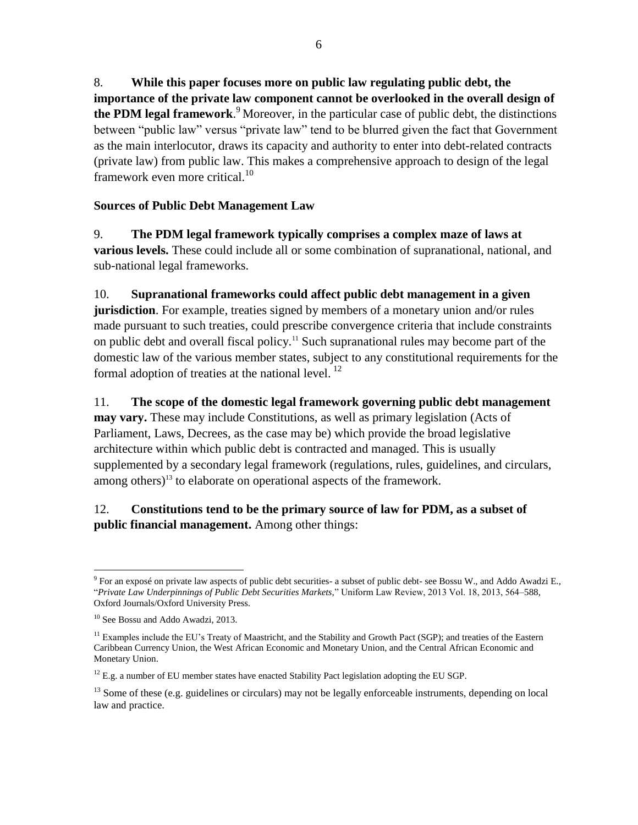8. **While this paper focuses more on public law regulating public debt, the importance of the private law component cannot be overlooked in the overall design of the PDM legal framework**. <sup>9</sup> Moreover, in the particular case of public debt, the distinctions between "public law" versus "private law" tend to be blurred given the fact that Government as the main interlocutor, draws its capacity and authority to enter into debt-related contracts (private law) from public law. This makes a comprehensive approach to design of the legal framework even more critical. $^{10}$ 

## **Sources of Public Debt Management Law**

9. **The PDM legal framework typically comprises a complex maze of laws at various levels.** These could include all or some combination of supranational, national, and sub-national legal frameworks.

10. **Supranational frameworks could affect public debt management in a given jurisdiction**. For example, treaties signed by members of a monetary union and/or rules made pursuant to such treaties, could prescribe convergence criteria that include constraints on public debt and overall fiscal policy.<sup>11</sup> Such supranational rules may become part of the domestic law of the various member states, subject to any constitutional requirements for the formal adoption of treaties at the national level.  $^{12}$ 

11. **The scope of the domestic legal framework governing public debt management may vary.** These may include Constitutions, as well as primary legislation (Acts of Parliament, Laws, Decrees, as the case may be) which provide the broad legislative architecture within which public debt is contracted and managed. This is usually supplemented by a secondary legal framework (regulations, rules, guidelines, and circulars, among others)<sup>13</sup> to elaborate on operational aspects of the framework.

## 12. **Constitutions tend to be the primary source of law for PDM, as a subset of public financial management.** Among other things:

 $\overline{a}$  $9$  For an exposé on private law aspects of public debt securities- a subset of public debt- see Bossu W., and Addo Awadzi E., "*Private Law Underpinnings of Public Debt Securities Markets,*" Uniform Law Review, 2013 Vol. 18, 2013, 564–588, Oxford Journals/Oxford University Press.

<sup>&</sup>lt;sup>10</sup> See Bossu and Addo Awadzi, 2013.

<sup>&</sup>lt;sup>11</sup> Examples include the EU's Treaty of Maastricht, and the Stability and Growth Pact (SGP); and treaties of the Eastern Caribbean Currency Union, the West African Economic and Monetary Union, and the Central African Economic and Monetary Union.

 $12$  E.g. a number of EU member states have enacted Stability Pact legislation adopting the EU SGP.

<sup>&</sup>lt;sup>13</sup> Some of these (e.g. guidelines or circulars) may not be legally enforceable instruments, depending on local law and practice.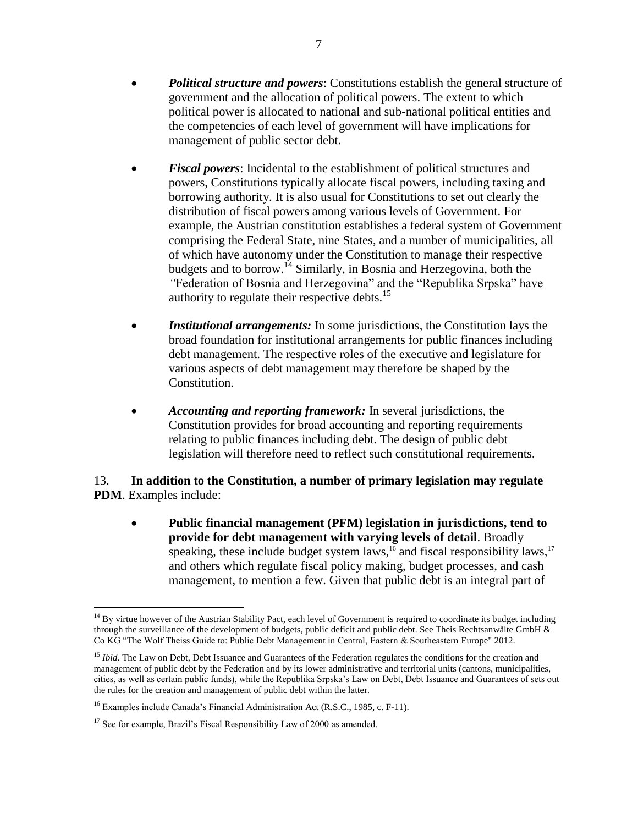- *Political structure and powers*: Constitutions establish the general structure of government and the allocation of political powers. The extent to which political power is allocated to national and sub-national political entities and the competencies of each level of government will have implications for management of public sector debt.
- *Fiscal powers*: Incidental to the establishment of political structures and powers, Constitutions typically allocate fiscal powers, including taxing and borrowing authority. It is also usual for Constitutions to set out clearly the distribution of fiscal powers among various levels of Government. For example, the Austrian constitution establishes a federal system of Government comprising the Federal State, nine States, and a number of municipalities, all of which have autonomy under the Constitution to manage their respective budgets and to borrow.<sup>14</sup> Similarly, in Bosnia and Herzegovina*,* both the *"*Federation of Bosnia and Herzegovina" and the "Republika Srpska" have authority to regulate their respective debts.<sup>15</sup>
- *Institutional arrangements:* In some jurisdictions, the Constitution lays the broad foundation for institutional arrangements for public finances including debt management. The respective roles of the executive and legislature for various aspects of debt management may therefore be shaped by the Constitution.
- *Accounting and reporting framework:* In several jurisdictions, the Constitution provides for broad accounting and reporting requirements relating to public finances including debt. The design of public debt legislation will therefore need to reflect such constitutional requirements.

## 13. **In addition to the Constitution, a number of primary legislation may regulate PDM**. Examples include:

 **Public financial management (PFM) legislation in jurisdictions, tend to provide for debt management with varying levels of detail**. Broadly speaking, these include budget system laws,<sup>16</sup> and fiscal responsibility laws,<sup>17</sup> and others which regulate fiscal policy making, budget processes, and cash management, to mention a few. Given that public debt is an integral part of

 $\overline{a}$  $14$  By virtue however of the Austrian Stability Pact, each level of Government is required to coordinate its budget including through the surveillance of the development of budgets, public deficit and public debt. See Theis Rechtsanwälte GmbH  $\&$ Co KG "The Wolf Theiss Guide to: Public Debt Management in Central, Eastern & Southeastern Europe" 2012.

<sup>&</sup>lt;sup>15</sup> *Ibid*. The Law on Debt, Debt Issuance and Guarantees of the Federation regulates the conditions for the creation and management of public debt by the Federation and by its lower administrative and territorial units (cantons, municipalities, cities, as well as certain public funds), while the Republika Srpska's Law on Debt, Debt Issuance and Guarantees of sets out the rules for the creation and management of public debt within the latter.

<sup>&</sup>lt;sup>16</sup> Examples include Canada's Financial Administration Act (R.S.C., 1985, c. F-11).

<sup>&</sup>lt;sup>17</sup> See for example, Brazil's Fiscal Responsibility Law of 2000 as amended.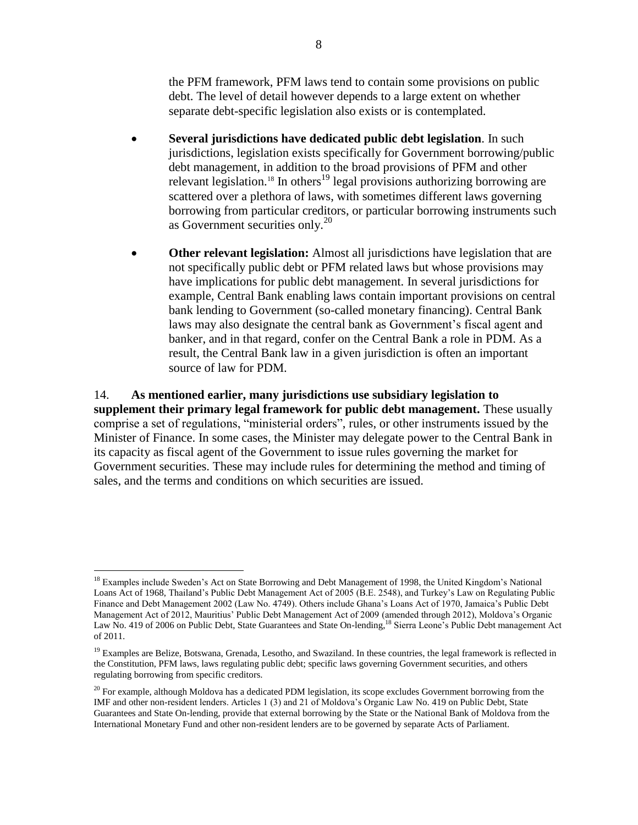the PFM framework, PFM laws tend to contain some provisions on public debt. The level of detail however depends to a large extent on whether separate debt-specific legislation also exists or is contemplated.

- **Several jurisdictions have dedicated public debt legislation**. In such jurisdictions, legislation exists specifically for Government borrowing/public debt management, in addition to the broad provisions of PFM and other relevant legislation.<sup>18</sup> In others<sup>19</sup> legal provisions authorizing borrowing are scattered over a plethora of laws, with sometimes different laws governing borrowing from particular creditors, or particular borrowing instruments such as Government securities only.<sup>20</sup>
- **Other relevant legislation:** Almost all jurisdictions have legislation that are not specifically public debt or PFM related laws but whose provisions may have implications for public debt management. In several jurisdictions for example, Central Bank enabling laws contain important provisions on central bank lending to Government (so-called monetary financing). Central Bank laws may also designate the central bank as Government's fiscal agent and banker, and in that regard, confer on the Central Bank a role in PDM. As a result, the Central Bank law in a given jurisdiction is often an important source of law for PDM.

14. **As mentioned earlier, many jurisdictions use subsidiary legislation to supplement their primary legal framework for public debt management.** These usually comprise a set of regulations, "ministerial orders", rules, or other instruments issued by the Minister of Finance. In some cases, the Minister may delegate power to the Central Bank in its capacity as fiscal agent of the Government to issue rules governing the market for Government securities. These may include rules for determining the method and timing of sales, and the terms and conditions on which securities are issued.

<sup>&</sup>lt;sup>18</sup> Examples include Sweden's Act on State Borrowing and Debt Management of 1998, the United Kingdom's National Loans Act of 1968, Thailand's Public Debt Management Act of 2005 (B.E. 2548), and Turkey's Law on Regulating Public Finance and Debt Management 2002 (Law No. 4749). Others include Ghana's Loans Act of 1970, Jamaica's Public Debt Management Act of 2012, Mauritius' Public Debt Management Act of 2009 (amended through 2012), Moldova's Organic Law No. 419 of 2006 on Public Debt, State Guarantees and State On-lending, <sup>18</sup> Sierra Leone's Public Debt management Act of 2011.

<sup>&</sup>lt;sup>19</sup> Examples are Belize, Botswana, Grenada, Lesotho, and Swaziland. In these countries, the legal framework is reflected in the Constitution, PFM laws, laws regulating public debt; specific laws governing Government securities, and others regulating borrowing from specific creditors.

 $20$  For example, although Moldova has a dedicated PDM legislation, its scope excludes Government borrowing from the IMF and other non-resident lenders. Articles 1 (3) and 21 of Moldova's Organic Law No. 419 on Public Debt, State Guarantees and State On-lending, provide that external borrowing by the State or the National Bank of Moldova from the International Monetary Fund and other non-resident lenders are to be governed by separate Acts of Parliament.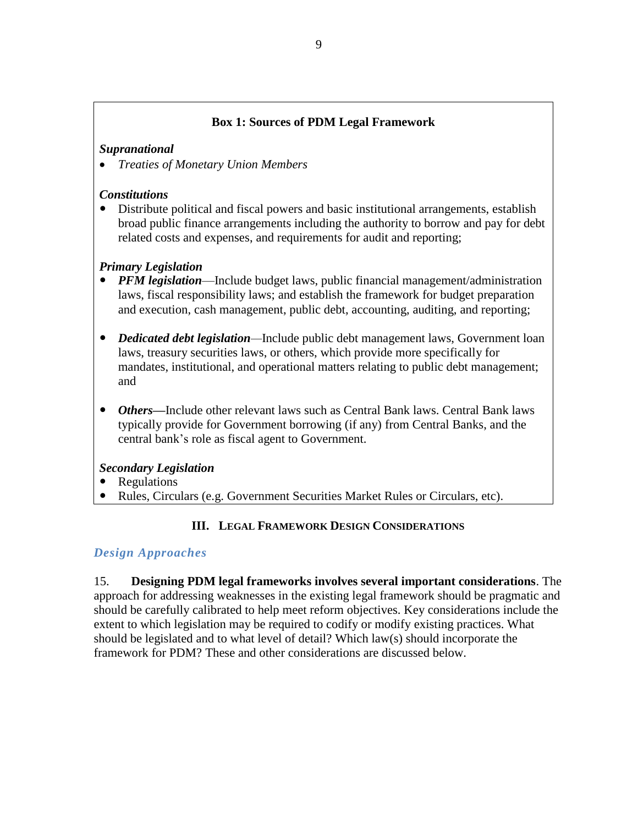## **Box 1: Sources of PDM Legal Framework**

#### *Supranational*

*Treaties of Monetary Union Members*

## *Constitutions*

 Distribute political and fiscal powers and basic institutional arrangements, establish broad public finance arrangements including the authority to borrow and pay for debt related costs and expenses, and requirements for audit and reporting;

## *Primary Legislation*

- *PFM legislation*—Include budget laws, public financial management/administration laws, fiscal responsibility laws; and establish the framework for budget preparation and execution, cash management, public debt, accounting, auditing, and reporting;
- *Dedicated debt legislation—*Include public debt management laws, Government loan laws, treasury securities laws, or others, which provide more specifically for mandates, institutional, and operational matters relating to public debt management; and
- *Others—*Include other relevant laws such as Central Bank laws. Central Bank laws typically provide for Government borrowing (if any) from Central Banks, and the central bank's role as fiscal agent to Government.

#### *Secondary Legislation*

- Regulations
- Rules, Circulars (e.g. Government Securities Market Rules or Circulars, etc).

## **III. LEGAL FRAMEWORK DESIGN CONSIDERATIONS**

## *Design Approaches*

15. **Designing PDM legal frameworks involves several important considerations**. The approach for addressing weaknesses in the existing legal framework should be pragmatic and should be carefully calibrated to help meet reform objectives. Key considerations include the extent to which legislation may be required to codify or modify existing practices. What should be legislated and to what level of detail? Which law(s) should incorporate the framework for PDM? These and other considerations are discussed below.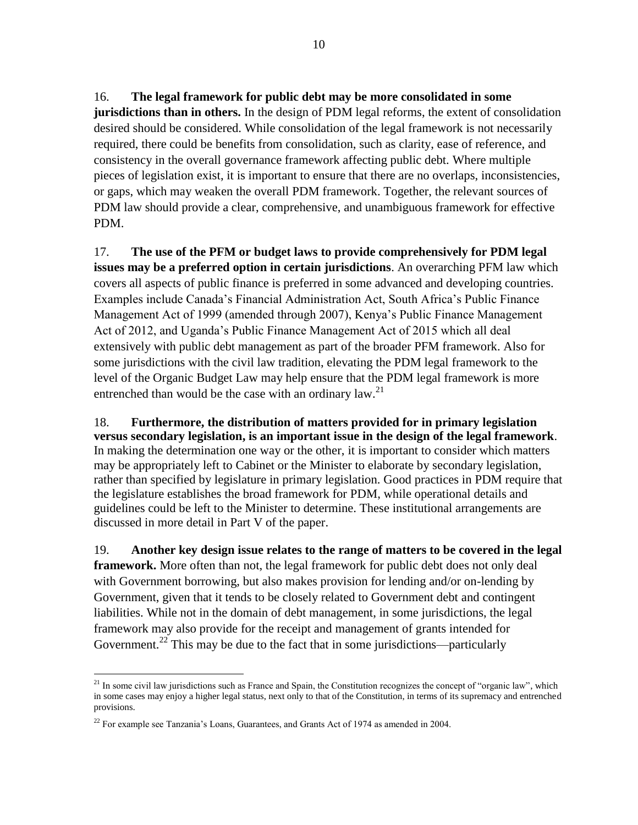16. **The legal framework for public debt may be more consolidated in some jurisdictions than in others.** In the design of PDM legal reforms, the extent of consolidation desired should be considered. While consolidation of the legal framework is not necessarily required, there could be benefits from consolidation, such as clarity, ease of reference, and consistency in the overall governance framework affecting public debt. Where multiple pieces of legislation exist, it is important to ensure that there are no overlaps, inconsistencies, or gaps, which may weaken the overall PDM framework. Together, the relevant sources of PDM law should provide a clear, comprehensive, and unambiguous framework for effective PDM.

17. **The use of the PFM or budget laws to provide comprehensively for PDM legal issues may be a preferred option in certain jurisdictions**. An overarching PFM law which covers all aspects of public finance is preferred in some advanced and developing countries. Examples include Canada's Financial Administration Act, South Africa's Public Finance Management Act of 1999 (amended through 2007), Kenya's Public Finance Management Act of 2012, and Uganda's Public Finance Management Act of 2015 which all deal extensively with public debt management as part of the broader PFM framework. Also for some jurisdictions with the civil law tradition, elevating the PDM legal framework to the level of the Organic Budget Law may help ensure that the PDM legal framework is more entrenched than would be the case with an ordinary law. $2<sup>1</sup>$ 

18. **Furthermore, the distribution of matters provided for in primary legislation versus secondary legislation, is an important issue in the design of the legal framework**. In making the determination one way or the other, it is important to consider which matters may be appropriately left to Cabinet or the Minister to elaborate by secondary legislation, rather than specified by legislature in primary legislation. Good practices in PDM require that the legislature establishes the broad framework for PDM, while operational details and guidelines could be left to the Minister to determine. These institutional arrangements are discussed in more detail in Part V of the paper.

19. **Another key design issue relates to the range of matters to be covered in the legal framework.** More often than not, the legal framework for public debt does not only deal with Government borrowing, but also makes provision for lending and/or on-lending by Government, given that it tends to be closely related to Government debt and contingent liabilities. While not in the domain of debt management, in some jurisdictions, the legal framework may also provide for the receipt and management of grants intended for Government.<sup>22</sup> This may be due to the fact that in some jurisdictions—particularly

<sup>&</sup>lt;sup>21</sup> In some civil law jurisdictions such as France and Spain, the Constitution recognizes the concept of "organic law", which in some cases may enjoy a higher legal status, next only to that of the Constitution, in terms of its supremacy and entrenched provisions.

 $^{22}$  For example see Tanzania's Loans, Guarantees, and Grants Act of 1974 as amended in 2004.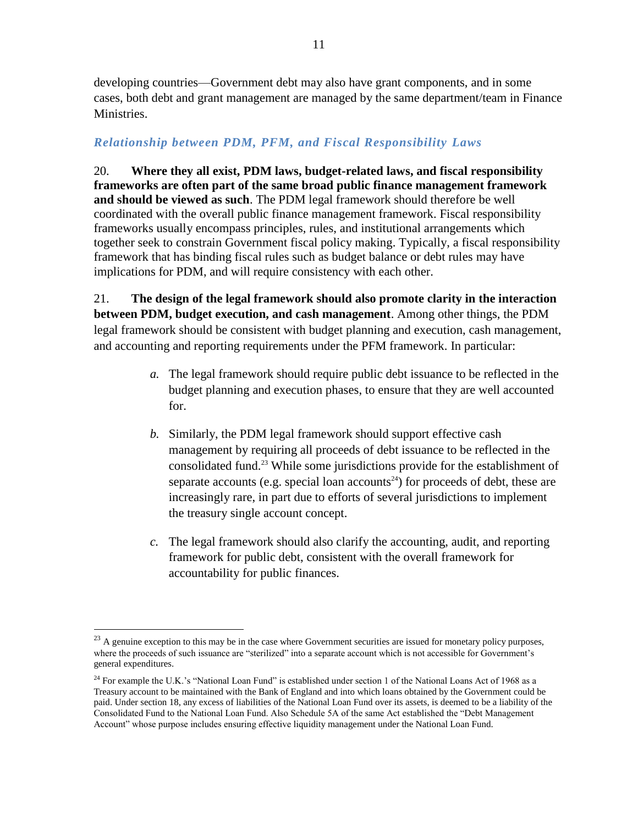developing countries—Government debt may also have grant components, and in some cases, both debt and grant management are managed by the same department/team in Finance Ministries.

## *Relationship between PDM, PFM, and Fiscal Responsibility Laws*

20. **Where they all exist, PDM laws, budget-related laws, and fiscal responsibility frameworks are often part of the same broad public finance management framework and should be viewed as such**. The PDM legal framework should therefore be well coordinated with the overall public finance management framework. Fiscal responsibility frameworks usually encompass principles, rules, and institutional arrangements which together seek to constrain Government fiscal policy making. Typically, a fiscal responsibility framework that has binding fiscal rules such as budget balance or debt rules may have implications for PDM, and will require consistency with each other.

21. **The design of the legal framework should also promote clarity in the interaction between PDM, budget execution, and cash management**. Among other things, the PDM legal framework should be consistent with budget planning and execution, cash management, and accounting and reporting requirements under the PFM framework. In particular:

- *a.* The legal framework should require public debt issuance to be reflected in the budget planning and execution phases, to ensure that they are well accounted for.
- *b.* Similarly, the PDM legal framework should support effective cash management by requiring all proceeds of debt issuance to be reflected in the consolidated fund. <sup>23</sup> While some jurisdictions provide for the establishment of separate accounts (e.g. special loan accounts<sup>24</sup>) for proceeds of debt, these are increasingly rare, in part due to efforts of several jurisdictions to implement the treasury single account concept.
- *c.* The legal framework should also clarify the accounting, audit, and reporting framework for public debt, consistent with the overall framework for accountability for public finances.

 $23$  A genuine exception to this may be in the case where Government securities are issued for monetary policy purposes, where the proceeds of such issuance are "sterilized" into a separate account which is not accessible for Government's general expenditures.

<sup>&</sup>lt;sup>24</sup> For example the U.K.'s "National Loan Fund" is established under section 1 of the National Loans Act of 1968 as a Treasury account to be maintained with the Bank of England and into which loans obtained by the Government could be paid. Under section 18, any excess of liabilities of the National Loan Fund over its assets, is deemed to be a liability of the Consolidated Fund to the National Loan Fund. Also Schedule 5A of the same Act established the "Debt Management Account" whose purpose includes ensuring effective liquidity management under the National Loan Fund.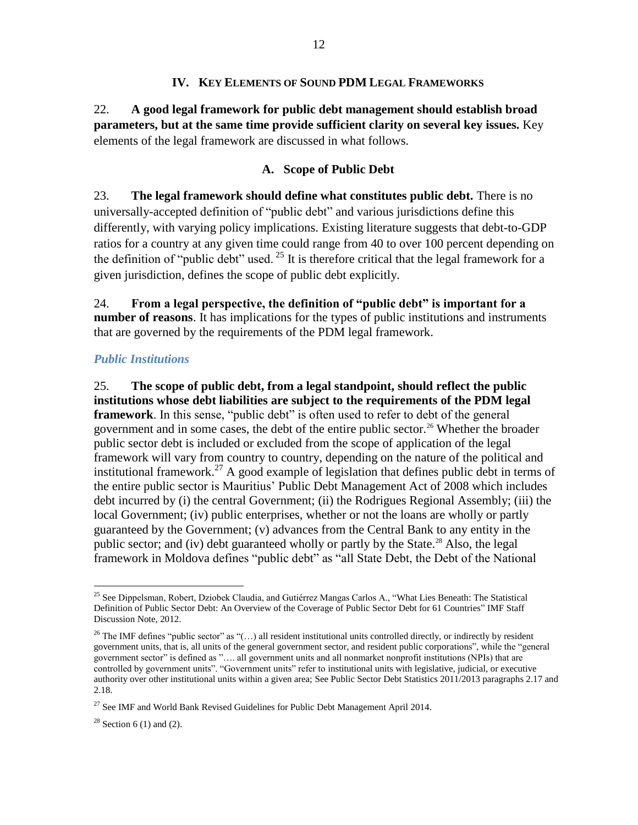#### **IV. KEY ELEMENTS OF SOUND PDM LEGAL FRAMEWORKS**

22. **A good legal framework for public debt management should establish broad parameters, but at the same time provide sufficient clarity on several key issues.** Key elements of the legal framework are discussed in what follows.

## **A. Scope of Public Debt**

23. **The legal framework should define what constitutes public debt.** There is no universally-accepted definition of "public debt" and various jurisdictions define this differently, with varying policy implications. Existing literature suggests that debt-to-GDP ratios for a country at any given time could range from 40 to over 100 percent depending on the definition of "public debt" used.  $^{25}$  It is therefore critical that the legal framework for a given jurisdiction, defines the scope of public debt explicitly.

24. **From a legal perspective, the definition of "public debt" is important for a number of reasons**. It has implications for the types of public institutions and instruments that are governed by the requirements of the PDM legal framework.

## *Public Institutions*

25. **The scope of public debt, from a legal standpoint, should reflect the public institutions whose debt liabilities are subject to the requirements of the PDM legal framework**. In this sense, "public debt" is often used to refer to debt of the general government and in some cases, the debt of the entire public sector.<sup>26</sup> Whether the broader public sector debt is included or excluded from the scope of application of the legal framework will vary from country to country, depending on the nature of the political and institutional framework.<sup>27</sup> A good example of legislation that defines public debt in terms of the entire public sector is Mauritius' Public Debt Management Act of 2008 which includes debt incurred by (i) the central Government; (ii) the Rodrigues Regional Assembly; (iii) the local Government; (iv) public enterprises, whether or not the loans are wholly or partly guaranteed by the Government; (v) advances from the Central Bank to any entity in the public sector; and (iv) debt guaranteed wholly or partly by the State.<sup>28</sup> Also, the legal framework in Moldova defines "public debt" as "all State Debt, the Debt of the National

 $28$  Section 6 (1) and (2).

 $\overline{a}$ <sup>25</sup> See Dippelsman, Robert, Dziobek Claudia, and Gutiérrez Mangas Carlos A., "What Lies Beneath: The Statistical Definition of Public Sector Debt: An Overview of the Coverage of Public Sector Debt for 61 Countries" IMF Staff Discussion Note, 2012.

<sup>&</sup>lt;sup>26</sup> The IMF defines "public sector" as " $(...)$  all resident institutional units controlled directly, or indirectly by resident government units, that is, all units of the general government sector, and resident public corporations", while the "general government sector" is defined as "…. all government units and all nonmarket nonprofit institutions (NPIs) that are controlled by government units". "Government units" refer to institutional units with legislative, judicial, or executive authority over other institutional units within a given area; See Public Sector Debt Statistics 2011/2013 paragraphs 2.17 and 2.18.

 $27$  See IMF and World Bank Revised Guidelines for Public Debt Management April 2014.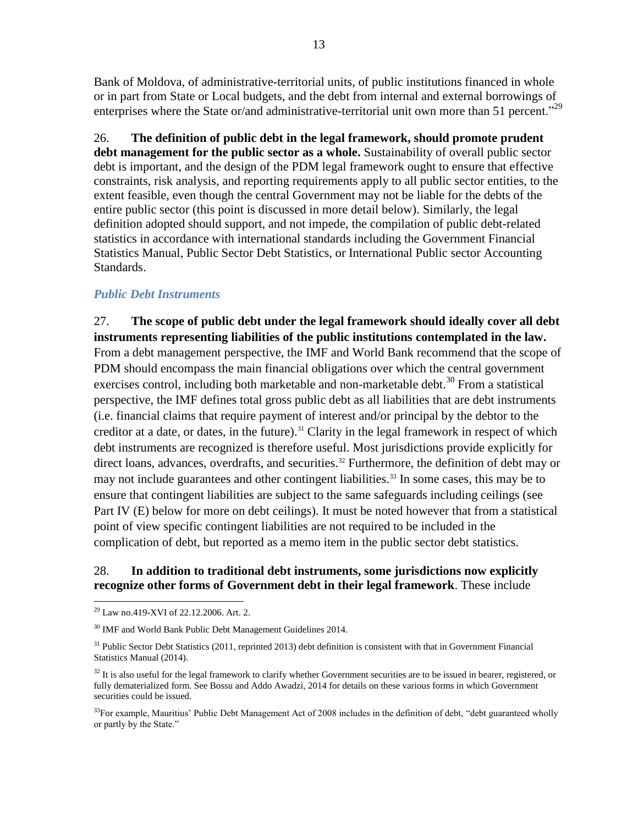Bank of Moldova, of administrative-territorial units, of public institutions financed in whole or in part from State or Local budgets, and the debt from internal and external borrowings of enterprises where the State or/and administrative-territorial unit own more than 51 percent."<sup>29</sup>

26. **The definition of public debt in the legal framework, should promote prudent debt management for the public sector as a whole.** Sustainability of overall public sector debt is important, and the design of the PDM legal framework ought to ensure that effective constraints, risk analysis, and reporting requirements apply to all public sector entities, to the extent feasible, even though the central Government may not be liable for the debts of the entire public sector (this point is discussed in more detail below). Similarly, the legal definition adopted should support, and not impede, the compilation of public debt-related statistics in accordance with international standards including the Government Financial Statistics Manual, Public Sector Debt Statistics, or International Public sector Accounting Standards.

#### *Public Debt Instruments*

27. **The scope of public debt under the legal framework should ideally cover all debt instruments representing liabilities of the public institutions contemplated in the law.**  From a debt management perspective, the IMF and World Bank recommend that the scope of PDM should encompass the main financial obligations over which the central government exercises control, including both marketable and non-marketable debt.<sup>30</sup> From a statistical perspective, the IMF defines total gross public debt as all liabilities that are debt instruments (i.e. financial claims that require payment of interest and/or principal by the debtor to the creditor at a date, or dates, in the future). <sup>31</sup> Clarity in the legal framework in respect of which debt instruments are recognized is therefore useful. Most jurisdictions provide explicitly for direct loans, advances, overdrafts, and securities. <sup>32</sup> Furthermore, the definition of debt may or may not include guarantees and other contingent liabilities.<sup>33</sup> In some cases, this may be to ensure that contingent liabilities are subject to the same safeguards including ceilings (see Part IV (E) below for more on debt ceilings). It must be noted however that from a statistical point of view specific contingent liabilities are not required to be included in the complication of debt, but reported as a memo item in the public sector debt statistics.

#### 28. **In addition to traditional debt instruments, some jurisdictions now explicitly recognize other forms of Government debt in their legal framework**. These include

 $\overline{a}$ <sup>29</sup> Law no.419-XVI of 22.12.2006. Art. 2.

<sup>&</sup>lt;sup>30</sup> IMF and World Bank Public Debt Management Guidelines 2014.

 $31$  Public Sector Debt Statistics (2011, reprinted 2013) debt definition is consistent with that in Government Financial Statistics Manual (2014).

<sup>&</sup>lt;sup>32</sup> It is also useful for the legal framework to clarify whether Government securities are to be issued in bearer, registered, or fully dematerialized form. See Bossu and Addo Awadzi, 2014 for details on these various forms in which Government securities could be issued.

 $33$ For example, Mauritius' Public Debt Management Act of 2008 includes in the definition of debt, "debt guaranteed wholly or partly by the State."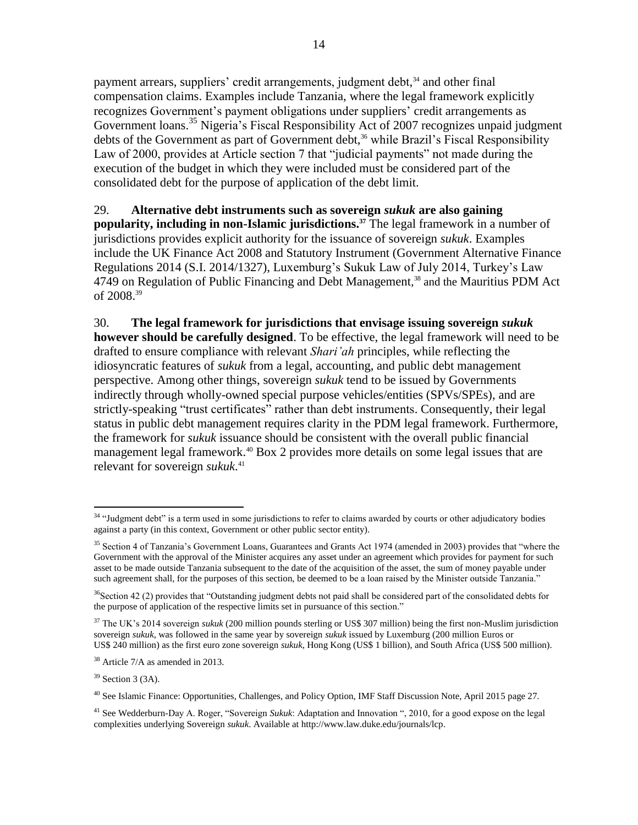payment arrears, suppliers' credit arrangements, judgment debt,<sup>34</sup> and other final compensation claims. Examples include Tanzania, where the legal framework explicitly recognizes Government's payment obligations under suppliers' credit arrangements as Government loans.<sup>35</sup> Nigeria's Fiscal Responsibility Act of 2007 recognizes unpaid judgment debts of the Government as part of Government debt,<sup>36</sup> while Brazil's Fiscal Responsibility Law of 2000, provides at Article section 7 that "judicial payments" not made during the execution of the budget in which they were included must be considered part of the consolidated debt for the purpose of application of the debt limit.

#### 29. **Alternative debt instruments such as sovereign** *sukuk* **are also gaining popularity, including in non-Islamic jurisdictions.<sup>37</sup>** The legal framework in a number of jurisdictions provides explicit authority for the issuance of sovereign *sukuk*. Examples include the UK Finance Act 2008 and Statutory Instrument (Government Alternative Finance Regulations 2014 (S.I. 2014/1327), Luxemburg's Sukuk Law of July 2014, Turkey's Law 4749 on Regulation of Public Financing and Debt Management, <sup>38</sup> and the Mauritius PDM Act of 2008.<sup>39</sup>

30. **The legal framework for jurisdictions that envisage issuing sovereign** *sukuk* **however should be carefully designed**. To be effective, the legal framework will need to be drafted to ensure compliance with relevant *Shari'ah* principles, while reflecting the idiosyncratic features of *sukuk* from a legal, accounting, and public debt management perspective. Among other things, sovereign *sukuk* tend to be issued by Governments indirectly through wholly-owned special purpose vehicles/entities (SPVs/SPEs), and are strictly-speaking "trust certificates" rather than debt instruments. Consequently, their legal status in public debt management requires clarity in the PDM legal framework. Furthermore, the framework for *sukuk* issuance should be consistent with the overall public financial management legal framework.<sup>40</sup> Box 2 provides more details on some legal issues that are relevant for sovereign *sukuk*. 41

<sup>&</sup>lt;sup>34</sup> "Judgment debt" is a term used in some jurisdictions to refer to claims awarded by courts or other adjudicatory bodies against a party (in this context, Government or other public sector entity).

<sup>&</sup>lt;sup>35</sup> Section 4 of Tanzania's Government Loans, Guarantees and Grants Act 1974 (amended in 2003) provides that "where the Government with the approval of the Minister acquires any asset under an agreement which provides for payment for such asset to be made outside Tanzania subsequent to the date of the acquisition of the asset, the sum of money payable under such agreement shall, for the purposes of this section, be deemed to be a loan raised by the Minister outside Tanzania."

<sup>&</sup>lt;sup>36</sup>Section 42 (2) provides that "Outstanding judgment debts not paid shall be considered part of the consolidated debts for the purpose of application of the respective limits set in pursuance of this section."

<sup>&</sup>lt;sup>37</sup> The UK's 2014 sovereign *sukuk* (200 million pounds sterling or US\$ 307 million) being the first non-Muslim jurisdiction sovereign *sukuk*, was followed in the same year by sovereign *sukuk* issued by Luxemburg (200 million Euros or US\$ 240 million) as the first euro zone sovereign *sukuk*, Hong Kong (US\$ 1 billion), and South Africa (US\$ 500 million).

<sup>38</sup> Article 7/A as amended in 2013.

 $39$  Section 3 (3A).

<sup>40</sup> See Islamic Finance: Opportunities, Challenges, and Policy Option, IMF Staff Discussion Note, April 2015 page 27.

<sup>41</sup> See Wedderburn-Day A. Roger, "Sovereign *Sukuk*: Adaptation and Innovation ", 2010, for a good expose on the legal complexities underlying Sovereign *sukuk*. Available at http://www.law.duke.edu/journals/lcp.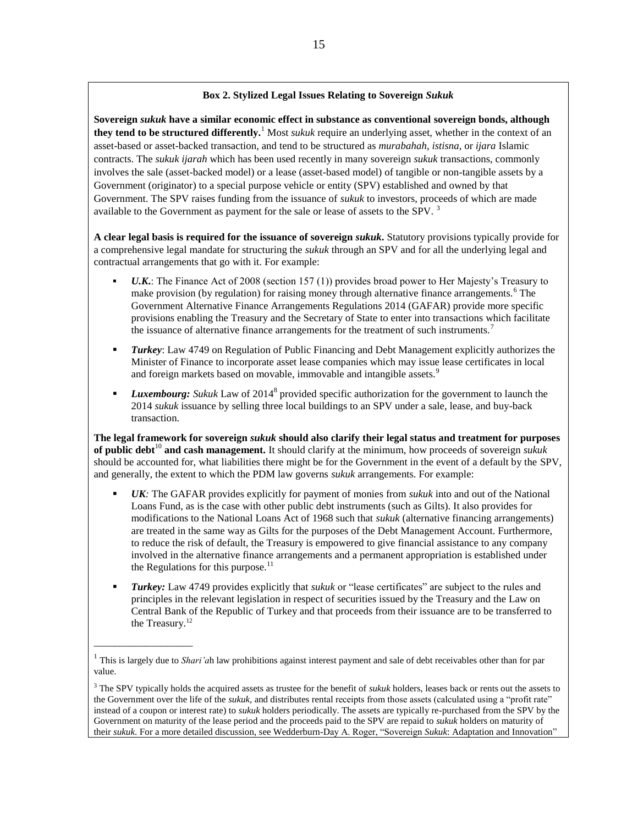#### **Box 2. Stylized Legal Issues Relating to Sovereign** *Sukuk*

**Sovereign** *sukuk* **have a similar economic effect in substance as conventional sovereign bonds, although they tend to be structured differently.**<sup>1</sup> Most *sukuk* require an underlying asset, whether in the context of an asset-based or asset-backed transaction, and tend to be structured as *murabahah*, *istisna*, or *ijara* Islamic contracts. The *sukuk ijarah* which has been used recently in many sovereign *sukuk* transactions, commonly involves the sale (asset-backed model) or a lease (asset-based model) of tangible or non-tangible assets by a Government (originator) to a special purpose vehicle or entity (SPV) established and owned by that Government. The SPV raises funding from the issuance of *sukuk* to investors, proceeds of which are made available to the Government as payment for the sale or lease of assets to the SPV.<sup>3</sup>

**A clear legal basis is required for the issuance of sovereign** *sukuk***.** Statutory provisions typically provide for a comprehensive legal mandate for structuring the *sukuk* through an SPV and for all the underlying legal and contractual arrangements that go with it. For example:

- *U.K***.**: The Finance Act of 2008 (section 157 (1)) provides broad power to Her Majesty's Treasury to make provision (by regulation) for raising money through alternative finance arrangements.<sup>6</sup> The Government Alternative Finance Arrangements Regulations 2014 (GAFAR) provide more specific provisions enabling the Treasury and the Secretary of State to enter into transactions which facilitate the issuance of alternative finance arrangements for the treatment of such instruments.<sup>7</sup>
- *Turkey*: Law 4749 on Regulation of Public Financing and Debt Management explicitly authorizes the Minister of Finance to incorporate asset lease companies which may issue lease certificates in local and foreign markets based on movable, immovable and intangible assets.<sup>9</sup>
- **Luxembourg:** Sukuk Law of 2014<sup>8</sup> provided specific authorization for the government to launch the 2014 *sukuk* issuance by selling three local buildings to an SPV under a sale, lease, and buy-back transaction.

**The legal framework for sovereign** *sukuk* **should also clarify their legal status and treatment for purposes of public debt**<sup>10</sup> **and cash management.** It should clarify at the minimum, how proceeds of sovereign *sukuk* should be accounted for, what liabilities there might be for the Government in the event of a default by the SPV, and generally, the extent to which the PDM law governs *sukuk* arrangements. For example:

- *UK:* The GAFAR provides explicitly for payment of monies from *sukuk* into and out of the National Loans Fund, as is the case with other public debt instruments (such as Gilts). It also provides for modifications to the National Loans Act of 1968 such that *sukuk* (alternative financing arrangements) are treated in the same way as Gilts for the purposes of the Debt Management Account. Furthermore, to reduce the risk of default, the Treasury is empowered to give financial assistance to any company involved in the alternative finance arrangements and a permanent appropriation is established under the Regulations for this purpose. $<sup>11</sup>$ </sup>
- *Turkey:* Law 4749 provides explicitly that *sukuk* or "lease certificates" are subject to the rules and principles in the relevant legislation in respect of securities issued by the Treasury and the Law on Central Bank of the Republic of Turkey and that proceeds from their issuance are to be transferred to the Treasury. 12

\_\_\_\_\_\_\_\_\_\_\_\_\_\_\_\_\_\_\_

<sup>&</sup>lt;sup>1</sup> This is largely due to *Shari'a*h law prohibitions against interest payment and sale of debt receivables other than for par value.

<sup>3</sup> The SPV typically holds the acquired assets as trustee for the benefit of *sukuk* holders, leases back or rents out the assets to the Government over the life of the *sukuk,* and distributes rental receipts from those assets (calculated using a "profit rate" instead of a coupon or interest rate) to *sukuk* holders periodically. The assets are typically re-purchased from the SPV by the Government on maturity of the lease period and the proceeds paid to the SPV are repaid to *sukuk* holders on maturity of their *sukuk*. For a more detailed discussion, see Wedderburn-Day A. Roger, "Sovereign *Sukuk*: Adaptation and Innovation"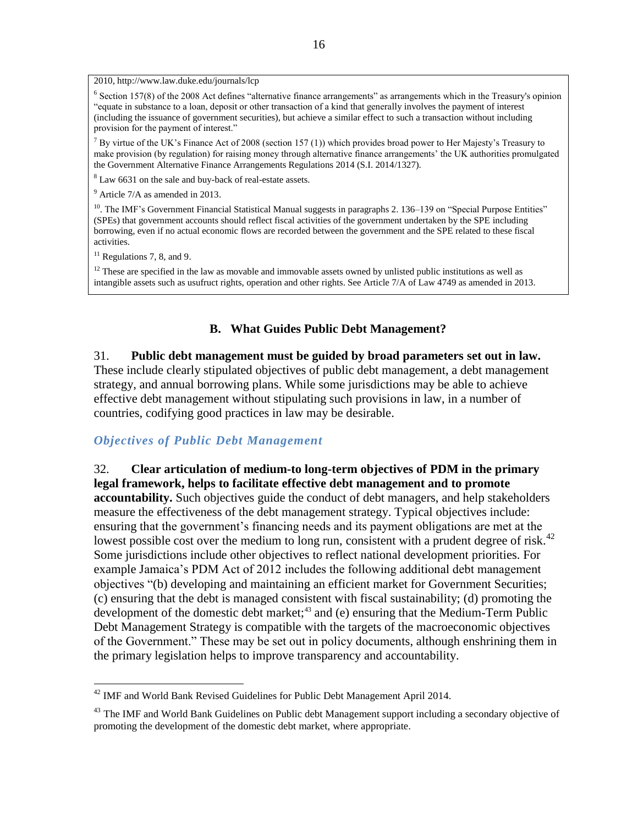2010, http://www.law.duke.edu/journals/lcp

<sup>6</sup> Section 157(8) of the 2008 Act defines "alternative finance arrangements" as arrangements which in the Treasury's opinion "equate in substance to a loan, deposit or other transaction of a kind that generally involves the payment of interest (including the issuance of government securities), but achieve a similar effect to such a transaction without including provision for the payment of interest."

<sup>7</sup> By virtue of the UK's Finance Act of 2008 (section 157 (1)) which provides broad power to Her Majesty's Treasury to make provision (by regulation) for raising money through alternative finance arrangements' the UK authorities promulgated the Government Alternative Finance Arrangements Regulations 2014 (S.I. 2014/1327).

<sup>8</sup> Law 6631 on the sale and buy-back of real-estate assets.

<sup>9</sup> Article 7/A as amended in 2013.

<sup>10</sup>. The IMF's Government Financial Statistical Manual suggests in paragraphs 2. 136–139 on "Special Purpose Entities" (SPEs) that government accounts should reflect fiscal activities of the government undertaken by the SPE including borrowing, even if no actual economic flows are recorded between the government and the SPE related to these fiscal activities.

 $11$  Regulations 7, 8, and 9.

 $\overline{a}$ 

 $12$  These are specified in the law as movable and immovable assets owned by unlisted public institutions as well as intangible assets such as usufruct rights, operation and other rights. See Article 7/A of Law 4749 as amended in 2013.

#### **B. What Guides Public Debt Management?**

#### 31. **Public debt management must be guided by broad parameters set out in law.**

These include clearly stipulated objectives of public debt management, a debt management strategy, and annual borrowing plans. While some jurisdictions may be able to achieve effective debt management without stipulating such provisions in law, in a number of countries, codifying good practices in law may be desirable.

#### *Objectives of Public Debt Management*

32. **Clear articulation of medium-to long-term objectives of PDM in the primary legal framework, helps to facilitate effective debt management and to promote accountability.** Such objectives guide the conduct of debt managers, and help stakeholders measure the effectiveness of the debt management strategy. Typical objectives include: ensuring that the government's financing needs and its payment obligations are met at the lowest possible cost over the medium to long run, consistent with a prudent degree of risk.<sup>42</sup> Some jurisdictions include other objectives to reflect national development priorities. For example Jamaica's PDM Act of 2012 includes the following additional debt management objectives "(b) developing and maintaining an efficient market for Government Securities; (c) ensuring that the debt is managed consistent with fiscal sustainability; (d) promoting the development of the domestic debt market; $43$  and (e) ensuring that the Medium-Term Public Debt Management Strategy is compatible with the targets of the macroeconomic objectives of the Government." These may be set out in policy documents, although enshrining them in the primary legislation helps to improve transparency and accountability.

 $42$  IMF and World Bank Revised Guidelines for Public Debt Management April 2014.

<sup>&</sup>lt;sup>43</sup> The IMF and World Bank Guidelines on Public debt Management support including a secondary objective of promoting the development of the domestic debt market, where appropriate.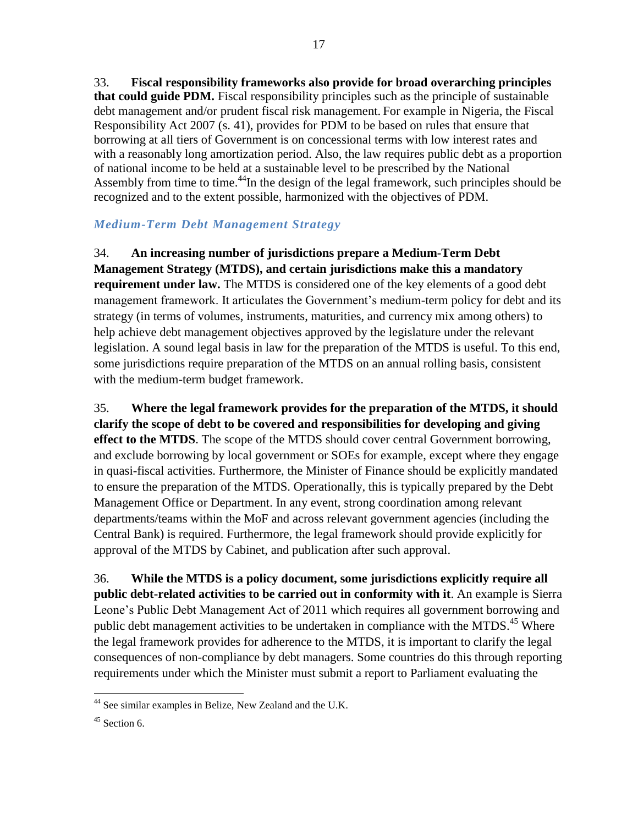33. **Fiscal responsibility frameworks also provide for broad overarching principles that could guide PDM.** Fiscal responsibility principles such as the principle of sustainable debt management and/or prudent fiscal risk management. For example in Nigeria, the Fiscal Responsibility Act 2007 (s. 41), provides for PDM to be based on rules that ensure that borrowing at all tiers of Government is on concessional terms with low interest rates and with a reasonably long amortization period. Also, the law requires public debt as a proportion of national income to be held at a sustainable level to be prescribed by the National Assembly from time to time.<sup>44</sup>In the design of the legal framework, such principles should be recognized and to the extent possible, harmonized with the objectives of PDM.

## *Medium-Term Debt Management Strategy*

34. **An increasing number of jurisdictions prepare a Medium-Term Debt Management Strategy (MTDS), and certain jurisdictions make this a mandatory requirement under law.** The MTDS is considered one of the key elements of a good debt management framework. It articulates the Government's medium-term policy for debt and its strategy (in terms of volumes, instruments, maturities, and currency mix among others) to help achieve debt management objectives approved by the legislature under the relevant legislation. A sound legal basis in law for the preparation of the MTDS is useful. To this end, some jurisdictions require preparation of the MTDS on an annual rolling basis, consistent with the medium-term budget framework.

35. **Where the legal framework provides for the preparation of the MTDS, it should clarify the scope of debt to be covered and responsibilities for developing and giving effect to the MTDS**. The scope of the MTDS should cover central Government borrowing, and exclude borrowing by local government or SOEs for example, except where they engage in quasi-fiscal activities. Furthermore, the Minister of Finance should be explicitly mandated to ensure the preparation of the MTDS. Operationally, this is typically prepared by the Debt Management Office or Department. In any event, strong coordination among relevant departments/teams within the MoF and across relevant government agencies (including the Central Bank) is required. Furthermore, the legal framework should provide explicitly for approval of the MTDS by Cabinet, and publication after such approval.

36. **While the MTDS is a policy document, some jurisdictions explicitly require all public debt-related activities to be carried out in conformity with it**. An example is Sierra Leone's Public Debt Management Act of 2011 which requires all government borrowing and public debt management activities to be undertaken in compliance with the MTDS.<sup>45</sup> Where the legal framework provides for adherence to the MTDS, it is important to clarify the legal consequences of non-compliance by debt managers. Some countries do this through reporting requirements under which the Minister must submit a report to Parliament evaluating the

 $\overline{a}$ <sup>44</sup> See similar examples in Belize, New Zealand and the U.K.

 $45$  Section 6.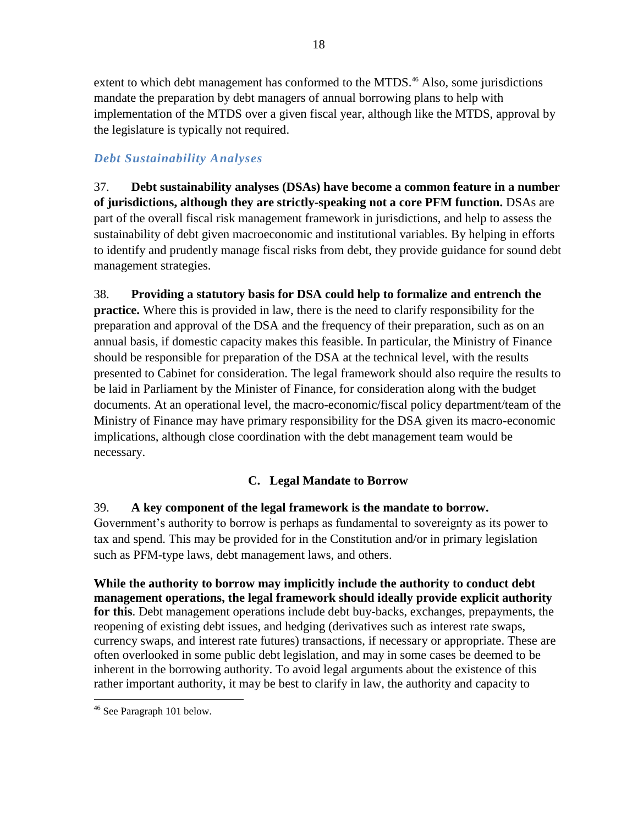extent to which debt management has conformed to the MTDS.<sup>46</sup> Also, some jurisdictions mandate the preparation by debt managers of annual borrowing plans to help with implementation of the MTDS over a given fiscal year, although like the MTDS, approval by the legislature is typically not required.

## *Debt Sustainability Analyses*

37. **Debt sustainability analyses (DSAs) have become a common feature in a number of jurisdictions, although they are strictly-speaking not a core PFM function.** DSAs are part of the overall fiscal risk management framework in jurisdictions, and help to assess the sustainability of debt given macroeconomic and institutional variables. By helping in efforts to identify and prudently manage fiscal risks from debt, they provide guidance for sound debt management strategies.

38. **Providing a statutory basis for DSA could help to formalize and entrench the practice.** Where this is provided in law, there is the need to clarify responsibility for the preparation and approval of the DSA and the frequency of their preparation, such as on an annual basis, if domestic capacity makes this feasible. In particular, the Ministry of Finance should be responsible for preparation of the DSA at the technical level, with the results presented to Cabinet for consideration. The legal framework should also require the results to be laid in Parliament by the Minister of Finance, for consideration along with the budget documents. At an operational level, the macro-economic/fiscal policy department/team of the Ministry of Finance may have primary responsibility for the DSA given its macro-economic implications, although close coordination with the debt management team would be necessary.

## **C. Legal Mandate to Borrow**

## 39. **A key component of the legal framework is the mandate to borrow.**

Government's authority to borrow is perhaps as fundamental to sovereignty as its power to tax and spend. This may be provided for in the Constitution and/or in primary legislation such as PFM-type laws, debt management laws, and others.

**While the authority to borrow may implicitly include the authority to conduct debt management operations, the legal framework should ideally provide explicit authority for this**. Debt management operations include debt buy-backs, exchanges, prepayments, the reopening of existing debt issues, and hedging (derivatives such as interest rate swaps, currency swaps, and interest rate futures) transactions, if necessary or appropriate. These are often overlooked in some public debt legislation, and may in some cases be deemed to be inherent in the borrowing authority. To avoid legal arguments about the existence of this rather important authority, it may be best to clarify in law, the authority and capacity to

 $\overline{a}$ <sup>46</sup> See Paragraph 101 below.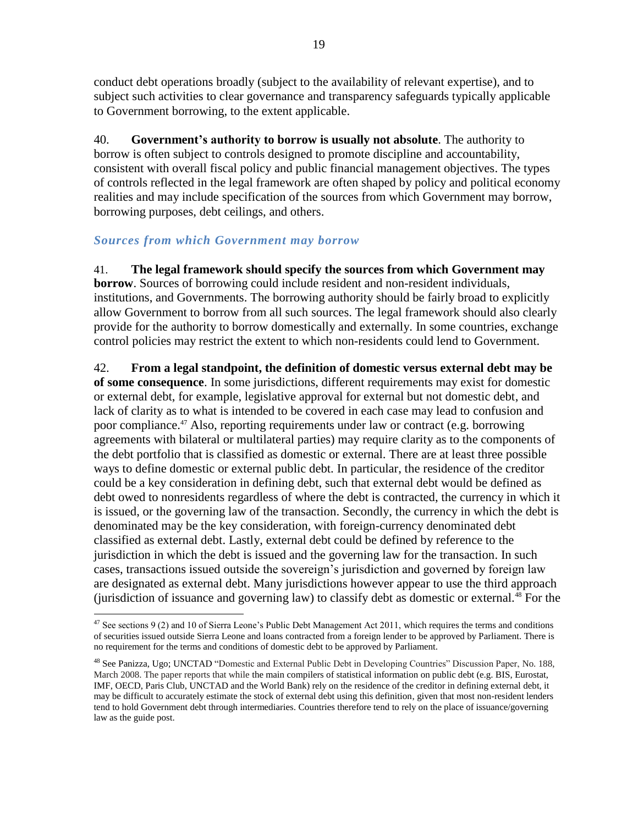conduct debt operations broadly (subject to the availability of relevant expertise), and to subject such activities to clear governance and transparency safeguards typically applicable to Government borrowing, to the extent applicable.

40. **Government's authority to borrow is usually not absolute**. The authority to borrow is often subject to controls designed to promote discipline and accountability, consistent with overall fiscal policy and public financial management objectives. The types of controls reflected in the legal framework are often shaped by policy and political economy realities and may include specification of the sources from which Government may borrow, borrowing purposes, debt ceilings, and others.

## *Sources from which Government may borrow*

41. **The legal framework should specify the sources from which Government may borrow**. Sources of borrowing could include resident and non-resident individuals, institutions, and Governments. The borrowing authority should be fairly broad to explicitly allow Government to borrow from all such sources. The legal framework should also clearly provide for the authority to borrow domestically and externally. In some countries, exchange control policies may restrict the extent to which non-residents could lend to Government.

42. **From a legal standpoint, the definition of domestic versus external debt may be of some consequence**. In some jurisdictions, different requirements may exist for domestic or external debt, for example, legislative approval for external but not domestic debt, and lack of clarity as to what is intended to be covered in each case may lead to confusion and poor compliance.<sup>47</sup> Also, reporting requirements under law or contract (e.g. borrowing agreements with bilateral or multilateral parties) may require clarity as to the components of the debt portfolio that is classified as domestic or external. There are at least three possible ways to define domestic or external public debt. In particular, the residence of the creditor could be a key consideration in defining debt, such that external debt would be defined as debt owed to nonresidents regardless of where the debt is contracted, the currency in which it is issued, or the governing law of the transaction. Secondly, the currency in which the debt is denominated may be the key consideration, with foreign-currency denominated debt classified as external debt. Lastly, external debt could be defined by reference to the jurisdiction in which the debt is issued and the governing law for the transaction. In such cases, transactions issued outside the sovereign's jurisdiction and governed by foreign law are designated as external debt. Many jurisdictions however appear to use the third approach (jurisdiction of issuance and governing law) to classify debt as domestic or external.<sup>48</sup> For the

 $\overline{a}$ <sup>47</sup> See sections 9 (2) and 10 of Sierra Leone's Public Debt Management Act 2011, which requires the terms and conditions of securities issued outside Sierra Leone and loans contracted from a foreign lender to be approved by Parliament. There is no requirement for the terms and conditions of domestic debt to be approved by Parliament.

<sup>48</sup> See Panizza, Ugo; UNCTAD "Domestic and External Public Debt in Developing Countries" Discussion Paper, No. 188, March 2008. The paper reports that while the main compilers of statistical information on public debt (e.g. BIS, Eurostat, IMF, OECD, Paris Club, UNCTAD and the World Bank) rely on the residence of the creditor in defining external debt, it may be difficult to accurately estimate the stock of external debt using this definition, given that most non-resident lenders tend to hold Government debt through intermediaries. Countries therefore tend to rely on the place of issuance/governing law as the guide post.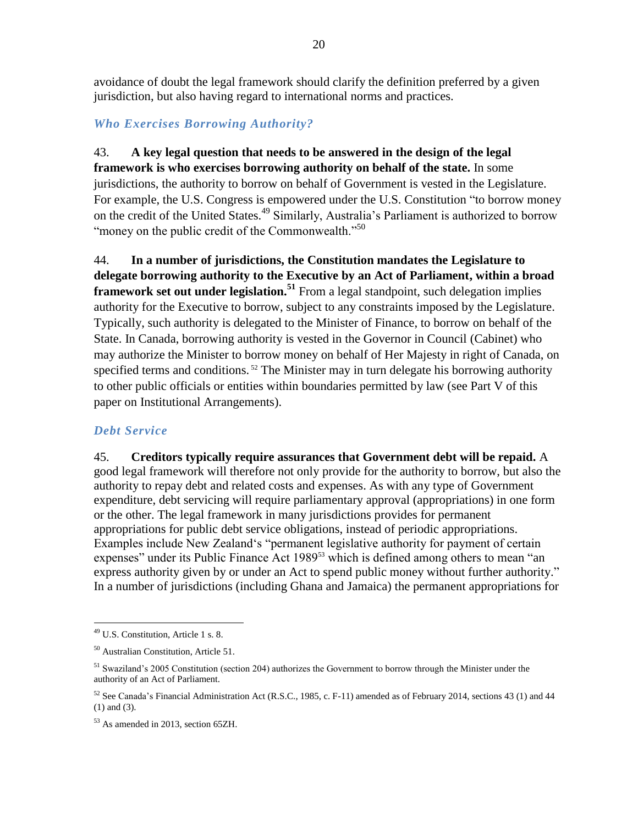avoidance of doubt the legal framework should clarify the definition preferred by a given jurisdiction, but also having regard to international norms and practices.

## *Who Exercises Borrowing Authority?*

## 43. **A key legal question that needs to be answered in the design of the legal**

**framework is who exercises borrowing authority on behalf of the state.** In some jurisdictions, the authority to borrow on behalf of Government is vested in the Legislature. For example, the U.S. Congress is empowered under the U.S. Constitution "to borrow money on the credit of the United States.<sup>49</sup> Similarly, Australia's Parliament is authorized to borrow "money on the public credit of the Commonwealth."<sup>50</sup>

44. **In a number of jurisdictions, the Constitution mandates the Legislature to delegate borrowing authority to the Executive by an Act of Parliament, within a broad framework set out under legislation.**<sup>51</sup> From a legal standpoint, such delegation implies authority for the Executive to borrow, subject to any constraints imposed by the Legislature. Typically, such authority is delegated to the Minister of Finance, to borrow on behalf of the State. In Canada, borrowing authority is vested in the Governor in Council (Cabinet) who may authorize the Minister to borrow money on behalf of Her Majesty in right of Canada, on specified terms and conditions.<sup>52</sup> The Minister may in turn delegate his borrowing authority to other public officials or entities within boundaries permitted by law (see Part V of this paper on Institutional Arrangements).

## *Debt Service*

45. **Creditors typically require assurances that Government debt will be repaid.** A good legal framework will therefore not only provide for the authority to borrow, but also the authority to repay debt and related costs and expenses. As with any type of Government expenditure, debt servicing will require parliamentary approval (appropriations) in one form or the other. The legal framework in many jurisdictions provides for permanent appropriations for public debt service obligations, instead of periodic appropriations. Examples include New Zealand's "permanent legislative authority for payment of certain expenses" under its Public Finance Act 1989<sup>53</sup> which is defined among others to mean "an express authority given by or under an Act to spend public money without further authority." In a number of jurisdictions (including Ghana and Jamaica) the permanent appropriations for

<sup>49</sup> U.S. Constitution, Article 1 s. 8.

<sup>50</sup> Australian Constitution, Article 51.

<sup>51</sup> Swaziland's 2005 Constitution (section 204) authorizes the Government to borrow through the Minister under the authority of an Act of Parliament.

<sup>52</sup> See Canada's Financial Administration Act (R.S.C., 1985, c. F-11) amended as of February 2014, sections 43 (1) and 44 (1) and (3).

<sup>53</sup> As amended in 2013, section 65ZH.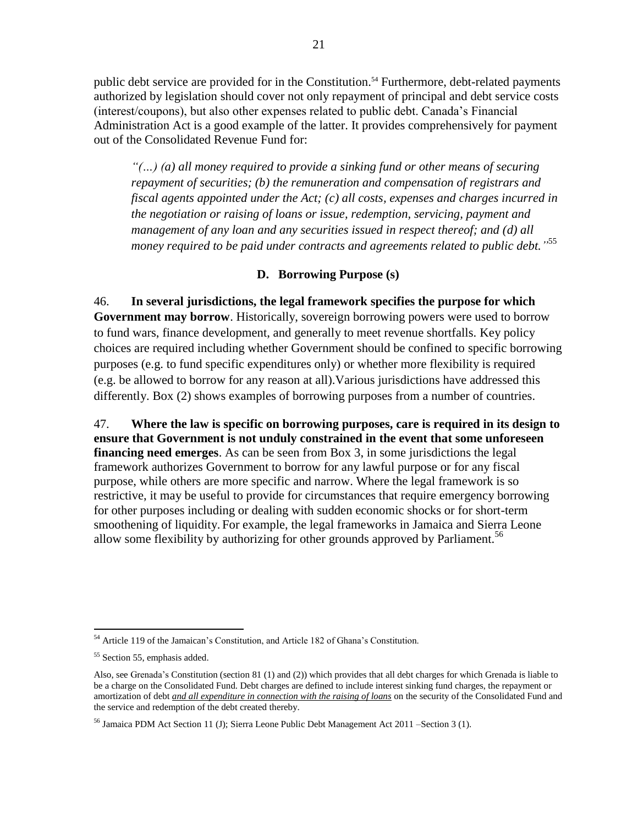public debt service are provided for in the Constitution.<sup>54</sup> Furthermore, debt-related payments authorized by legislation should cover not only repayment of principal and debt service costs (interest/coupons), but also other expenses related to public debt. Canada's Financial Administration Act is a good example of the latter. It provides comprehensively for payment out of the Consolidated Revenue Fund for:

*"(…) (a) all money required to provide a sinking fund or other means of securing repayment of securities; (b) the remuneration and compensation of registrars and fiscal agents appointed under the Act; (c) all costs, expenses and charges incurred in the negotiation or raising of loans or issue, redemption, servicing, payment and management of any loan and any securities issued in respect thereof; and (d) all money required to be paid under contracts and agreements related to public debt."* 55

#### **D. Borrowing Purpose (s)**

46. **In several jurisdictions, the legal framework specifies the purpose for which Government may borrow**. Historically, sovereign borrowing powers were used to borrow to fund wars, finance development, and generally to meet revenue shortfalls. Key policy choices are required including whether Government should be confined to specific borrowing purposes (e.g. to fund specific expenditures only) or whether more flexibility is required (e.g. be allowed to borrow for any reason at all).Various jurisdictions have addressed this differently. Box (2) shows examples of borrowing purposes from a number of countries.

47. **Where the law is specific on borrowing purposes, care is required in its design to ensure that Government is not unduly constrained in the event that some unforeseen financing need emerges**. As can be seen from Box 3, in some jurisdictions the legal framework authorizes Government to borrow for any lawful purpose or for any fiscal purpose, while others are more specific and narrow. Where the legal framework is so restrictive, it may be useful to provide for circumstances that require emergency borrowing for other purposes including or dealing with sudden economic shocks or for short-term smoothening of liquidity. For example, the legal frameworks in Jamaica and Sierra Leone allow some flexibility by authorizing for other grounds approved by Parliament.<sup>56</sup>

 $\overline{a}$ <sup>54</sup> Article 119 of the Jamaican's Constitution, and Article 182 of Ghana's Constitution.

<sup>55</sup> Section 55, emphasis added.

Also, see Grenada's Constitution (section 81 (1) and (2)) which provides that all debt charges for which Grenada is liable to be a charge on the Consolidated Fund. Debt charges are defined to include interest sinking fund charges, the repayment or amortization of debt *and all expenditure in connection with the raising of loans* on the security of the Consolidated Fund and the service and redemption of the debt created thereby.

<sup>&</sup>lt;sup>56</sup> Jamaica PDM Act Section 11 (J); Sierra Leone Public Debt Management Act 2011 – Section 3 (1).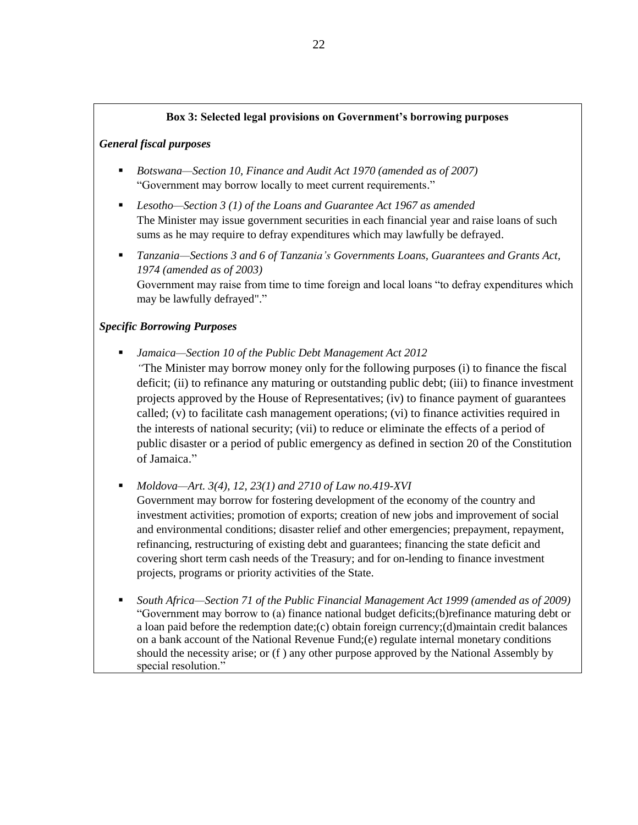#### **Box 3: Selected legal provisions on Government's borrowing purposes**

#### *General fiscal purposes*

- *Botswana—Section 10, Finance and Audit Act 1970 (amended as of 2007)* "Government may borrow locally to meet current requirements."
- *Lesotho—Section 3 (1) of the Loans and Guarantee Act 1967 as amended* The Minister may issue government securities in each financial year and raise loans of such sums as he may require to defray expenditures which may lawfully be defrayed.
- *Tanzania—Sections 3 and 6 of Tanzania's Governments Loans, Guarantees and Grants Act, 1974 (amended as of 2003)*  Government may raise from time to time foreign and local loans "to defray expenditures which may be lawfully defrayed"."

#### *Specific Borrowing Purposes*

 *Jamaica—Section 10 of the Public Debt Management Act 2012 "*The Minister may borrow money only for the following purposes (i) to finance the fiscal deficit; (ii) to refinance any maturing or outstanding public debt; (iii) to finance investment projects approved by the House of Representatives; (iv) to finance payment of guarantees called; (v) to facilitate cash management operations; (vi) to finance activities required in the interests of national security; (vii) to reduce or eliminate the effects of a period of public disaster or a period of public emergency as defined in section 20 of the Constitution of Jamaica."

*Moldova—Art. 3(4), 12, 23(1) and 2710 of Law no.419-XVI*

Government may borrow for fostering development of the economy of the country and investment activities; promotion of exports; creation of new jobs and improvement of social and environmental conditions; disaster relief and other emergencies; prepayment, repayment, refinancing, restructuring of existing debt and guarantees; financing the state deficit and covering short term cash needs of the Treasury; and for on-lending to finance investment projects, programs or priority activities of the State.

 *South Africa—Section 71 of the Public Financial Management Act 1999 (amended as of 2009)* "Government may borrow to (a) finance national budget deficits;(b)refinance maturing debt or a loan paid before the redemption date;(c) obtain foreign currency;(d)maintain credit balances on a bank account of the National Revenue Fund;(e) regulate internal monetary conditions should the necessity arise; or (f ) any other purpose approved by the National Assembly by special resolution."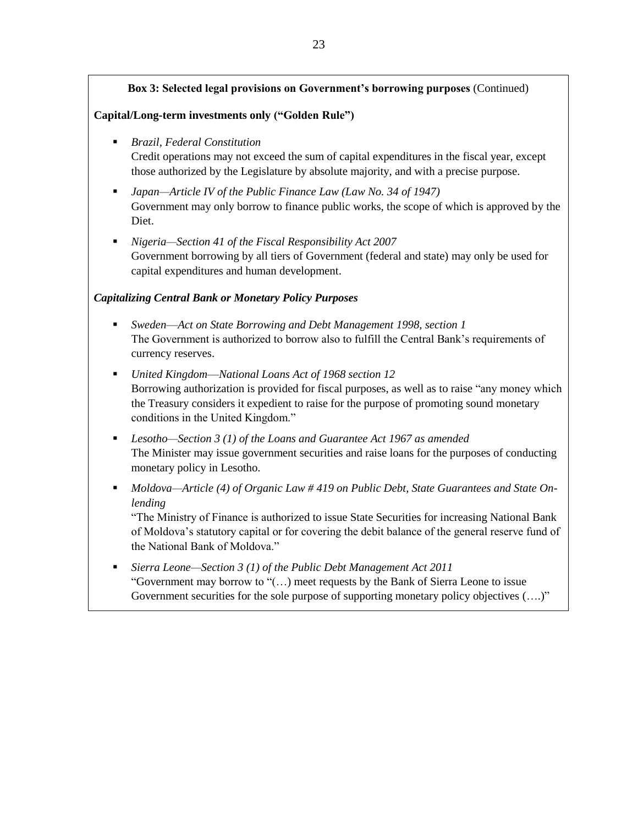#### **Box 3: Selected legal provisions on Government's borrowing purposes** (Continued)

#### **Capital/Long-term investments only ("Golden Rule")**

- *Brazil, Federal Constitution* Credit operations may not exceed the sum of capital expenditures in the fiscal year, except those authorized by the Legislature by absolute majority, and with a precise purpose.
- *Japan—Article IV of the Public Finance Law (Law No. 34 of 1947)* Government may only borrow to finance public works, the scope of which is approved by the Diet.
- *Nigeria—Section 41 of the Fiscal Responsibility Act 2007*  Government borrowing by all tiers of Government (federal and state) may only be used for capital expenditures and human development.

#### *Capitalizing Central Bank or Monetary Policy Purposes*

- *Sweden*—*Act on State Borrowing and Debt Management 1998, section 1* The Government is authorized to borrow also to fulfill the Central Bank's requirements of currency reserves.
- *United Kingdom*—*National Loans Act of 1968 section 12* Borrowing authorization is provided for fiscal purposes, as well as to raise "any money which the Treasury considers it expedient to raise for the purpose of promoting sound monetary conditions in the United Kingdom."
- *Lesotho—Section 3 (1) of the Loans and Guarantee Act 1967 as amended* The Minister may issue government securities and raise loans for the purposes of conducting monetary policy in Lesotho.
- *Moldova—Article (4) of Organic Law # 419 on Public Debt, State Guarantees and State Onlending*

"The Ministry of Finance is authorized to issue State Securities for increasing National Bank of Moldova's statutory capital or for covering the debit balance of the general reserve fund of the National Bank of Moldova."

 *Sierra Leone—Section 3 (1) of the Public Debt Management Act 2011*  "Government may borrow to "(…) meet requests by the Bank of Sierra Leone to issue Government securities for the sole purpose of supporting monetary policy objectives  $(...)$ "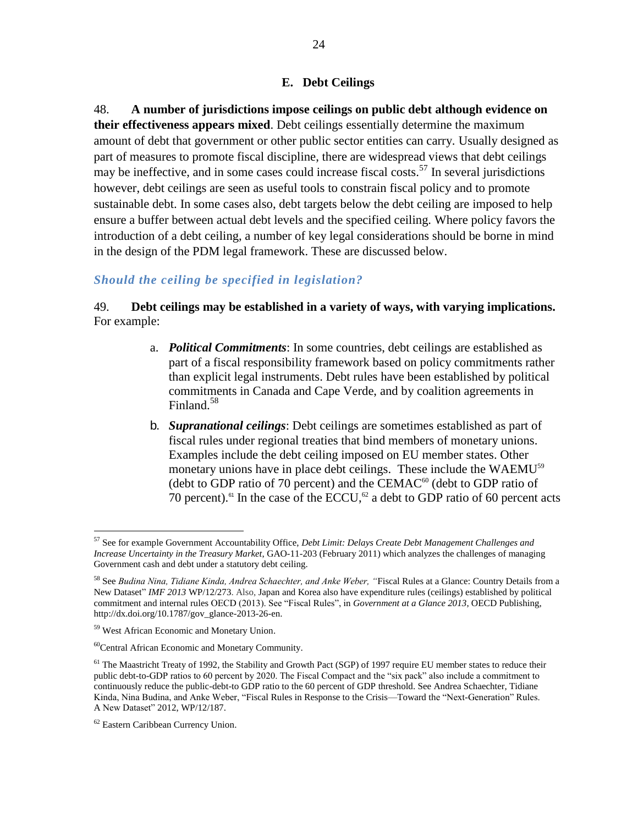#### **E. Debt Ceilings**

48. **A number of jurisdictions impose ceilings on public debt although evidence on their effectiveness appears mixed**. Debt ceilings essentially determine the maximum amount of debt that government or other public sector entities can carry. Usually designed as part of measures to promote fiscal discipline, there are widespread views that debt ceilings may be ineffective, and in some cases could increase fiscal costs.<sup>57</sup> In several jurisdictions however, debt ceilings are seen as useful tools to constrain fiscal policy and to promote sustainable debt. In some cases also, debt targets below the debt ceiling are imposed to help ensure a buffer between actual debt levels and the specified ceiling. Where policy favors the introduction of a debt ceiling, a number of key legal considerations should be borne in mind in the design of the PDM legal framework. These are discussed below.

## *Should the ceiling be specified in legislation?*

49. **Debt ceilings may be established in a variety of ways, with varying implications.** For example:

- a. *Political Commitments*: In some countries, debt ceilings are established as part of a fiscal responsibility framework based on policy commitments rather than explicit legal instruments. Debt rules have been established by political commitments in Canada and Cape Verde, and by coalition agreements in Finland.<sup>58</sup>
- b. *Supranational ceilings*: Debt ceilings are sometimes established as part of fiscal rules under regional treaties that bind members of monetary unions. Examples include the debt ceiling imposed on EU member states. Other monetary unions have in place debt ceilings. These include the WAEMU<sup>59</sup> (debt to GDP ratio of 70 percent) and the CEMAC $^{60}$  (debt to GDP ratio of 70 percent).<sup>61</sup> In the case of the ECCU,<sup>62</sup> a debt to GDP ratio of 60 percent acts

<sup>57</sup> See for example Government Accountability Office, *Debt Limit: Delays Create Debt Management Challenges and Increase Uncertainty in the Treasury Market*, GAO-11-203 (February 2011) which analyzes the challenges of managing Government cash and debt under a statutory debt ceiling.

<sup>58</sup> See *Budina Nina, Tidiane Kinda, Andrea Schaechter, and Anke Weber, "*Fiscal Rules at a Glance: Country Details from a New Dataset" *IMF 2013* WP/12/273. Also, Japan and Korea also have expenditure rules (ceilings) established by political commitment and internal rules OECD (2013). See "Fiscal Rules", in *Government at a Glance 2013*, OECD Publishing, http://dx.doi.org/10.1787/gov\_glance-2013-26-en.

<sup>59</sup> West African Economic and Monetary Union.

<sup>60</sup>Central African Economic and Monetary Community.

<sup>&</sup>lt;sup>61</sup> The Maastricht Treaty of 1992, the Stability and Growth Pact (SGP) of 1997 require EU member states to reduce their public debt-to-GDP ratios to 60 percent by 2020. The Fiscal Compact and the "six pack" also include a commitment to continuously reduce the public-debt-to GDP ratio to the 60 percent of GDP threshold. See Andrea Schaechter, Tidiane Kinda, Nina Budina, and Anke Weber, "Fiscal Rules in Response to the Crisis—Toward the "Next-Generation" Rules. A New Dataset" 2012, WP/12/187.

<sup>62</sup> Eastern Caribbean Currency Union.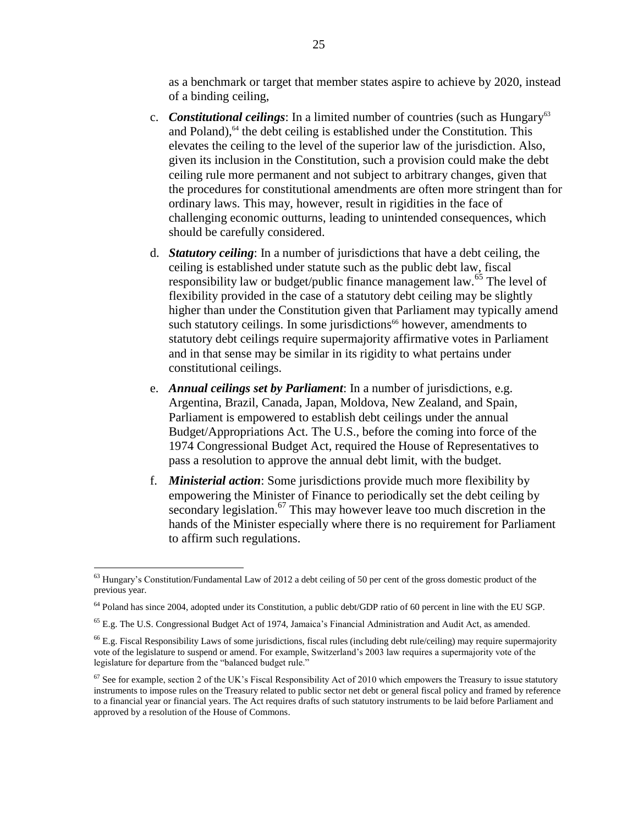as a benchmark or target that member states aspire to achieve by 2020, instead of a binding ceiling,

- c. *Constitutional ceilings*: In a limited number of countries (such as Hungary<sup>63</sup>) and Poland), $64$  the debt ceiling is established under the Constitution. This elevates the ceiling to the level of the superior law of the jurisdiction. Also, given its inclusion in the Constitution, such a provision could make the debt ceiling rule more permanent and not subject to arbitrary changes, given that the procedures for constitutional amendments are often more stringent than for ordinary laws. This may, however, result in rigidities in the face of challenging economic outturns, leading to unintended consequences, which should be carefully considered.
- d. *Statutory ceiling*: In a number of jurisdictions that have a debt ceiling, the ceiling is established under statute such as the public debt law, fiscal responsibility law or budget/public finance management law.<sup>65</sup> The level of flexibility provided in the case of a statutory debt ceiling may be slightly higher than under the Constitution given that Parliament may typically amend such statutory ceilings. In some jurisdictions<sup>66</sup> however, amendments to statutory debt ceilings require supermajority affirmative votes in Parliament and in that sense may be similar in its rigidity to what pertains under constitutional ceilings.
- e. *Annual ceilings set by Parliament*: In a number of jurisdictions, e.g. Argentina, Brazil, Canada, Japan, Moldova, New Zealand, and Spain, Parliament is empowered to establish debt ceilings under the annual Budget/Appropriations Act. The U.S., before the coming into force of the 1974 Congressional Budget Act, required the House of Representatives to pass a resolution to approve the annual debt limit, with the budget.
- f. *Ministerial action*: Some jurisdictions provide much more flexibility by empowering the Minister of Finance to periodically set the debt ceiling by secondary legislation.<sup>67</sup> This may however leave too much discretion in the hands of the Minister especially where there is no requirement for Parliament to affirm such regulations.

 $63$  Hungary's Constitution/Fundamental Law of 2012 a debt ceiling of 50 per cent of the gross domestic product of the previous year.

<sup>64</sup> Poland has since 2004, adopted under its Constitution, a public debt/GDP ratio of 60 percent in line with the EU SGP.

 $^{65}$  E.g. The U.S. Congressional Budget Act of 1974, Jamaica's Financial Administration and Audit Act, as amended.

<sup>&</sup>lt;sup>66</sup> E.g. Fiscal Responsibility Laws of some jurisdictions, fiscal rules (including debt rule/ceiling) may require supermajority vote of the legislature to suspend or amend. For example, Switzerland's 2003 law requires a supermajority vote of the legislature for departure from the "balanced budget rule."

 $67$  See for example, section 2 of the UK's Fiscal Responsibility Act of 2010 which empowers the Treasury to issue statutory instruments to impose rules on the Treasury related to public sector net debt or general fiscal policy and framed by reference to a financial year or financial years. The Act requires drafts of such statutory instruments to be laid before Parliament and approved by a resolution of the House of Commons.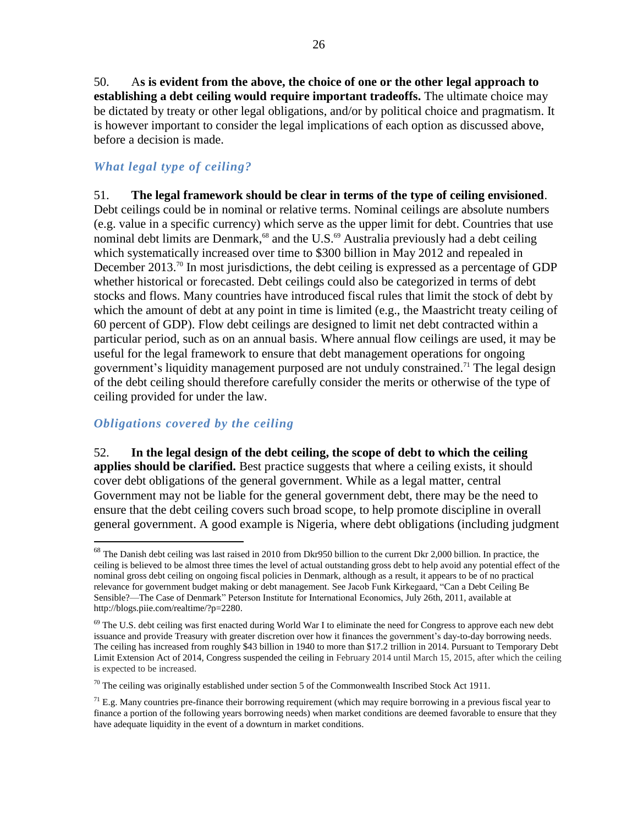50. A**s is evident from the above, the choice of one or the other legal approach to establishing a debt ceiling would require important tradeoffs.** The ultimate choice may be dictated by treaty or other legal obligations, and/or by political choice and pragmatism. It is however important to consider the legal implications of each option as discussed above, before a decision is made.

## *What legal type of ceiling?*

51. **The legal framework should be clear in terms of the type of ceiling envisioned**. Debt ceilings could be in nominal or relative terms. Nominal ceilings are absolute numbers (e.g. value in a specific currency) which serve as the upper limit for debt. Countries that use nominal debt limits are Denmark,<sup>68</sup> and the U.S.<sup>69</sup> Australia previously had a debt ceiling which systematically increased over time to \$300 billion in May 2012 and repealed in December 2013.<sup>70</sup> In most jurisdictions, the debt ceiling is expressed as a percentage of GDP whether historical or forecasted. Debt ceilings could also be categorized in terms of debt stocks and flows. Many countries have introduced fiscal rules that limit the stock of debt by which the amount of debt at any point in time is limited (e.g., the Maastricht treaty ceiling of 60 percent of GDP). Flow debt ceilings are designed to limit net debt contracted within a particular period, such as on an annual basis. Where annual flow ceilings are used, it may be useful for the legal framework to ensure that debt management operations for ongoing government's liquidity management purposed are not unduly constrained. <sup>71</sup> The legal design of the debt ceiling should therefore carefully consider the merits or otherwise of the type of ceiling provided for under the law.

## *Obligations covered by the ceiling*

 $\overline{a}$ 

52. **In the legal design of the debt ceiling, the scope of debt to which the ceiling applies should be clarified.** Best practice suggests that where a ceiling exists, it should cover debt obligations of the general government. While as a legal matter, central Government may not be liable for the general government debt, there may be the need to ensure that the debt ceiling covers such broad scope, to help promote discipline in overall general government. A good example is Nigeria, where debt obligations (including judgment

 $68$  The Danish debt ceiling was last raised in 2010 from Dkr950 billion to the current Dkr 2,000 billion. In practice, the ceiling is believed to be almost three times the level of actual outstanding gross debt to help avoid any potential effect of the nominal gross debt ceiling on ongoing fiscal policies in Denmark, although as a result, it appears to be of no practical relevance for government budget making or debt management. See Jacob Funk Kirkegaard, ["Can a Debt Ceiling Be](http://blogs.piie.com/realtime/?p=2280)  [Sensible?—The Case of Denmark"](http://blogs.piie.com/realtime/?p=2280) Peterson Institute for International Economics, July 26th, 2011, available at http://blogs.piie.com/realtime/?p=2280.

 $69$  The U.S. debt ceiling was first enacted during World War I to eliminate the need for Congress to approve each new debt issuance and provide Treasury with greater discretion over how it finances the government's day-to-day borrowing needs. The ceiling has increased from roughly \$43 billion in 1940 to more than \$17.2 trillion in 2014. Pursuant to Temporary Debt Limit Extension Act of 2014, Congress suspended the ceiling in February 2014 until March 15, 2015, after which the ceiling is expected to be increased.

 $70$  The ceiling was originally established under section 5 of the Commonwealth Inscribed Stock Act 1911.

 $71$  E.g. Many countries pre-finance their borrowing requirement (which may require borrowing in a previous fiscal year to finance a portion of the following years borrowing needs) when market conditions are deemed favorable to ensure that they have adequate liquidity in the event of a downturn in market conditions.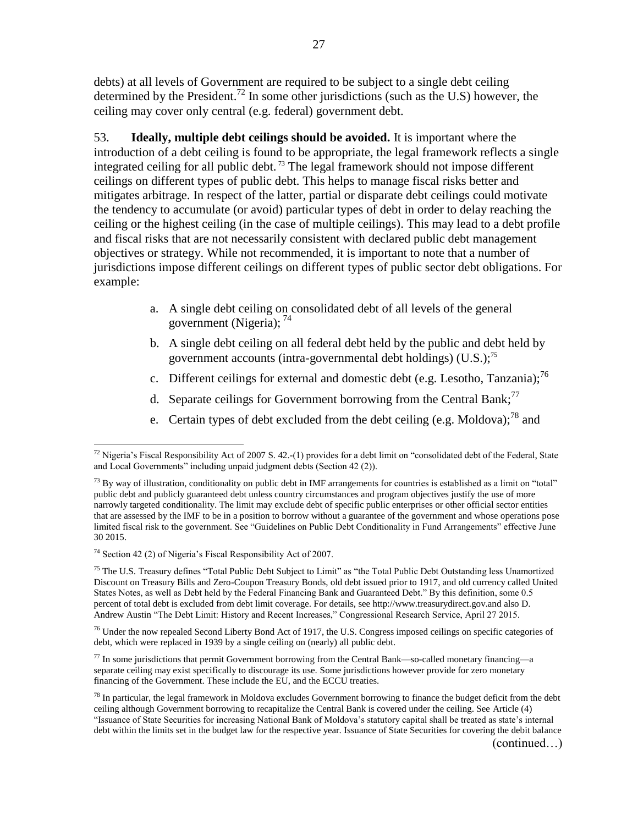debts) at all levels of Government are required to be subject to a single debt ceiling determined by the President.<sup>72</sup> In some other jurisdictions (such as the U.S) however, the ceiling may cover only central (e.g. federal) government debt.

53. **Ideally, multiple debt ceilings should be avoided.** It is important where the introduction of a debt ceiling is found to be appropriate, the legal framework reflects a single integrated ceiling for all public debt.<sup>73</sup> The legal framework should not impose different ceilings on different types of public debt. This helps to manage fiscal risks better and mitigates arbitrage. In respect of the latter, partial or disparate debt ceilings could motivate the tendency to accumulate (or avoid) particular types of debt in order to delay reaching the ceiling or the highest ceiling (in the case of multiple ceilings). This may lead to a debt profile and fiscal risks that are not necessarily consistent with declared public debt management objectives or strategy. While not recommended, it is important to note that a number of jurisdictions impose different ceilings on different types of public sector debt obligations. For example:

- a. A single debt ceiling on consolidated debt of all levels of the general government (Nigeria); <sup>74</sup>
- b. A single debt ceiling on all federal debt held by the public and debt held by government accounts (intra-governmental debt holdings)  $(U.S.);^{75}$
- c. Different ceilings for external and domestic debt (e.g. Lesotho, Tanzania);<sup>76</sup>
- d. Separate ceilings for Government borrowing from the Central Bank;<sup>77</sup>
- e. Certain types of debt excluded from the debt ceiling (e.g. Moldova):<sup>78</sup> and

 $72$  Nigeria's Fiscal Responsibility Act of 2007 S. 42.-(1) provides for a debt limit on "consolidated debt of the Federal, State and Local Governments" including unpaid judgment debts (Section 42 (2)).

 $^{73}$  By way of illustration, conditionality on public debt in IMF arrangements for countries is established as a limit on "total" public debt and publicly guaranteed debt unless country circumstances and program objectives justify the use of more narrowly targeted conditionality. The limit may exclude debt of specific public enterprises or other official sector entities that are assessed by the IMF to be in a position to borrow without a guarantee of the government and whose operations pose limited fiscal risk to the government. See "Guidelines on Public Debt Conditionality in Fund Arrangements" effective June 30 2015.

<sup>74</sup> Section 42 (2) of Nigeria's Fiscal Responsibility Act of 2007.

 $<sup>75</sup>$  The U.S. Treasury defines "Total Public Debt Subject to Limit" as "the Total Public Debt Outstanding less Unamortized</sup> Discount on Treasury Bills and Zero-Coupon Treasury Bonds, old debt issued prior to 1917, and old currency called United States Notes, as well as Debt held by the Federal Financing Bank and Guaranteed Debt." By this definition, some 0.5 percent of total debt is excluded from debt limit coverage. For details, see http://www.treasurydirect.gov.and also D. Andrew Austin "The Debt Limit: History and Recent Increases," Congressional Research Service, April 27 2015.

<sup>&</sup>lt;sup>76</sup> Under the now repealed Second Liberty Bond Act of 1917, the U.S. Congress imposed ceilings on specific categories of debt, which were replaced in 1939 by a single ceiling on (nearly) all public debt.

 $77$  In some jurisdictions that permit Government borrowing from the Central Bank—so-called monetary financing—a separate ceiling may exist specifically to discourage its use. Some jurisdictions however provide for zero monetary financing of the Government. These include the EU, and the ECCU treaties.

 $^{78}$  In particular, the legal framework in Moldova excludes Government borrowing to finance the budget deficit from the debt ceiling although Government borrowing to recapitalize the Central Bank is covered under the ceiling. See Article (4) "Issuance of State Securities for increasing National Bank of Moldova's statutory capital shall be treated as state's internal debt within the limits set in the budget law for the respective year. Issuance of State Securities for covering the debit balance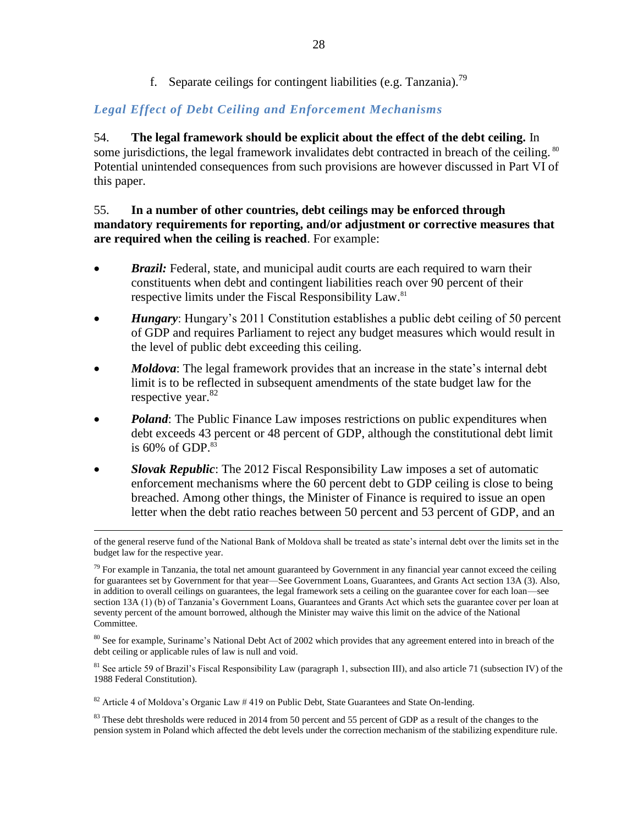f. Separate ceilings for contingent liabilities (e.g. Tanzania).<sup>79</sup>

## *Legal Effect of Debt Ceiling and Enforcement Mechanisms*

54. **The legal framework should be explicit about the effect of the debt ceiling.** In some jurisdictions, the legal framework invalidates debt contracted in breach of the ceiling. <sup>80</sup> Potential unintended consequences from such provisions are however discussed in Part VI of this paper.

## 55. **In a number of other countries, debt ceilings may be enforced through mandatory requirements for reporting, and/or adjustment or corrective measures that are required when the ceiling is reached**. For example:

- *Brazil:* Federal, state, and municipal audit courts are each required to warn their constituents when debt and contingent liabilities reach over 90 percent of their respective limits under the Fiscal Responsibility Law.<sup>81</sup>
- *Hungary*: Hungary's 2011 Constitution establishes a public debt ceiling of 50 percent of GDP and requires Parliament to reject any budget measures which would result in the level of public debt exceeding this ceiling.
- *Moldova*: The legal framework provides that an increase in the state's internal debt limit is to be reflected in subsequent amendments of the state budget law for the respective year.<sup>82</sup>
- *Poland*: The Public Finance Law imposes restrictions on public expenditures when debt exceeds 43 percent or 48 percent of GDP, although the constitutional debt limit is 60% of GDP. 83
- *Slovak Republic*: The 2012 Fiscal Responsibility Law imposes a set of automatic enforcement mechanisms where the 60 percent debt to GDP ceiling is close to being breached. Among other things, the Minister of Finance is required to issue an open letter when the debt ratio reaches between 50 percent and 53 percent of GDP, and an

of the general reserve fund of the National Bank of Moldova shall be treated as state's internal debt over the limits set in the budget law for the respective year.

 $79$  For example in Tanzania, the total net amount guaranteed by Government in any financial year cannot exceed the ceiling for guarantees set by Government for that year—See Government Loans, Guarantees, and Grants Act section 13A (3). Also, in addition to overall ceilings on guarantees, the legal framework sets a ceiling on the guarantee cover for each loan—see section 13A (1) (b) of Tanzania's Government Loans, Guarantees and Grants Act which sets the guarantee cover per loan at seventy percent of the amount borrowed, although the Minister may waive this limit on the advice of the National Committee.

<sup>&</sup>lt;sup>80</sup> See for example, Suriname's National Debt Act of 2002 which provides that any agreement entered into in breach of the debt ceiling or applicable rules of law is null and void.

<sup>&</sup>lt;sup>81</sup> See article 59 of Brazil's Fiscal Responsibility Law (paragraph 1, subsection III), and also article 71 (subsection IV) of the 1988 Federal Constitution).

<sup>&</sup>lt;sup>82</sup> Article 4 of Moldova's Organic Law # 419 on Public Debt, State Guarantees and State On-lending.

 $83$  These debt thresholds were reduced in 2014 from 50 percent and 55 percent of GDP as a result of the changes to the pension system in Poland which affected the debt levels under the correction mechanism of the stabilizing expenditure rule.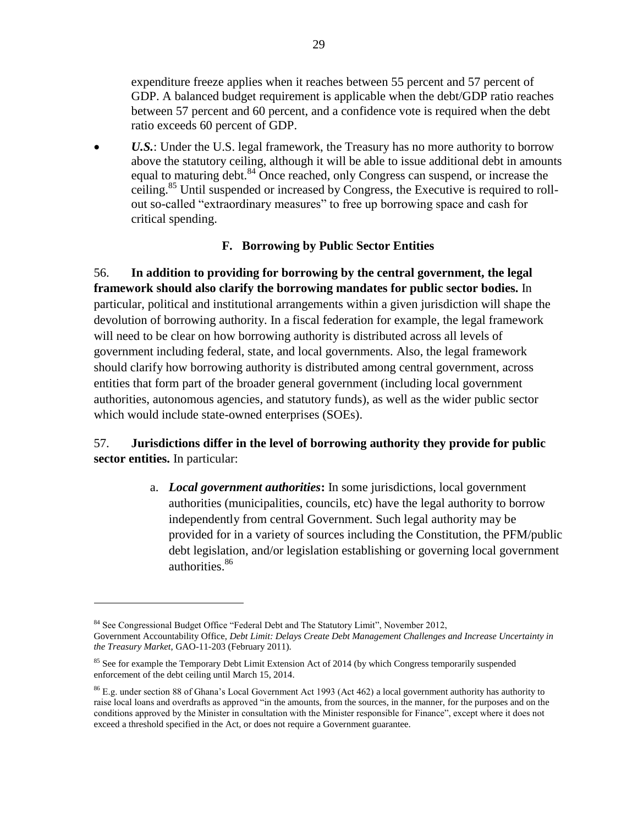expenditure freeze applies when it reaches between 55 percent and 57 percent of GDP. A balanced budget requirement is applicable when the debt/GDP ratio reaches between 57 percent and 60 percent, and a confidence vote is required when the debt ratio exceeds 60 percent of GDP.

 *U.S.*: Under the U.S. legal framework, the Treasury has no more authority to borrow above the statutory ceiling, although it will be able to issue additional debt in amounts equal to maturing debt. <sup>84</sup> Once reached, only Congress can suspend, or increase the ceiling.<sup>85</sup> Until suspended or increased by Congress, the Executive is required to rollout so-called "extraordinary measures" to free up borrowing space and cash for critical spending.

## **F. Borrowing by Public Sector Entities**

56. **In addition to providing for borrowing by the central government, the legal framework should also clarify the borrowing mandates for public sector bodies.** In particular, political and institutional arrangements within a given jurisdiction will shape the devolution of borrowing authority. In a fiscal federation for example, the legal framework will need to be clear on how borrowing authority is distributed across all levels of government including federal, state, and local governments. Also, the legal framework should clarify how borrowing authority is distributed among central government, across entities that form part of the broader general government (including local government authorities, autonomous agencies, and statutory funds), as well as the wider public sector which would include state-owned enterprises (SOEs).

## 57. **Jurisdictions differ in the level of borrowing authority they provide for public sector entities.** In particular:

a. *Local government authorities***:** In some jurisdictions, local government authorities (municipalities, councils, etc) have the legal authority to borrow independently from central Government. Such legal authority may be provided for in a variety of sources including the Constitution, the PFM/public debt legislation, and/or legislation establishing or governing local government authorities.<sup>86</sup>

<sup>84</sup> See Congressional Budget Office "Federal Debt and The Statutory Limit", November 2012,

Government Accountability Office, *Debt Limit: Delays Create Debt Management Challenges and Increase Uncertainty in the Treasury Market*, GAO-11-203 (February 2011).

<sup>&</sup>lt;sup>85</sup> See for example the Temporary Debt Limit Extension Act of 2014 (by which Congress temporarily suspended enforcement of the debt ceiling until March 15, 2014.

<sup>86</sup> E.g. under section 88 of Ghana's Local Government Act 1993 (Act 462) a local government authority has authority to raise local loans and overdrafts as approved "in the amounts, from the sources, in the manner, for the purposes and on the conditions approved by the Minister in consultation with the Minister responsible for Finance", except where it does not exceed a threshold specified in the Act, or does not require a Government guarantee.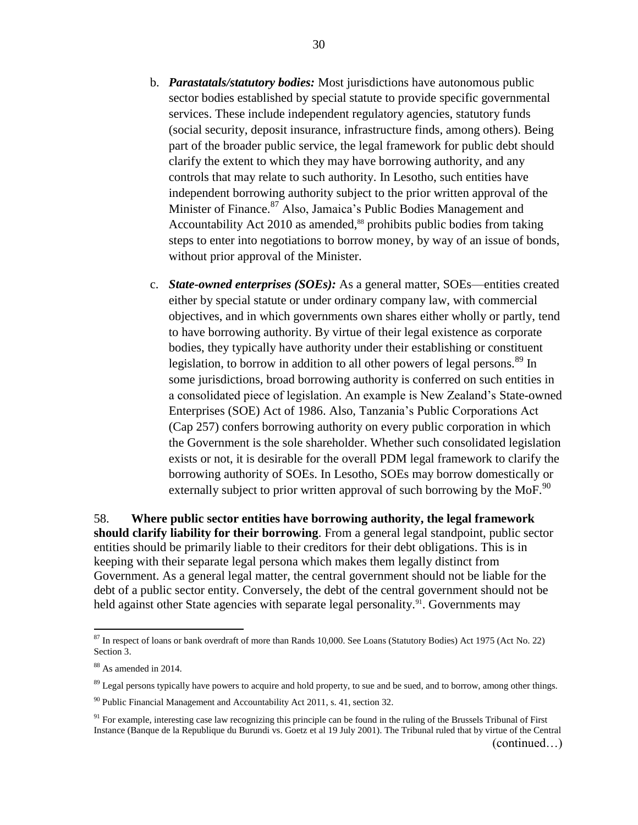- b. *Parastatals/statutory bodies:* Most jurisdictions have autonomous public sector bodies established by special statute to provide specific governmental services. These include independent regulatory agencies, statutory funds (social security, deposit insurance, infrastructure finds, among others). Being part of the broader public service, the legal framework for public debt should clarify the extent to which they may have borrowing authority, and any controls that may relate to such authority. In Lesotho, such entities have independent borrowing authority subject to the prior written approval of the Minister of Finance.<sup>87</sup> Also, Jamaica's Public Bodies Management and Accountability Act 2010 as amended, <sup>88</sup> prohibits public bodies from taking steps to enter into negotiations to borrow money, by way of an issue of bonds, without prior approval of the Minister.
- c. *State-owned enterprises (SOEs):* As a general matter, SOEs—entities created either by special statute or under ordinary company law, with commercial objectives, and in which governments own shares either wholly or partly, tend to have borrowing authority. By virtue of their legal existence as corporate bodies, they typically have authority under their establishing or constituent legislation, to borrow in addition to all other powers of legal persons.<sup>89</sup> In some jurisdictions, broad borrowing authority is conferred on such entities in a consolidated piece of legislation. An example is New Zealand's State-owned Enterprises (SOE) Act of 1986. Also, Tanzania's Public Corporations Act (Cap 257) confers borrowing authority on every public corporation in which the Government is the sole shareholder. Whether such consolidated legislation exists or not, it is desirable for the overall PDM legal framework to clarify the borrowing authority of SOEs. In Lesotho, SOEs may borrow domestically or externally subject to prior written approval of such borrowing by the MoF.<sup>90</sup>

58. **Where public sector entities have borrowing authority, the legal framework should clarify liability for their borrowing**. From a general legal standpoint, public sector entities should be primarily liable to their creditors for their debt obligations. This is in keeping with their separate legal persona which makes them legally distinct from Government. As a general legal matter, the central government should not be liable for the debt of a public sector entity. Conversely, the debt of the central government should not be held against other State agencies with separate legal personality.<sup>91</sup>. Governments may

 $87$  In respect of loans or bank overdraft of more than Rands 10,000. See Loans (Statutory Bodies) Act 1975 (Act No. 22) Section 3.

<sup>88</sup> As amended in 2014.

 $89$  Legal persons typically have powers to acquire and hold property, to sue and be sued, and to borrow, among other things.

<sup>90</sup> Public Financial Management and Accountability Act 2011, s. 41, section 32.

 $91$  For example, interesting case law recognizing this principle can be found in the ruling of the Brussels Tribunal of First Instance (Banque de la Republique du Burundi vs. Goetz et al 19 July 2001). The Tribunal ruled that by virtue of the Central (continued…)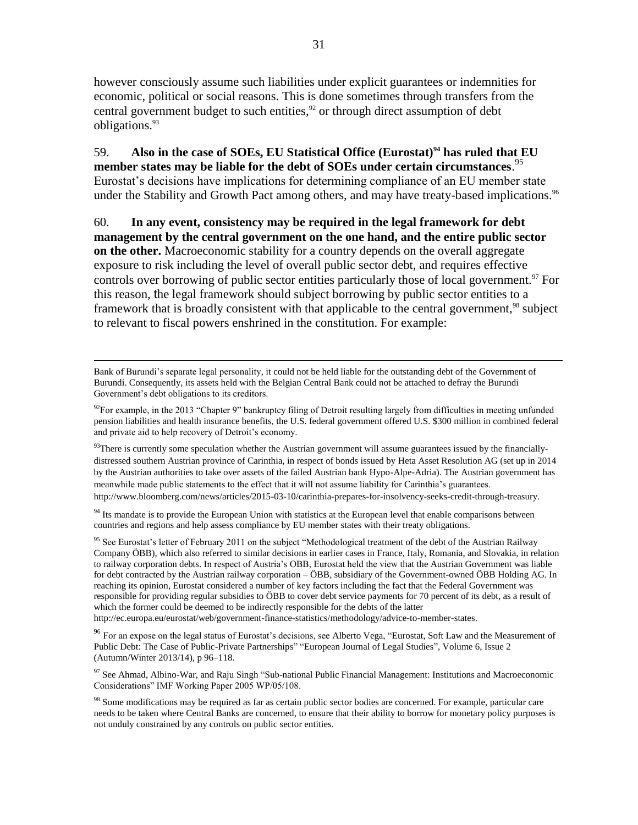however consciously assume such liabilities under explicit guarantees or indemnities for economic, political or social reasons. This is done sometimes through transfers from the central government budget to such entities, $92$  or through direct assumption of debt obligations.<sup>93</sup>

59. **Also in the case of SOEs, EU Statistical Office (Eurostat)<sup>94</sup> has ruled that EU member states may be liable for the debt of SOEs under certain circumstances**. 95 Eurostat's decisions have implications for determining compliance of an EU member state under the Stability and Growth Pact among others, and may have treaty-based implications.<sup>96</sup>

60. **In any event, consistency may be required in the legal framework for debt management by the central government on the one hand, and the entire public sector on the other.** Macroeconomic stability for a country depends on the overall aggregate exposure to risk including the level of overall public sector debt, and requires effective controls over borrowing of public sector entities particularly those of local government.<sup>97</sup> For this reason, the legal framework should subject borrowing by public sector entities to a framework that is broadly consistent with that applicable to the central government,<sup>98</sup> subject to relevant to fiscal powers enshrined in the constitution. For example:

 $\overline{a}$ 

 $93$ There is currently some speculation whether the Austrian government will assume guarantees issued by the financiallydistressed southern Austrian province of Carinthia, in respect of bonds issued by Heta Asset Resolution AG (set up in 2014 by the Austrian authorities to take over assets of the failed Austrian bank Hypo-Alpe-Adria). The Austrian government has meanwhile made public statements to the effect that it will not assume liability for Carinthia's guarantees. http://www.bloomberg.com/news/articles/2015-03-10/carinthia-prepares-for-insolvency-seeks-credit-through-treasury.

<sup>94</sup> Its mandate is to provide the European Union with statistics at the European level that enable comparisons between countries and regions and help assess compliance by EU member states with their treaty obligations.

<sup>95</sup> See Eurostat's letter of February 2011 on the subject "Methodological treatment of the debt of the Austrian Railway Company ÖBB), which also referred to similar decisions in earlier cases in France, Italy, Romania, and Slovakia, in relation to railway corporation debts. In respect of Austria's OBB, Eurostat held the view that the Austrian Government was liable for debt contracted by the Austrian railway corporation – ÖBB, subsidiary of the Government-owned ÖBB Holding AG. In reaching its opinion, Eurostat considered a number of key factors including the fact that the Federal Government was responsible for providing regular subsidies to ÖBB to cover debt service payments for 70 percent of its debt, as a result of which the former could be deemed to be indirectly responsible for the debts of the latter

http://ec.europa.eu/eurostat/web/government-finance-statistics/methodology/advice-to-member-states.

<sup>96</sup> For an expose on the legal status of Eurostat's decisions, see Alberto Vega, "Eurostat, Soft Law and the Measurement of Public Debt: The Case of Public-Private Partnerships" "European Journal of Legal Studies", Volume 6, Issue 2 (Autumn/Winter 2013/14), p 96–118.

<sup>97</sup> See Ahmad, Albino-War, and Raju Singh "Sub-national Public Financial Management: Institutions and Macroeconomic Considerations" IMF Working Paper 2005 WP/05/108.

<sup>98</sup> Some modifications may be required as far as certain public sector bodies are concerned. For example, particular care needs to be taken where Central Banks are concerned, to ensure that their ability to borrow for monetary policy purposes is not unduly constrained by any controls on public sector entities.

Bank of Burundi's separate legal personality, it could not be held liable for the outstanding debt of the Government of Burundi. Consequently, its assets held with the Belgian Central Bank could not be attached to defray the Burundi Government's debt obligations to its creditors.

 $92$ For example, in the 2013 "Chapter 9" bankruptcy filing of Detroit resulting largely from difficulties in meeting unfunded pension liabilities and health insurance benefits, the U.S. federal government offered U.S. \$300 million in combined federal and private aid to help recovery of Detroit's economy.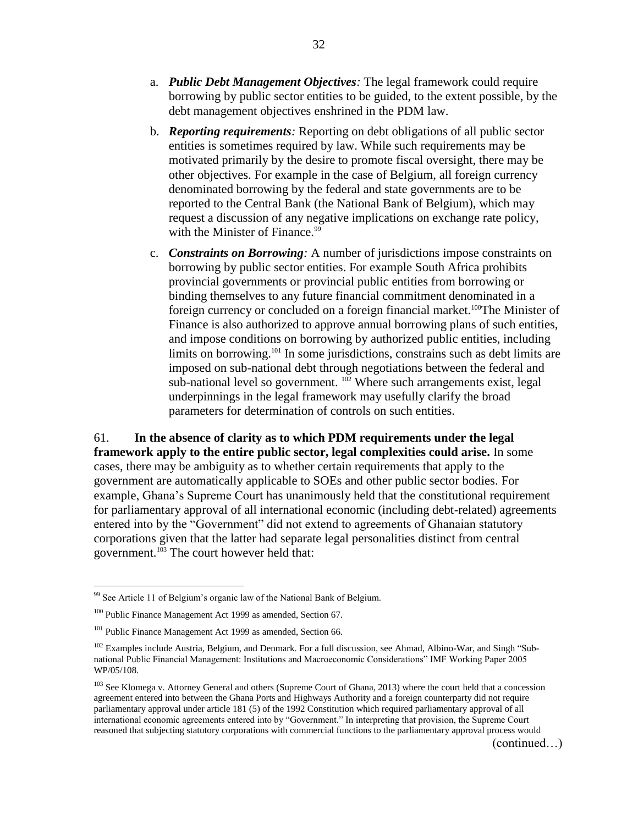- a. *Public Debt Management Objectives:* The legal framework could require borrowing by public sector entities to be guided, to the extent possible, by the debt management objectives enshrined in the PDM law.
- b. *Reporting requirements:* Reporting on debt obligations of all public sector entities is sometimes required by law. While such requirements may be motivated primarily by the desire to promote fiscal oversight, there may be other objectives. For example in the case of Belgium, all foreign currency denominated borrowing by the federal and state governments are to be reported to the Central Bank (the National Bank of Belgium), which may request a discussion of any negative implications on exchange rate policy, with the Minister of Finance.<sup>99</sup>
- c. *Constraints on Borrowing:* A number of jurisdictions impose constraints on borrowing by public sector entities. For example South Africa prohibits provincial governments or provincial public entities from borrowing or binding themselves to any future financial commitment denominated in a foreign currency or concluded on a foreign financial market.<sup>100</sup>The Minister of Finance is also authorized to approve annual borrowing plans of such entities, and impose conditions on borrowing by authorized public entities, including limits on borrowing.<sup>101</sup> In some jurisdictions, constrains such as debt limits are imposed on sub-national debt through negotiations between the federal and sub-national level so government.  $102$  Where such arrangements exist, legal underpinnings in the legal framework may usefully clarify the broad parameters for determination of controls on such entities.

61. **In the absence of clarity as to which PDM requirements under the legal framework apply to the entire public sector, legal complexities could arise.** In some cases, there may be ambiguity as to whether certain requirements that apply to the government are automatically applicable to SOEs and other public sector bodies. For example, Ghana's Supreme Court has unanimously held that the constitutional requirement for parliamentary approval of all international economic (including debt-related) agreements entered into by the "Government" did not extend to agreements of Ghanaian statutory corporations given that the latter had separate legal personalities distinct from central government. <sup>103</sup> The court however held that:

<sup>&</sup>lt;sup>99</sup> See Article 11 of Belgium's organic law of the National Bank of Belgium.

<sup>&</sup>lt;sup>100</sup> Public Finance Management Act 1999 as amended, Section 67.

<sup>&</sup>lt;sup>101</sup> Public Finance Management Act 1999 as amended, Section 66.

<sup>&</sup>lt;sup>102</sup> Examples include Austria, Belgium, and Denmark. For a full discussion, see Ahmad, Albino-War, and Singh "Subnational Public Financial Management: Institutions and Macroeconomic Considerations" IMF Working Paper 2005 WP/05/108.

<sup>&</sup>lt;sup>103</sup> See Klomega v. Attorney General and others (Supreme Court of Ghana, 2013) where the court held that a concession agreement entered into between the Ghana Ports and Highways Authority and a foreign counterparty did not require parliamentary approval under article 181 (5) of the 1992 Constitution which required parliamentary approval of all international economic agreements entered into by "Government." In interpreting that provision, the Supreme Court reasoned that subjecting statutory corporations with commercial functions to the parliamentary approval process would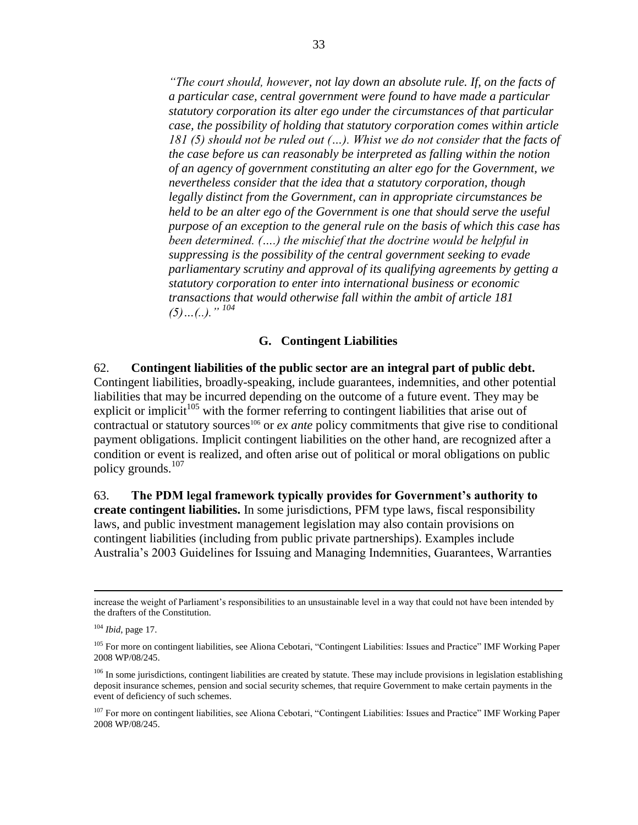*"The court should, however, not lay down an absolute rule. If, on the facts of a particular case, central government were found to have made a particular statutory corporation its alter ego under the circumstances of that particular case, the possibility of holding that statutory corporation comes within article 181 (5) should not be ruled out (…). Whist we do not consider that the facts of the case before us can reasonably be interpreted as falling within the notion of an agency of government constituting an alter ego for the Government, we nevertheless consider that the idea that a statutory corporation, though legally distinct from the Government, can in appropriate circumstances be held to be an alter ego of the Government is one that should serve the useful purpose of an exception to the general rule on the basis of which this case has been determined. (….) the mischief that the doctrine would be helpful in suppressing is the possibility of the central government seeking to evade parliamentary scrutiny and approval of its qualifying agreements by getting a statutory corporation to enter into international business or economic transactions that would otherwise fall within the ambit of article 181 (5)…(..)." <sup>104</sup>*

#### **G. Contingent Liabilities**

62. **Contingent liabilities of the public sector are an integral part of public debt.**  Contingent liabilities, broadly-speaking, include guarantees, indemnities, and other potential liabilities that may be incurred depending on the outcome of a future event. They may be explicit or implicit<sup>105</sup> with the former referring to contingent liabilities that arise out of contractual or statutory sources<sup>106</sup> or *ex ante* policy commitments that give rise to conditional payment obligations. Implicit contingent liabilities on the other hand, are recognized after a condition or event is realized, and often arise out of political or moral obligations on public policy grounds. $107$ 

63. **The PDM legal framework typically provides for Government's authority to create contingent liabilities.** In some jurisdictions, PFM type laws, fiscal responsibility laws, and public investment management legislation may also contain provisions on contingent liabilities (including from public private partnerships). Examples include Australia's 2003 Guidelines for Issuing and Managing Indemnities, Guarantees, Warranties

increase the weight of Parliament's responsibilities to an unsustainable level in a way that could not have been intended by the drafters of the Constitution.

<sup>104</sup> *Ibid*, page 17.

<sup>&</sup>lt;sup>105</sup> For more on contingent liabilities, see Aliona Cebotari, "Contingent Liabilities: Issues and Practice" IMF Working Paper 2008 WP/08/245.

<sup>&</sup>lt;sup>106</sup> In some jurisdictions, contingent liabilities are created by statute. These may include provisions in legislation establishing deposit insurance schemes, pension and social security schemes, that require Government to make certain payments in the event of deficiency of such schemes.

<sup>&</sup>lt;sup>107</sup> For more on contingent liabilities, see Aliona Cebotari, "Contingent Liabilities: Issues and Practice" IMF Working Paper 2008 WP/08/245.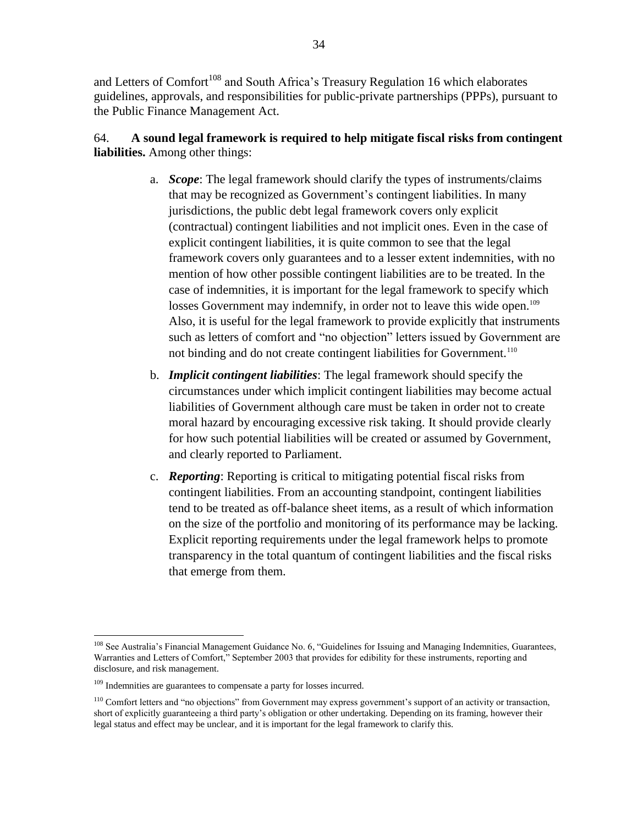and Letters of Comfort<sup>108</sup> and South Africa's Treasury Regulation 16 which elaborates guidelines, approvals, and responsibilities for public-private partnerships (PPPs), pursuant to the Public Finance Management Act.

## 64. **A sound legal framework is required to help mitigate fiscal risks from contingent liabilities.** Among other things:

- a. *Scope*: The legal framework should clarify the types of instruments/claims that may be recognized as Government's contingent liabilities. In many jurisdictions, the public debt legal framework covers only explicit (contractual) contingent liabilities and not implicit ones. Even in the case of explicit contingent liabilities, it is quite common to see that the legal framework covers only guarantees and to a lesser extent indemnities, with no mention of how other possible contingent liabilities are to be treated. In the case of indemnities, it is important for the legal framework to specify which losses Government may indemnify, in order not to leave this wide open.<sup>109</sup> Also, it is useful for the legal framework to provide explicitly that instruments such as letters of comfort and "no objection" letters issued by Government are not binding and do not create contingent liabilities for Government.<sup>110</sup>
- b. *Implicit contingent liabilities*: The legal framework should specify the circumstances under which implicit contingent liabilities may become actual liabilities of Government although care must be taken in order not to create moral hazard by encouraging excessive risk taking. It should provide clearly for how such potential liabilities will be created or assumed by Government, and clearly reported to Parliament.
- c. *Reporting*: Reporting is critical to mitigating potential fiscal risks from contingent liabilities. From an accounting standpoint, contingent liabilities tend to be treated as off-balance sheet items, as a result of which information on the size of the portfolio and monitoring of its performance may be lacking. Explicit reporting requirements under the legal framework helps to promote transparency in the total quantum of contingent liabilities and the fiscal risks that emerge from them.

<sup>&</sup>lt;sup>108</sup> See Australia's Financial Management Guidance No. 6, "Guidelines for Issuing and Managing Indemnities, Guarantees, Warranties and Letters of Comfort," September 2003 that provides for edibility for these instruments, reporting and disclosure, and risk management.

<sup>&</sup>lt;sup>109</sup> Indemnities are guarantees to compensate a party for losses incurred.

<sup>&</sup>lt;sup>110</sup> Comfort letters and "no objections" from Government may express government's support of an activity or transaction, short of explicitly guaranteeing a third party's obligation or other undertaking. Depending on its framing, however their legal status and effect may be unclear, and it is important for the legal framework to clarify this.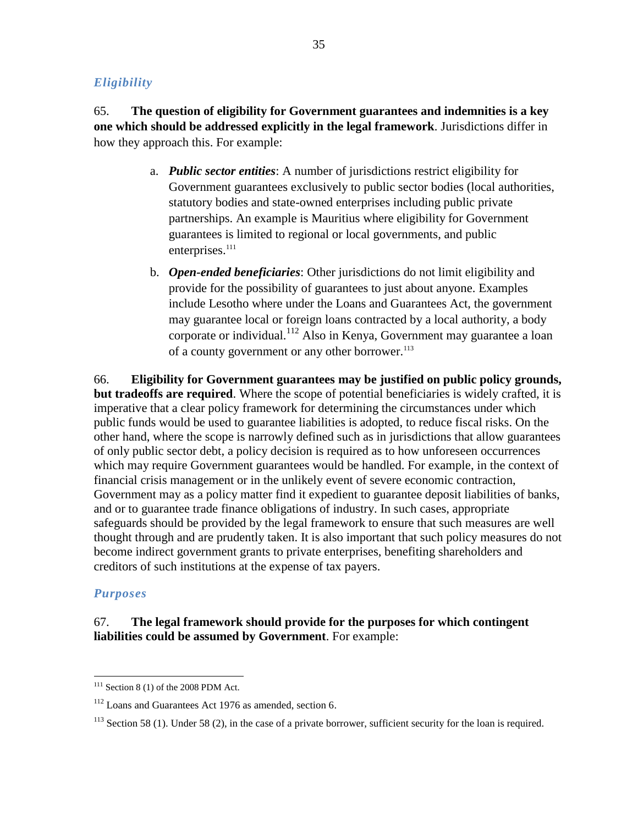## *Eligibility*

65. **The question of eligibility for Government guarantees and indemnities is a key one which should be addressed explicitly in the legal framework**. Jurisdictions differ in how they approach this. For example:

- a. *Public sector entities*: A number of jurisdictions restrict eligibility for Government guarantees exclusively to public sector bodies (local authorities, statutory bodies and state-owned enterprises including public private partnerships. An example is Mauritius where eligibility for Government guarantees is limited to regional or local governments, and public enterprises.<sup>111</sup>
- b. *Open-ended beneficiaries*: Other jurisdictions do not limit eligibility and provide for the possibility of guarantees to just about anyone. Examples include Lesotho where under the Loans and Guarantees Act, the government may guarantee local or foreign loans contracted by a local authority, a body corporate or individual.<sup>112</sup> Also in Kenya, Government may guarantee a loan of a county government or any other borrower.<sup>113</sup>

66. **Eligibility for Government guarantees may be justified on public policy grounds, but tradeoffs are required**. Where the scope of potential beneficiaries is widely crafted, it is imperative that a clear policy framework for determining the circumstances under which public funds would be used to guarantee liabilities is adopted, to reduce fiscal risks. On the other hand, where the scope is narrowly defined such as in jurisdictions that allow guarantees of only public sector debt, a policy decision is required as to how unforeseen occurrences which may require Government guarantees would be handled. For example, in the context of financial crisis management or in the unlikely event of severe economic contraction, Government may as a policy matter find it expedient to guarantee deposit liabilities of banks, and or to guarantee trade finance obligations of industry. In such cases, appropriate safeguards should be provided by the legal framework to ensure that such measures are well thought through and are prudently taken. It is also important that such policy measures do not become indirect government grants to private enterprises, benefiting shareholders and creditors of such institutions at the expense of tax payers.

## *Purposes*

 $\overline{a}$ 

## 67. **The legal framework should provide for the purposes for which contingent liabilities could be assumed by Government**. For example:

 $111$  Section 8 (1) of the 2008 PDM Act.

<sup>&</sup>lt;sup>112</sup> Loans and Guarantees Act 1976 as amended, section 6.

<sup>&</sup>lt;sup>113</sup> Section 58 (1). Under 58 (2), in the case of a private borrower, sufficient security for the loan is required.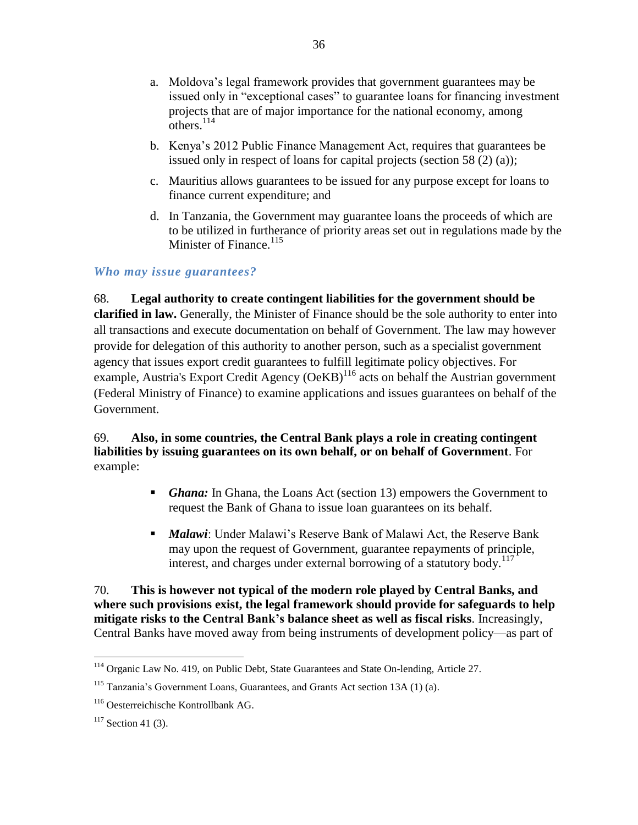- a. Moldova's legal framework provides that government guarantees may be issued only in "exceptional cases" to guarantee loans for financing investment projects that are of major importance for the national economy, among  $\overline{\text{others}}$ .  $^{114}$
- b. Kenya's 2012 Public Finance Management Act, requires that guarantees be issued only in respect of loans for capital projects (section 58 (2) (a));
- c. Mauritius allows guarantees to be issued for any purpose except for loans to finance current expenditure; and
- d. In Tanzania, the Government may guarantee loans the proceeds of which are to be utilized in furtherance of priority areas set out in regulations made by the Minister of Finance. $115$

## *Who may issue guarantees?*

68. **Legal authority to create contingent liabilities for the government should be clarified in law.** Generally, the Minister of Finance should be the sole authority to enter into all transactions and execute documentation on behalf of Government. The law may however provide for delegation of this authority to another person, such as a specialist government agency that issues export credit guarantees to fulfill legitimate policy objectives. For example, Austria's Export Credit Agency (OeKB)<sup>116</sup> acts on behalf the Austrian government (Federal Ministry of Finance) to examine applications and issues guarantees on behalf of the Government.

## 69. **Also, in some countries, the Central Bank plays a role in creating contingent liabilities by issuing guarantees on its own behalf, or on behalf of Government**. For example:

- *Ghana:* In Ghana, the Loans Act (section 13) empowers the Government to request the Bank of Ghana to issue loan guarantees on its behalf.
- *Malawi*: Under Malawi's Reserve Bank of Malawi Act, the Reserve Bank may upon the request of Government, guarantee repayments of principle, interest, and charges under external borrowing of a statutory body.<sup>117</sup>

70. **This is however not typical of the modern role played by Central Banks, and where such provisions exist, the legal framework should provide for safeguards to help mitigate risks to the Central Bank's balance sheet as well as fiscal risks**. Increasingly, Central Banks have moved away from being instruments of development policy—as part of

 $\overline{a}$ <sup>114</sup> Organic Law No. 419, on Public Debt, State Guarantees and State On-lending, Article 27.

<sup>&</sup>lt;sup>115</sup> Tanzania's Government Loans, Guarantees, and Grants Act section 13A (1) (a).

<sup>116</sup> Oesterreichische Kontrollbank AG.

 $117$  Section 41 (3).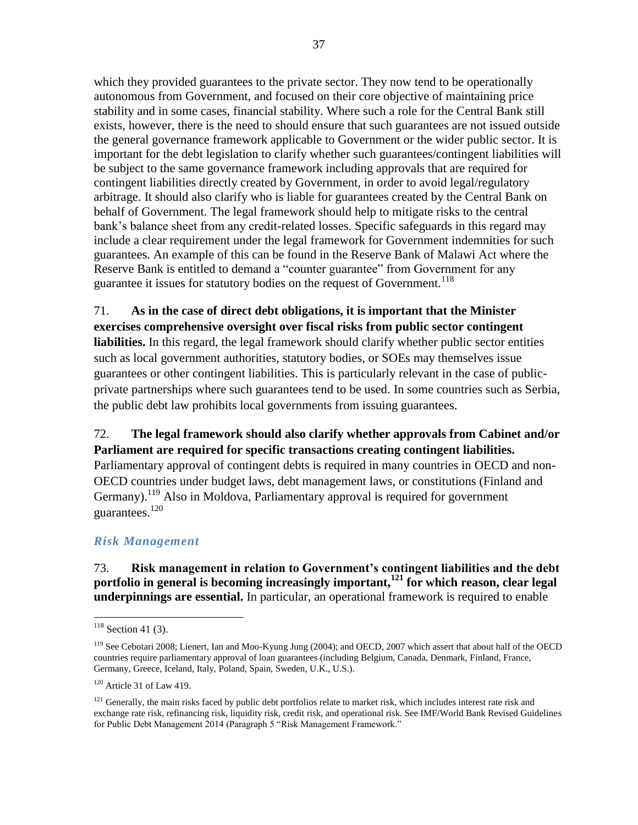which they provided guarantees to the private sector. They now tend to be operationally autonomous from Government, and focused on their core objective of maintaining price stability and in some cases, financial stability. Where such a role for the Central Bank still exists, however, there is the need to should ensure that such guarantees are not issued outside the general governance framework applicable to Government or the wider public sector. It is important for the debt legislation to clarify whether such guarantees/contingent liabilities will be subject to the same governance framework including approvals that are required for contingent liabilities directly created by Government, in order to avoid legal/regulatory arbitrage. It should also clarify who is liable for guarantees created by the Central Bank on behalf of Government. The legal framework should help to mitigate risks to the central bank's balance sheet from any credit-related losses. Specific safeguards in this regard may include a clear requirement under the legal framework for Government indemnities for such guarantees. An example of this can be found in the Reserve Bank of Malawi Act where the Reserve Bank is entitled to demand a "counter guarantee" from Government for any guarantee it issues for statutory bodies on the request of Government.<sup>118</sup>

71. **As in the case of direct debt obligations, it is important that the Minister exercises comprehensive oversight over fiscal risks from public sector contingent liabilities.** In this regard, the legal framework should clarify whether public sector entities such as local government authorities, statutory bodies, or SOEs may themselves issue guarantees or other contingent liabilities. This is particularly relevant in the case of publicprivate partnerships where such guarantees tend to be used. In some countries such as Serbia, the public debt law prohibits local governments from issuing guarantees.

## 72. **The legal framework should also clarify whether approvals from Cabinet and/or Parliament are required for specific transactions creating contingent liabilities.**

Parliamentary approval of contingent debts is required in many countries in OECD and non-OECD countries under budget laws, debt management laws, or constitutions (Finland and Germany).<sup>119</sup> Also in Moldova, Parliamentary approval is required for government guarantees.<sup>120</sup>

## *Risk Management*

73. **Risk management in relation to Government's contingent liabilities and the debt portfolio in general is becoming increasingly important,<sup>121</sup> for which reason, clear legal underpinnings are essential.** In particular, an operational framework is required to enable

 $118$  Section 41 (3).

<sup>119</sup> See Cebotari 2008; Lienert, Ian and Moo-Kyung Jung (2004); and OECD, 2007 which assert that about half of the OECD countries require parliamentary approval of loan guarantees (including Belgium, Canada, Denmark, Finland, France, Germany, Greece, Iceland, Italy, Poland, Spain, Sweden, U.K., U.S.).

 $120$  Article 31 of Law 419.

<sup>&</sup>lt;sup>121</sup> Generally, the main risks faced by public debt portfolios relate to market risk, which includes interest rate risk and exchange rate risk, refinancing risk, liquidity risk, credit risk, and operational risk. See IMF/World Bank Revised Guidelines for Public Debt Management 2014 (Paragraph 5 "Risk Management Framework."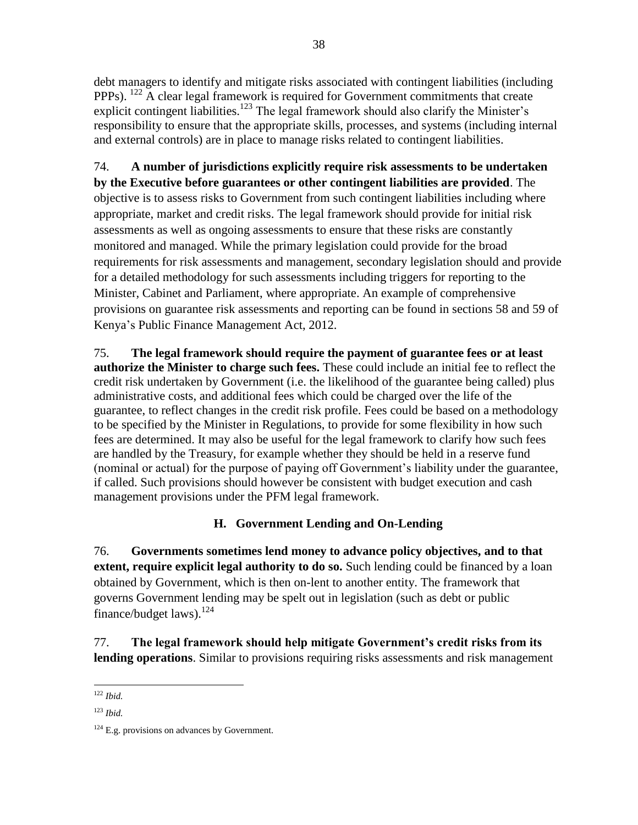debt managers to identify and mitigate risks associated with contingent liabilities (including PPPs). <sup>122</sup> A clear legal framework is required for Government commitments that create explicit contingent liabilities.<sup>123</sup> The legal framework should also clarify the Minister's responsibility to ensure that the appropriate skills, processes, and systems (including internal and external controls) are in place to manage risks related to contingent liabilities.

74. **A number of jurisdictions explicitly require risk assessments to be undertaken by the Executive before guarantees or other contingent liabilities are provided**. The objective is to assess risks to Government from such contingent liabilities including where appropriate, market and credit risks. The legal framework should provide for initial risk assessments as well as ongoing assessments to ensure that these risks are constantly monitored and managed. While the primary legislation could provide for the broad requirements for risk assessments and management, secondary legislation should and provide for a detailed methodology for such assessments including triggers for reporting to the Minister, Cabinet and Parliament, where appropriate. An example of comprehensive provisions on guarantee risk assessments and reporting can be found in sections 58 and 59 of Kenya's Public Finance Management Act, 2012.

75. **The legal framework should require the payment of guarantee fees or at least authorize the Minister to charge such fees.** These could include an initial fee to reflect the credit risk undertaken by Government (i.e. the likelihood of the guarantee being called) plus administrative costs, and additional fees which could be charged over the life of the guarantee, to reflect changes in the credit risk profile. Fees could be based on a methodology to be specified by the Minister in Regulations, to provide for some flexibility in how such fees are determined. It may also be useful for the legal framework to clarify how such fees are handled by the Treasury, for example whether they should be held in a reserve fund (nominal or actual) for the purpose of paying off Government's liability under the guarantee, if called. Such provisions should however be consistent with budget execution and cash management provisions under the PFM legal framework.

## **H. Government Lending and On-Lending**

76. **Governments sometimes lend money to advance policy objectives, and to that extent, require explicit legal authority to do so.** Such lending could be financed by a loan obtained by Government, which is then on-lent to another entity. The framework that governs Government lending may be spelt out in legislation (such as debt or public finance/budget laws). $^{124}$ 

77. **The legal framework should help mitigate Government's credit risks from its lending operations**. Similar to provisions requiring risks assessments and risk management

 $\overline{a}$ <sup>122</sup> *Ibid.*

<sup>123</sup> *Ibid.*

 $124$  E.g. provisions on advances by Government.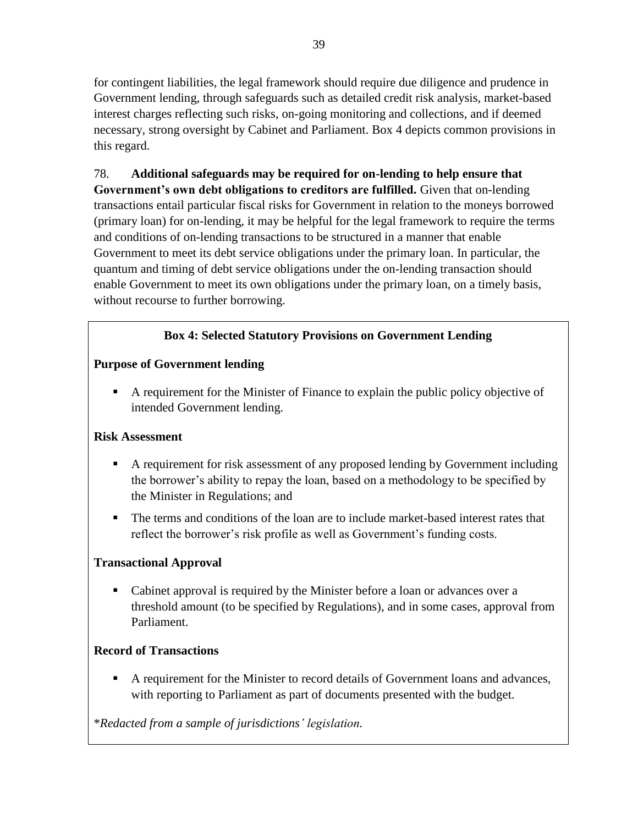for contingent liabilities, the legal framework should require due diligence and prudence in Government lending, through safeguards such as detailed credit risk analysis, market-based interest charges reflecting such risks, on-going monitoring and collections, and if deemed necessary, strong oversight by Cabinet and Parliament. Box 4 depicts common provisions in this regard.

78. **Additional safeguards may be required for on-lending to help ensure that Government's own debt obligations to creditors are fulfilled.** Given that on-lending transactions entail particular fiscal risks for Government in relation to the moneys borrowed (primary loan) for on-lending, it may be helpful for the legal framework to require the terms and conditions of on-lending transactions to be structured in a manner that enable Government to meet its debt service obligations under the primary loan. In particular, the quantum and timing of debt service obligations under the on-lending transaction should enable Government to meet its own obligations under the primary loan, on a timely basis, without recourse to further borrowing.

## **Box 4: Selected Statutory Provisions on Government Lending**

## **Purpose of Government lending**

 A requirement for the Minister of Finance to explain the public policy objective of intended Government lending.

## **Risk Assessment**

- A requirement for risk assessment of any proposed lending by Government including the borrower's ability to repay the loan, based on a methodology to be specified by the Minister in Regulations; and
- The terms and conditions of the loan are to include market-based interest rates that reflect the borrower's risk profile as well as Government's funding costs.

## **Transactional Approval**

 Cabinet approval is required by the Minister before a loan or advances over a threshold amount (to be specified by Regulations), and in some cases, approval from Parliament.

## **Record of Transactions**

 A requirement for the Minister to record details of Government loans and advances, with reporting to Parliament as part of documents presented with the budget.

\**Redacted from a sample of jurisdictions' legislation.*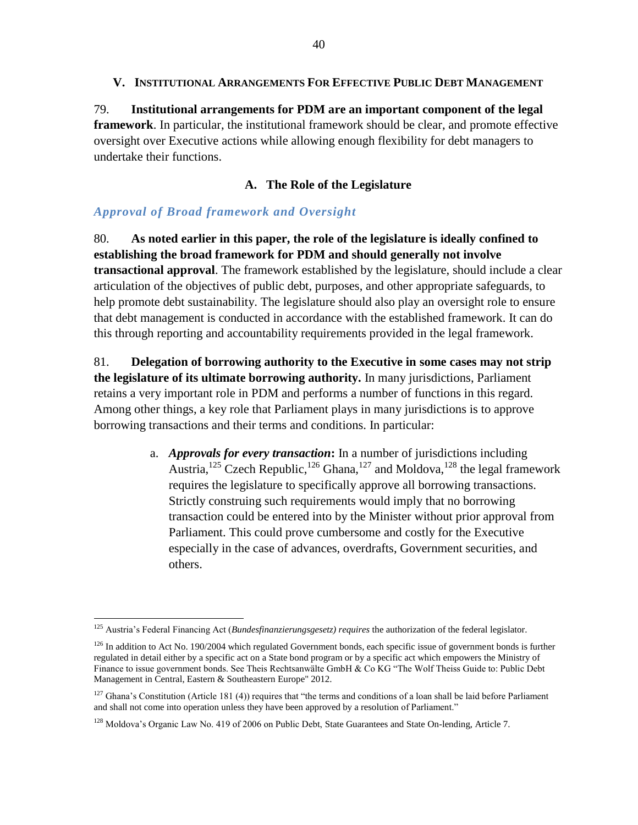79. **Institutional arrangements for PDM are an important component of the legal framework**. In particular, the institutional framework should be clear, and promote effective oversight over Executive actions while allowing enough flexibility for debt managers to undertake their functions.

## **A. The Role of the Legislature**

## *Approval of Broad framework and Oversight*

 $\overline{a}$ 

80. **As noted earlier in this paper, the role of the legislature is ideally confined to establishing the broad framework for PDM and should generally not involve transactional approval**. The framework established by the legislature, should include a clear articulation of the objectives of public debt, purposes, and other appropriate safeguards, to help promote debt sustainability. The legislature should also play an oversight role to ensure that debt management is conducted in accordance with the established framework. It can do this through reporting and accountability requirements provided in the legal framework.

81. **Delegation of borrowing authority to the Executive in some cases may not strip the legislature of its ultimate borrowing authority.** In many jurisdictions, Parliament retains a very important role in PDM and performs a number of functions in this regard. Among other things, a key role that Parliament plays in many jurisdictions is to approve borrowing transactions and their terms and conditions. In particular:

> a. *Approvals for every transaction***:** In a number of jurisdictions including Austria,<sup>125</sup> Czech Republic,<sup>126</sup> Ghana,<sup>127</sup> and Moldova,<sup>128</sup> the legal framework requires the legislature to specifically approve all borrowing transactions. Strictly construing such requirements would imply that no borrowing transaction could be entered into by the Minister without prior approval from Parliament. This could prove cumbersome and costly for the Executive especially in the case of advances, overdrafts, Government securities, and others.

<sup>125</sup> Austria's Federal Financing Act (*Bundesfinanzierungsgesetz) requires* the authorization of the federal legislator.

 $126$  In addition to Act No. 190/2004 which regulated Government bonds, each specific issue of government bonds is further regulated in detail either by a specific act on a State bond program or by a specific act which empowers the Ministry of Finance to issue government bonds. See Theis Rechtsanwälte GmbH & Co KG "The Wolf Theiss Guide to: Public Debt Management in Central, Eastern & Southeastern Europe" 2012.

 $127$  Ghana's Constitution (Article 181 (4)) requires that "the terms and conditions of a loan shall be laid before Parliament and shall not come into operation unless they have been approved by a resolution of Parliament."

<sup>&</sup>lt;sup>128</sup> Moldova's Organic Law No. 419 of 2006 on Public Debt, State Guarantees and State On-lending, Article 7.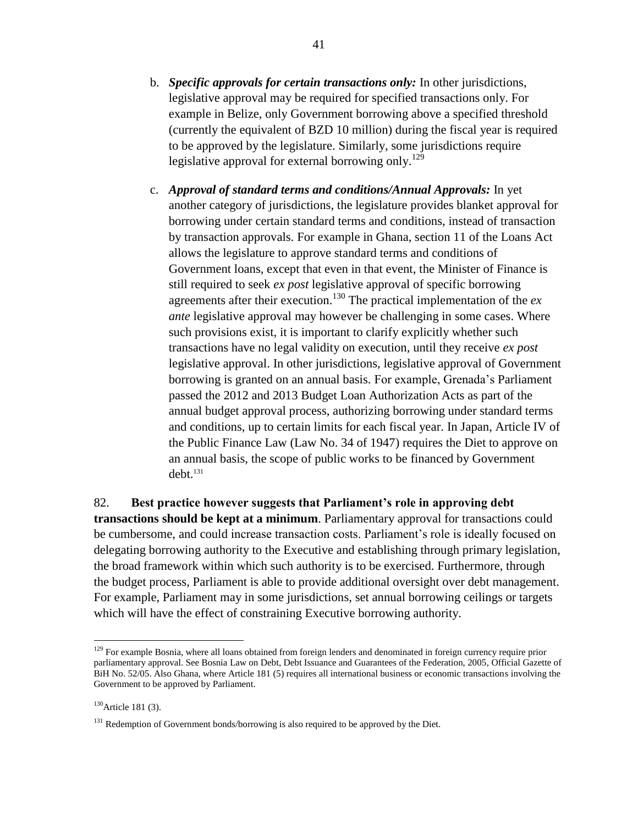- b. *Specific approvals for certain transactions only:* In other jurisdictions, legislative approval may be required for specified transactions only. For example in Belize, only Government borrowing above a specified threshold (currently the equivalent of BZD 10 million) during the fiscal year is required to be approved by the legislature. Similarly, some jurisdictions require legislative approval for external borrowing only.<sup>129</sup>
- c. *Approval of standard terms and conditions/Annual Approvals:* In yet another category of jurisdictions, the legislature provides blanket approval for borrowing under certain standard terms and conditions, instead of transaction by transaction approvals. For example in Ghana, section 11 of the Loans Act allows the legislature to approve standard terms and conditions of Government loans, except that even in that event, the Minister of Finance is still required to seek *ex post* legislative approval of specific borrowing agreements after their execution.<sup>130</sup> The practical implementation of the  $ex$ *ante* legislative approval may however be challenging in some cases. Where such provisions exist, it is important to clarify explicitly whether such transactions have no legal validity on execution, until they receive *ex post* legislative approval. In other jurisdictions, legislative approval of Government borrowing is granted on an annual basis. For example, Grenada's Parliament passed the 2012 and 2013 Budget Loan Authorization Acts as part of the annual budget approval process, authorizing borrowing under standard terms and conditions, up to certain limits for each fiscal year. In Japan, Article IV of the Public Finance Law (Law No. 34 of 1947) requires the Diet to approve on an annual basis, the scope of public works to be financed by Government debt.<sup>131</sup>

82. **Best practice however suggests that Parliament's role in approving debt transactions should be kept at a minimum**. Parliamentary approval for transactions could be cumbersome, and could increase transaction costs. Parliament's role is ideally focused on delegating borrowing authority to the Executive and establishing through primary legislation, the broad framework within which such authority is to be exercised. Furthermore, through the budget process, Parliament is able to provide additional oversight over debt management. For example, Parliament may in some jurisdictions, set annual borrowing ceilings or targets which will have the effect of constraining Executive borrowing authority.

<sup>&</sup>lt;sup>129</sup> For example Bosnia, where all loans obtained from foreign lenders and denominated in foreign currency require prior parliamentary approval. See Bosnia Law on Debt, Debt Issuance and Guarantees of the Federation, 2005, Official Gazette of BiH No. 52/05. Also Ghana, where Article 181 (5) requires all international business or economic transactions involving the Government to be approved by Parliament.

<sup>&</sup>lt;sup>130</sup> Article 181 (3).

<sup>&</sup>lt;sup>131</sup> Redemption of Government bonds/borrowing is also required to be approved by the Diet.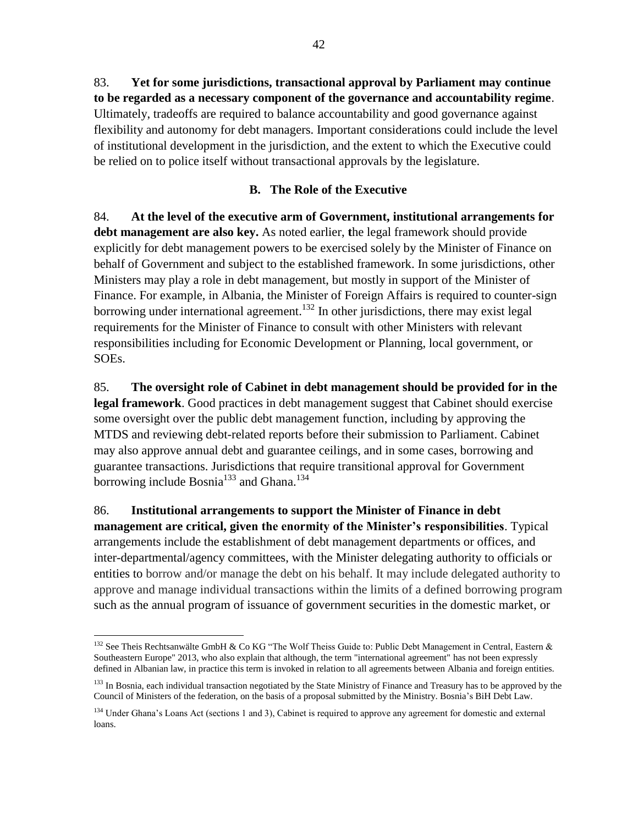83. **Yet for some jurisdictions, transactional approval by Parliament may continue to be regarded as a necessary component of the governance and accountability regime**. Ultimately, tradeoffs are required to balance accountability and good governance against flexibility and autonomy for debt managers. Important considerations could include the level of institutional development in the jurisdiction, and the extent to which the Executive could be relied on to police itself without transactional approvals by the legislature.

## **B. The Role of the Executive**

84. **At the level of the executive arm of Government, institutional arrangements for debt management are also key.** As noted earlier, **t**he legal framework should provide explicitly for debt management powers to be exercised solely by the Minister of Finance on behalf of Government and subject to the established framework. In some jurisdictions, other Ministers may play a role in debt management, but mostly in support of the Minister of Finance. For example, in Albania, the Minister of Foreign Affairs is required to counter-sign borrowing under international agreement.<sup>132</sup> In other jurisdictions, there may exist legal requirements for the Minister of Finance to consult with other Ministers with relevant responsibilities including for Economic Development or Planning, local government, or SOEs.

85. **The oversight role of Cabinet in debt management should be provided for in the legal framework**. Good practices in debt management suggest that Cabinet should exercise some oversight over the public debt management function, including by approving the MTDS and reviewing debt-related reports before their submission to Parliament. Cabinet may also approve annual debt and guarantee ceilings, and in some cases, borrowing and guarantee transactions. Jurisdictions that require transitional approval for Government borrowing include Bosnia<sup>133</sup> and Ghana.<sup>134</sup>

86. **Institutional arrangements to support the Minister of Finance in debt management are critical, given the enormity of the Minister's responsibilities**. Typical arrangements include the establishment of debt management departments or offices, and inter-departmental/agency committees, with the Minister delegating authority to officials or entities to borrow and/or manage the debt on his behalf. It may include delegated authority to approve and manage individual transactions within the limits of a defined borrowing program such as the annual program of issuance of government securities in the domestic market, or

 $\overline{a}$ <sup>132</sup> See Theis Rechtsanwälte GmbH & Co KG "The Wolf Theiss Guide to: Public Debt Management in Central, Eastern & Southeastern Europe" 2013, who also explain that although, the term "international agreement" has not been expressly defined in Albanian law, in practice this term is invoked in relation to all agreements between Albania and foreign entities.

<sup>&</sup>lt;sup>133</sup> In Bosnia, each individual transaction negotiated by the State Ministry of Finance and Treasury has to be approved by the Council of Ministers of the federation, on the basis of a proposal submitted by the Ministry. Bosnia's BiH Debt Law.

<sup>&</sup>lt;sup>134</sup> Under Ghana's Loans Act (sections 1 and 3), Cabinet is required to approve any agreement for domestic and external loans.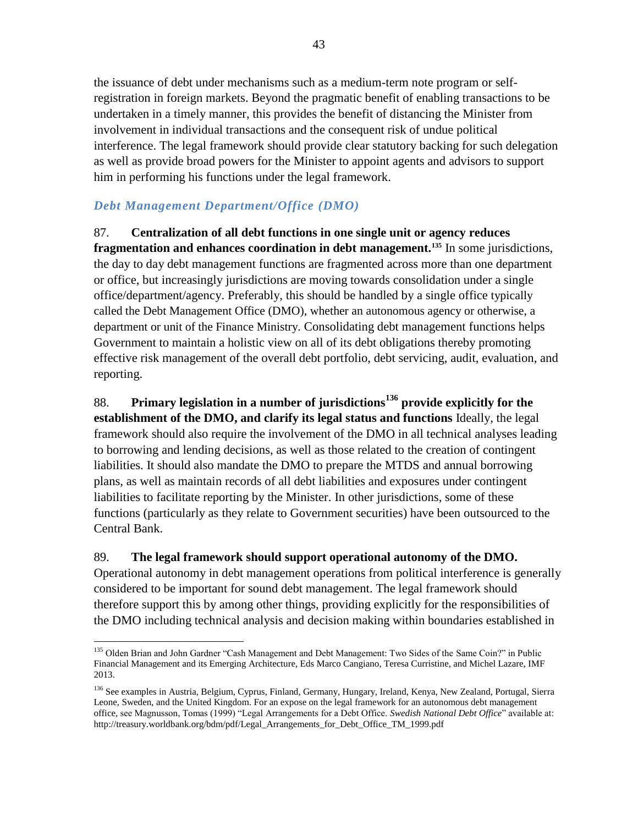the issuance of debt under mechanisms such as a medium-term note program or selfregistration in foreign markets. Beyond the pragmatic benefit of enabling transactions to be undertaken in a timely manner, this provides the benefit of distancing the Minister from involvement in individual transactions and the consequent risk of undue political interference. The legal framework should provide clear statutory backing for such delegation as well as provide broad powers for the Minister to appoint agents and advisors to support him in performing his functions under the legal framework.

## *Debt Management Department/Office (DMO)*

87. **Centralization of all debt functions in one single unit or agency reduces fragmentation and enhances coordination in debt management.<sup>135</sup>** In some jurisdictions, the day to day debt management functions are fragmented across more than one department or office, but increasingly jurisdictions are moving towards consolidation under a single office/department/agency. Preferably, this should be handled by a single office typically called the Debt Management Office (DMO), whether an autonomous agency or otherwise, a department or unit of the Finance Ministry. Consolidating debt management functions helps Government to maintain a holistic view on all of its debt obligations thereby promoting effective risk management of the overall debt portfolio, debt servicing, audit, evaluation, and reporting.

88. **Primary legislation in a number of jurisdictions<sup>136</sup> provide explicitly for the establishment of the DMO, and clarify its legal status and functions** Ideally, the legal framework should also require the involvement of the DMO in all technical analyses leading to borrowing and lending decisions, as well as those related to the creation of contingent liabilities. It should also mandate the DMO to prepare the MTDS and annual borrowing plans, as well as maintain records of all debt liabilities and exposures under contingent liabilities to facilitate reporting by the Minister. In other jurisdictions, some of these functions (particularly as they relate to Government securities) have been outsourced to the Central Bank.

## 89. **The legal framework should support operational autonomy of the DMO.**

Operational autonomy in debt management operations from political interference is generally considered to be important for sound debt management. The legal framework should therefore support this by among other things, providing explicitly for the responsibilities of the DMO including technical analysis and decision making within boundaries established in

 $\overline{a}$ <sup>135</sup> Olden Brian and John Gardner "Cash Management and Debt Management: Two Sides of the Same Coin?" in Public Financial Management and its Emerging Architecture, Eds Marco Cangiano, Teresa Curristine, and Michel Lazare, IMF 2013.

<sup>&</sup>lt;sup>136</sup> See examples in Austria, Belgium, Cyprus, Finland, Germany, Hungary, Ireland, Kenya, New Zealand, Portugal, Sierra Leone, Sweden, and the United Kingdom. For an expose on the legal framework for an autonomous debt management office, see Magnusson, Tomas (1999) "Legal Arrangements for a Debt Office. *Swedish National Debt Office*" available at: http://treasury.worldbank.org/bdm/pdf/Legal\_Arrangements\_for\_Debt\_Office\_TM\_1999.pdf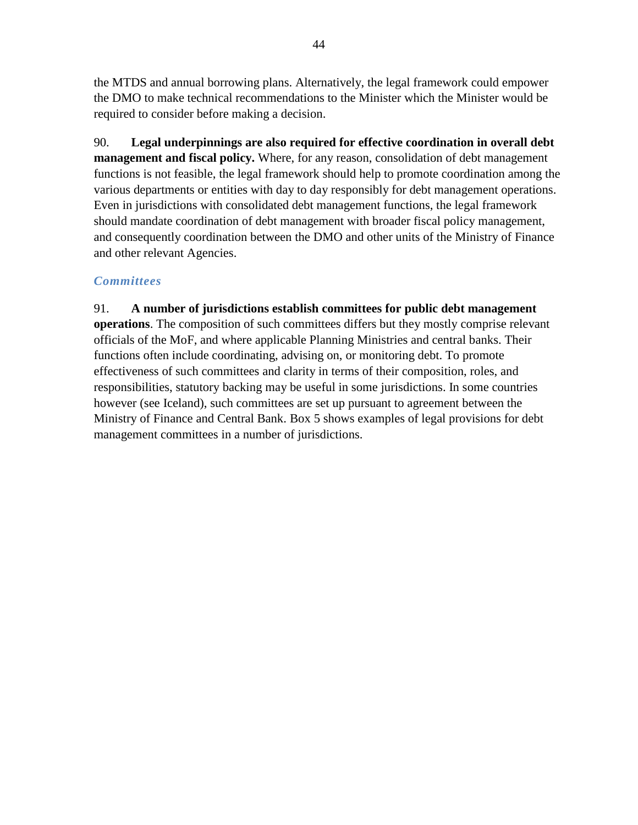the MTDS and annual borrowing plans. Alternatively, the legal framework could empower the DMO to make technical recommendations to the Minister which the Minister would be required to consider before making a decision.

90. **Legal underpinnings are also required for effective coordination in overall debt management and fiscal policy.** Where, for any reason, consolidation of debt management functions is not feasible, the legal framework should help to promote coordination among the various departments or entities with day to day responsibly for debt management operations. Even in jurisdictions with consolidated debt management functions, the legal framework should mandate coordination of debt management with broader fiscal policy management, and consequently coordination between the DMO and other units of the Ministry of Finance and other relevant Agencies.

## *Committees*

91. **A number of jurisdictions establish committees for public debt management operations**. The composition of such committees differs but they mostly comprise relevant officials of the MoF, and where applicable Planning Ministries and central banks. Their functions often include coordinating, advising on, or monitoring debt. To promote effectiveness of such committees and clarity in terms of their composition, roles, and responsibilities, statutory backing may be useful in some jurisdictions. In some countries however (see Iceland), such committees are set up pursuant to agreement between the Ministry of Finance and Central Bank. Box 5 shows examples of legal provisions for debt management committees in a number of jurisdictions.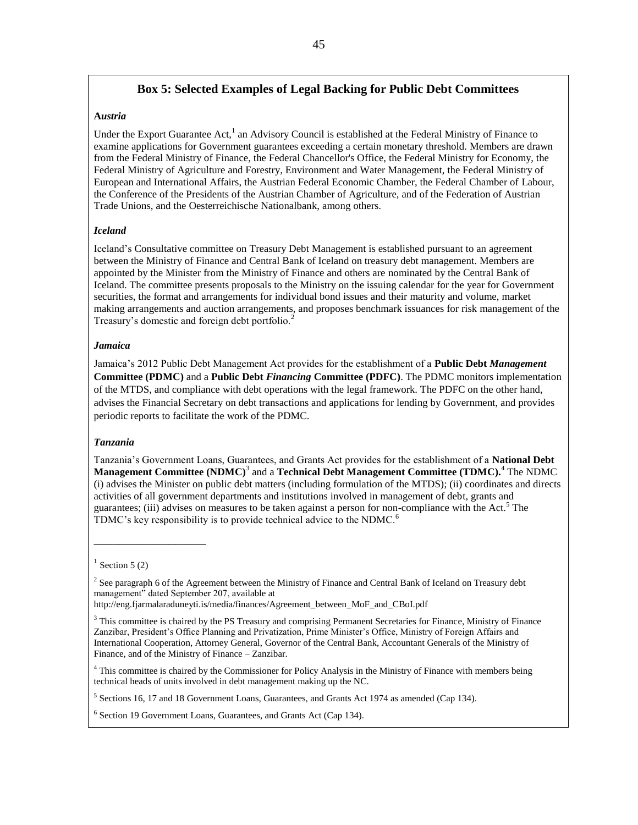## **Box 5: Selected Examples of Legal Backing for Public Debt Committees**

#### **A***ustria*

Under the Export Guarantee Act,<sup>1</sup> an Advisory Council is established at the Federal Ministry of Finance to examine applications for Government guarantees exceeding a certain monetary threshold. Members are drawn from the Federal Ministry of Finance, the Federal Chancellor's Office, the Federal Ministry for Economy, the Federal Ministry of Agriculture and Forestry, Environment and Water Management, the Federal Ministry of European and International Affairs, the Austrian Federal Economic Chamber, the Federal Chamber of Labour, the Conference of the Presidents of the Austrian Chamber of Agriculture, and of the Federation of Austrian Trade Unions, and the Oesterreichische Nationalbank, among others.

#### *Iceland*

Iceland's Consultative committee on Treasury Debt Management is established pursuant to an agreement between the Ministry of Finance and Central Bank of Iceland on treasury debt management. Members are appointed by the Minister from the Ministry of Finance and others are nominated by the Central Bank of Iceland. The committee presents proposals to the Ministry on the issuing calendar for the year for Government securities, the format and arrangements for individual bond issues and their maturity and volume, market making arrangements and auction arrangements, and proposes benchmark issuances for risk management of the Treasury's domestic and foreign debt portfolio.<sup>2</sup>

#### *Jamaica*

Jamaica's 2012 Public Debt Management Act provides for the establishment of a **Public Debt** *Management* **Committee (PDMC)** and a **Public Debt** *Financing* **Committee (PDFC)**. The PDMC monitors implementation of the MTDS, and compliance with debt operations with the legal framework. The PDFC on the other hand, advises the Financial Secretary on debt transactions and applications for lending by Government, and provides periodic reports to facilitate the work of the PDMC.

#### *Tanzania*

Tanzania's Government Loans, Guarantees, and Grants Act provides for the establishment of a **National Debt Management Committee (NDMC)**<sup>3</sup> and a **Technical Debt Management Committee (TDMC).**<sup>4</sup> The NDMC (i) advises the Minister on public debt matters (including formulation of the MTDS); (ii) coordinates and directs activities of all government departments and institutions involved in management of debt, grants and guarantees; (iii) advises on measures to be taken against a person for non-compliance with the Act.<sup>5</sup> The TDMC's key responsibility is to provide technical advice to the NDMC.<sup>6</sup>

\_\_\_\_\_\_\_\_\_\_\_\_\_\_\_\_\_\_

http://eng.fjarmalaraduneyti.is/media/finances/Agreement\_between\_MoF\_and\_CBoI.pdf

 $1$  Section 5 (2)

<sup>&</sup>lt;sup>2</sup> See paragraph 6 of the Agreement between the Ministry of Finance and Central Bank of Iceland on Treasury debt management" dated September 207, available at

<sup>&</sup>lt;sup>3</sup> This committee is chaired by the PS Treasury and comprising Permanent Secretaries for Finance, Ministry of Finance Zanzibar, President's Office Planning and Privatization, Prime Minister's Office, Ministry of Foreign Affairs and International Cooperation, Attorney General, Governor of the Central Bank, Accountant Generals of the Ministry of Finance, and of the Ministry of Finance – Zanzibar.

<sup>&</sup>lt;sup>4</sup> This committee is chaired by the Commissioner for Policy Analysis in the Ministry of Finance with members being technical heads of units involved in debt management making up the NC.

<sup>&</sup>lt;sup>5</sup> Sections 16, 17 and 18 Government Loans, Guarantees, and Grants Act 1974 as amended (Cap 134).

<sup>&</sup>lt;sup>6</sup> Section 19 Government Loans, Guarantees, and Grants Act (Cap 134).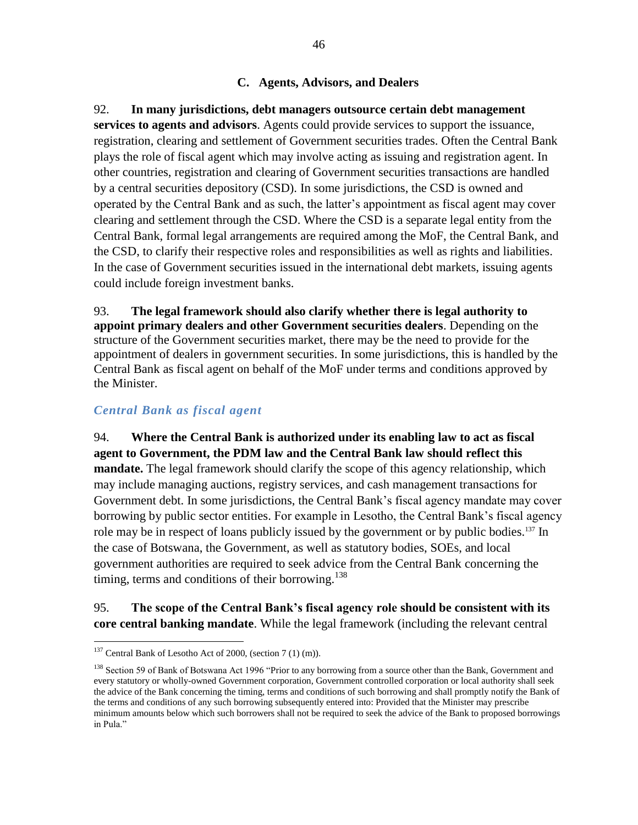#### **C. Agents, Advisors, and Dealers**

92. **In many jurisdictions, debt managers outsource certain debt management services to agents and advisors**. Agents could provide services to support the issuance, registration, clearing and settlement of Government securities trades. Often the Central Bank plays the role of fiscal agent which may involve acting as issuing and registration agent. In other countries, registration and clearing of Government securities transactions are handled by a central securities depository (CSD). In some jurisdictions, the CSD is owned and operated by the Central Bank and as such, the latter's appointment as fiscal agent may cover clearing and settlement through the CSD. Where the CSD is a separate legal entity from the Central Bank, formal legal arrangements are required among the MoF, the Central Bank, and the CSD, to clarify their respective roles and responsibilities as well as rights and liabilities. In the case of Government securities issued in the international debt markets, issuing agents could include foreign investment banks.

93. **The legal framework should also clarify whether there is legal authority to appoint primary dealers and other Government securities dealers**. Depending on the structure of the Government securities market, there may be the need to provide for the appointment of dealers in government securities. In some jurisdictions, this is handled by the Central Bank as fiscal agent on behalf of the MoF under terms and conditions approved by the Minister.

## *Central Bank as fiscal agent*

94. **Where the Central Bank is authorized under its enabling law to act as fiscal agent to Government, the PDM law and the Central Bank law should reflect this mandate.** The legal framework should clarify the scope of this agency relationship, which may include managing auctions, registry services, and cash management transactions for Government debt. In some jurisdictions, the Central Bank's fiscal agency mandate may cover borrowing by public sector entities. For example in Lesotho, the Central Bank's fiscal agency role may be in respect of loans publicly issued by the government or by public bodies.<sup>137</sup> In the case of Botswana, the Government, as well as statutory bodies, SOEs, and local government authorities are required to seek advice from the Central Bank concerning the timing, terms and conditions of their borrowing. $138$ 

## 95. **The scope of the Central Bank's fiscal agency role should be consistent with its core central banking mandate**. While the legal framework (including the relevant central

 $137$  Central Bank of Lesotho Act of 2000, (section 7 (1) (m)).

<sup>&</sup>lt;sup>138</sup> Section 59 of Bank of Botswana Act 1996 "Prior to any borrowing from a source other than the Bank, Government and every statutory or wholly-owned Government corporation, Government controlled corporation or local authority shall seek the advice of the Bank concerning the timing, terms and conditions of such borrowing and shall promptly notify the Bank of the terms and conditions of any such borrowing subsequently entered into: Provided that the Minister may prescribe minimum amounts below which such borrowers shall not be required to seek the advice of the Bank to proposed borrowings in Pula."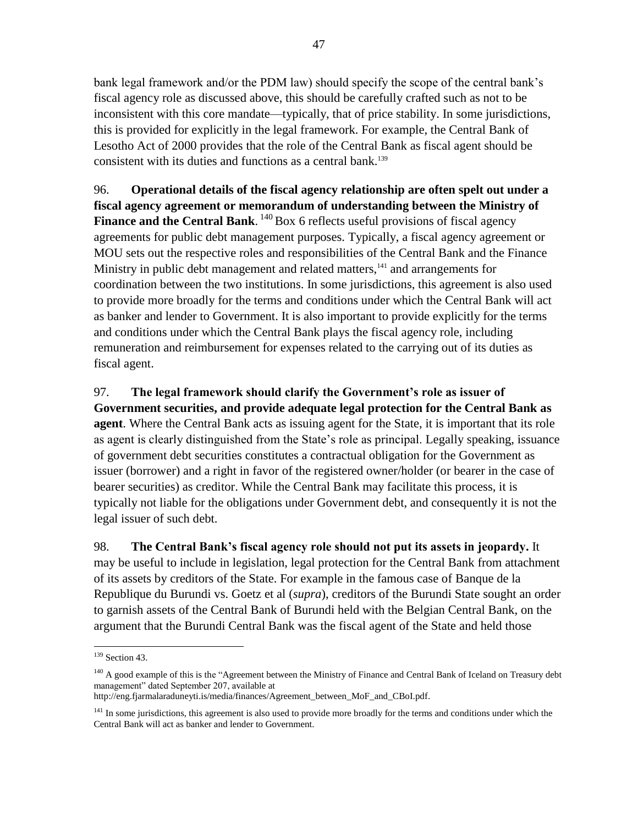bank legal framework and/or the PDM law) should specify the scope of the central bank's fiscal agency role as discussed above, this should be carefully crafted such as not to be inconsistent with this core mandate—typically, that of price stability. In some jurisdictions, this is provided for explicitly in the legal framework. For example, the Central Bank of Lesotho Act of 2000 provides that the role of the Central Bank as fiscal agent should be consistent with its duties and functions as a central bank.<sup>139</sup>

96. **Operational details of the fiscal agency relationship are often spelt out under a fiscal agency agreement or memorandum of understanding between the Ministry of Finance and the Central Bank.** <sup>140</sup> Box 6 reflects useful provisions of fiscal agency agreements for public debt management purposes. Typically, a fiscal agency agreement or MOU sets out the respective roles and responsibilities of the Central Bank and the Finance Ministry in public debt management and related matters,<sup>141</sup> and arrangements for coordination between the two institutions. In some jurisdictions, this agreement is also used to provide more broadly for the terms and conditions under which the Central Bank will act as banker and lender to Government. It is also important to provide explicitly for the terms and conditions under which the Central Bank plays the fiscal agency role, including remuneration and reimbursement for expenses related to the carrying out of its duties as fiscal agent.

97. **The legal framework should clarify the Government's role as issuer of Government securities, and provide adequate legal protection for the Central Bank as agent**. Where the Central Bank acts as issuing agent for the State, it is important that its role as agent is clearly distinguished from the State's role as principal. Legally speaking, issuance of government debt securities constitutes a contractual obligation for the Government as issuer (borrower) and a right in favor of the registered owner/holder (or bearer in the case of bearer securities) as creditor. While the Central Bank may facilitate this process, it is typically not liable for the obligations under Government debt, and consequently it is not the legal issuer of such debt.

98. **The Central Bank's fiscal agency role should not put its assets in jeopardy.** It may be useful to include in legislation, legal protection for the Central Bank from attachment of its assets by creditors of the State. For example in the famous case of Banque de la Republique du Burundi vs. Goetz et al (*supra*), creditors of the Burundi State sought an order to garnish assets of the Central Bank of Burundi held with the Belgian Central Bank, on the argument that the Burundi Central Bank was the fiscal agent of the State and held those

 $\overline{a}$ 

http://eng.fjarmalaraduneyti.is/media/finances/Agreement\_between\_MoF\_and\_CBoI.pdf.

 $139$  Section 43.

<sup>&</sup>lt;sup>140</sup> A good example of this is the "Agreement between the Ministry of Finance and Central Bank of Iceland on Treasury debt management" dated September 207, available at

<sup>&</sup>lt;sup>141</sup> In some jurisdictions, this agreement is also used to provide more broadly for the terms and conditions under which the Central Bank will act as banker and lender to Government.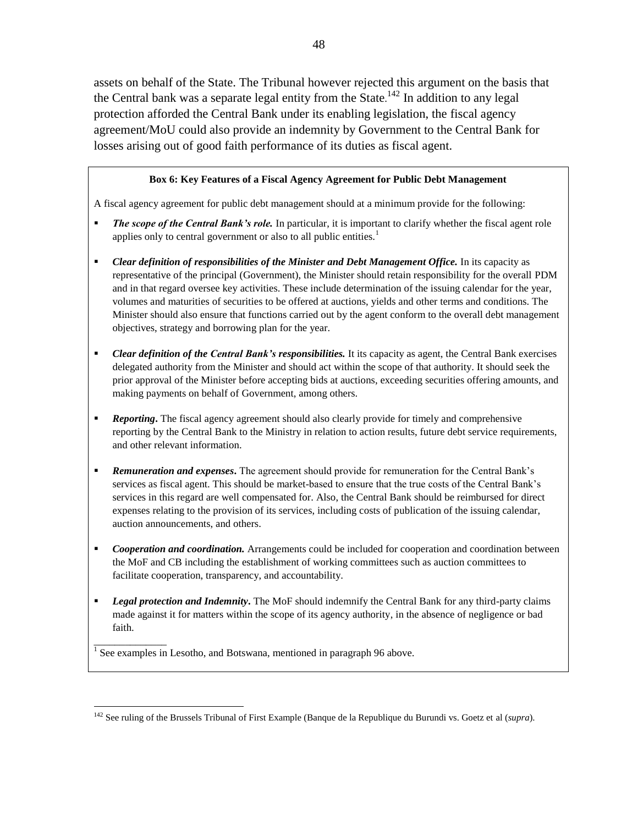assets on behalf of the State. The Tribunal however rejected this argument on the basis that the Central bank was a separate legal entity from the State.<sup>142</sup> In addition to any legal protection afforded the Central Bank under its enabling legislation, the fiscal agency agreement/MoU could also provide an indemnity by Government to the Central Bank for losses arising out of good faith performance of its duties as fiscal agent.

#### **Box 6: Key Features of a Fiscal Agency Agreement for Public Debt Management**

A fiscal agency agreement for public debt management should at a minimum provide for the following:

- *The scope of the Central Bank's role.* In particular, it is important to clarify whether the fiscal agent role applies only to central government or also to all public entities.<sup>1</sup>
- *Clear definition of responsibilities of the Minister and Debt Management Office.* In its capacity as representative of the principal (Government), the Minister should retain responsibility for the overall PDM and in that regard oversee key activities. These include determination of the issuing calendar for the year, volumes and maturities of securities to be offered at auctions, yields and other terms and conditions. The Minister should also ensure that functions carried out by the agent conform to the overall debt management objectives, strategy and borrowing plan for the year.
- *Clear definition of the Central Bank's responsibilities.* It its capacity as agent, the Central Bank exercises delegated authority from the Minister and should act within the scope of that authority. It should seek the prior approval of the Minister before accepting bids at auctions, exceeding securities offering amounts, and making payments on behalf of Government, among others.
- *Reporting***.** The fiscal agency agreement should also clearly provide for timely and comprehensive reporting by the Central Bank to the Ministry in relation to action results, future debt service requirements, and other relevant information.
- **Remuneration and expenses.** The agreement should provide for remuneration for the Central Bank's services as fiscal agent. This should be market-based to ensure that the true costs of the Central Bank's services in this regard are well compensated for. Also, the Central Bank should be reimbursed for direct expenses relating to the provision of its services, including costs of publication of the issuing calendar, auction announcements, and others.
- *Cooperation and coordination.* Arrangements could be included for cooperation and coordination between the MoF and CB including the establishment of working committees such as auction committees to facilitate cooperation, transparency, and accountability.
- **•** Legal protection and Indemnity. The MoF should indemnify the Central Bank for any third-party claims made against it for matters within the scope of its agency authority, in the absence of negligence or bad faith.

 $<sup>1</sup>$  See examples in Lesotho, and Botswana, mentioned in paragraph 96 above.</sup>

\_\_\_\_\_\_\_\_\_\_\_\_\_\_

<sup>142</sup> See ruling of the Brussels Tribunal of First Example (Banque de la Republique du Burundi vs. Goetz et al (*supra*).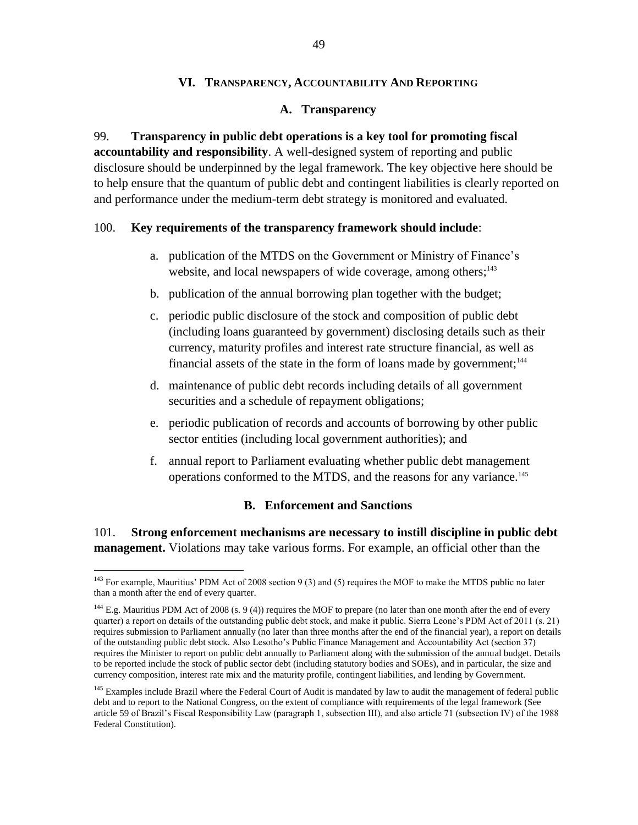#### **VI. TRANSPARENCY, ACCOUNTABILITY AND REPORTING**

#### **A. Transparency**

99. **Transparency in public debt operations is a key tool for promoting fiscal accountability and responsibility**. A well-designed system of reporting and public disclosure should be underpinned by the legal framework. The key objective here should be to help ensure that the quantum of public debt and contingent liabilities is clearly reported on and performance under the medium-term debt strategy is monitored and evaluated.

#### 100. **Key requirements of the transparency framework should include**:

- a. publication of the MTDS on the Government or Ministry of Finance's website, and local newspapers of wide coverage, among others;<sup>143</sup>
- b. publication of the annual borrowing plan together with the budget;
- c. periodic public disclosure of the stock and composition of public debt (including loans guaranteed by government) disclosing details such as their currency, maturity profiles and interest rate structure financial, as well as financial assets of the state in the form of loans made by government; $144$
- d. maintenance of public debt records including details of all government securities and a schedule of repayment obligations;
- e. periodic publication of records and accounts of borrowing by other public sector entities (including local government authorities); and
- f. annual report to Parliament evaluating whether public debt management operations conformed to the MTDS, and the reasons for any variance.<sup>145</sup>

## **B. Enforcement and Sanctions**

101. **Strong enforcement mechanisms are necessary to instill discipline in public debt management.** Violations may take various forms. For example, an official other than the

<sup>&</sup>lt;sup>143</sup> For example, Mauritius' PDM Act of 2008 section 9 (3) and (5) requires the MOF to make the MTDS public no later than a month after the end of every quarter.

 $144$  E.g. Mauritius PDM Act of 2008 (s. 9 (4)) requires the MOF to prepare (no later than one month after the end of every quarter) a report on details of the outstanding public debt stock, and make it public. Sierra Leone's PDM Act of 2011 (s. 21) requires submission to Parliament annually (no later than three months after the end of the financial year), a report on details of the outstanding public debt stock. Also Lesotho's Public Finance Management and Accountability Act (section 37) requires the Minister to report on public debt annually to Parliament along with the submission of the annual budget. Details to be reported include the stock of public sector debt (including statutory bodies and SOEs), and in particular, the size and currency composition, interest rate mix and the maturity profile, contingent liabilities, and lending by Government.

<sup>&</sup>lt;sup>145</sup> Examples include Brazil where the Federal Court of Audit is mandated by law to audit the management of federal public debt and to report to the National Congress, on the extent of compliance with requirements of the legal framework (See article 59 of Brazil's Fiscal Responsibility Law (paragraph 1, subsection III), and also article 71 (subsection IV) of the 1988 Federal Constitution).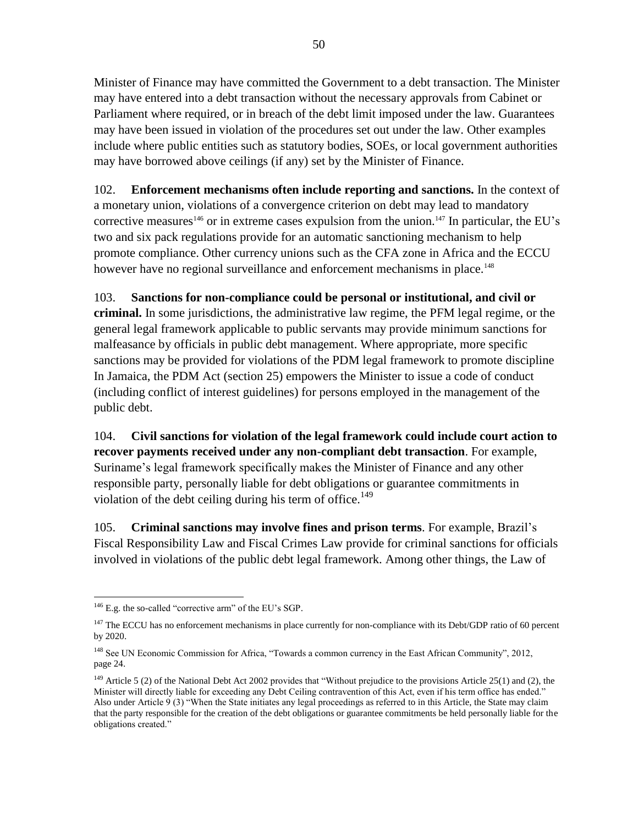Minister of Finance may have committed the Government to a debt transaction. The Minister may have entered into a debt transaction without the necessary approvals from Cabinet or Parliament where required, or in breach of the debt limit imposed under the law. Guarantees may have been issued in violation of the procedures set out under the law. Other examples include where public entities such as statutory bodies, SOEs, or local government authorities may have borrowed above ceilings (if any) set by the Minister of Finance.

102. **Enforcement mechanisms often include reporting and sanctions.** In the context of a monetary union, violations of a convergence criterion on debt may lead to mandatory corrective measures<sup>146</sup> or in extreme cases expulsion from the union.<sup>147</sup> In particular, the EU's two and six pack regulations provide for an automatic sanctioning mechanism to help promote compliance. Other currency unions such as the CFA zone in Africa and the ECCU however have no regional surveillance and enforcement mechanisms in place.<sup>148</sup>

103. **Sanctions for non-compliance could be personal or institutional, and civil or criminal.** In some jurisdictions, the administrative law regime, the PFM legal regime, or the general legal framework applicable to public servants may provide minimum sanctions for malfeasance by officials in public debt management. Where appropriate, more specific sanctions may be provided for violations of the PDM legal framework to promote discipline In Jamaica, the PDM Act (section 25) empowers the Minister to issue a code of conduct (including conflict of interest guidelines) for persons employed in the management of the public debt.

104. **Civil sanctions for violation of the legal framework could include court action to recover payments received under any non-compliant debt transaction**. For example, Suriname's legal framework specifically makes the Minister of Finance and any other responsible party, personally liable for debt obligations or guarantee commitments in violation of the debt ceiling during his term of office.<sup>149</sup>

105. **Criminal sanctions may involve fines and prison terms**. For example, Brazil's Fiscal Responsibility Law and Fiscal Crimes Law provide for criminal sanctions for officials involved in violations of the public debt legal framework. Among other things, the Law of

 $\overline{a}$  $146$  E.g. the so-called "corrective arm" of the EU's SGP.

 $147$  The ECCU has no enforcement mechanisms in place currently for non-compliance with its Debt/GDP ratio of 60 percent by 2020.

<sup>&</sup>lt;sup>148</sup> See UN Economic Commission for Africa, "Towards a common currency in the East African Community", 2012, page 24.

<sup>&</sup>lt;sup>149</sup> Article 5 (2) of the National Debt Act 2002 provides that "Without prejudice to the provisions Article 25(1) and (2), the Minister will directly liable for exceeding any Debt Ceiling contravention of this Act, even if his term office has ended." Also under Article 9 (3) "When the State initiates any legal proceedings as referred to in this Article, the State may claim that the party responsible for the creation of the debt obligations or guarantee commitments be held personally liable for the obligations created."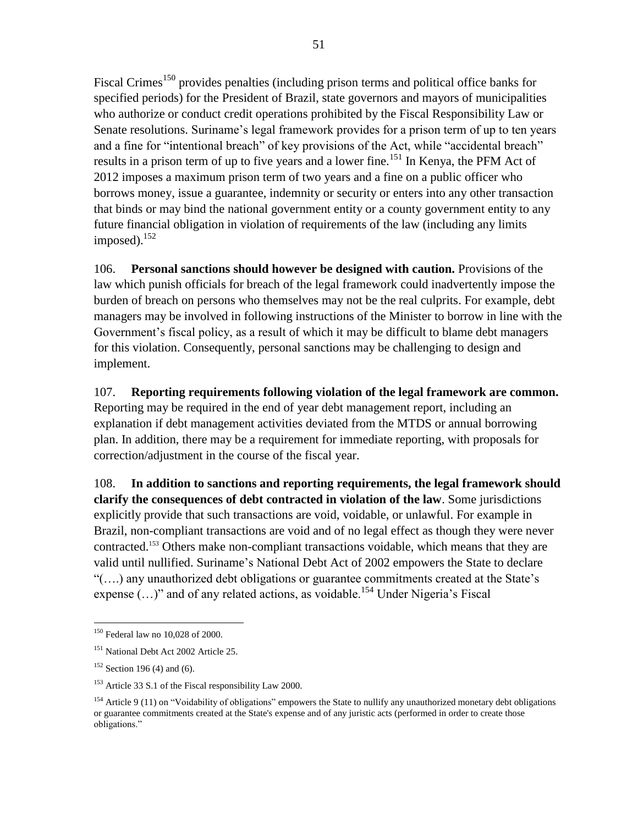Fiscal Crimes<sup>150</sup> provides penalties (including prison terms and political office banks for specified periods) for the President of Brazil, state governors and mayors of municipalities who authorize or conduct credit operations prohibited by the Fiscal Responsibility Law or Senate resolutions. Suriname's legal framework provides for a prison term of up to ten years and a fine for "intentional breach" of key provisions of the Act, while "accidental breach" results in a prison term of up to five years and a lower fine.<sup>151</sup> In Kenya, the PFM Act of 2012 imposes a maximum prison term of two years and a fine on a public officer who borrows money, issue a guarantee, indemnity or security or enters into any other transaction that binds or may bind the national government entity or a county government entity to any future financial obligation in violation of requirements of the law (including any limits imposed). $152$ 

106. **Personal sanctions should however be designed with caution.** Provisions of the law which punish officials for breach of the legal framework could inadvertently impose the burden of breach on persons who themselves may not be the real culprits. For example, debt managers may be involved in following instructions of the Minister to borrow in line with the Government's fiscal policy, as a result of which it may be difficult to blame debt managers for this violation. Consequently, personal sanctions may be challenging to design and implement.

107. **Reporting requirements following violation of the legal framework are common.**  Reporting may be required in the end of year debt management report, including an explanation if debt management activities deviated from the MTDS or annual borrowing plan. In addition, there may be a requirement for immediate reporting, with proposals for correction/adjustment in the course of the fiscal year.

108. **In addition to sanctions and reporting requirements, the legal framework should clarify the consequences of debt contracted in violation of the law**. Some jurisdictions explicitly provide that such transactions are void, voidable, or unlawful. For example in Brazil, non-compliant transactions are void and of no legal effect as though they were never contracted. <sup>153</sup> Others make non-compliant transactions voidable, which means that they are valid until nullified. Suriname's National Debt Act of 2002 empowers the State to declare "(….) any unauthorized debt obligations or guarantee commitments created at the State's expense  $(...)$ " and of any related actions, as voidable.<sup>154</sup> Under Nigeria's Fiscal

<sup>150</sup> Federal law no 10,028 of 2000.

<sup>151</sup> National Debt Act 2002 Article 25.

 $152$  Section 196 (4) and (6).

<sup>&</sup>lt;sup>153</sup> Article 33 S.1 of the Fiscal responsibility Law 2000.

<sup>&</sup>lt;sup>154</sup> Article 9 (11) on "Voidability of obligations" empowers the State to nullify any unauthorized monetary debt obligations or guarantee commitments created at the State's expense and of any juristic acts (performed in order to create those obligations."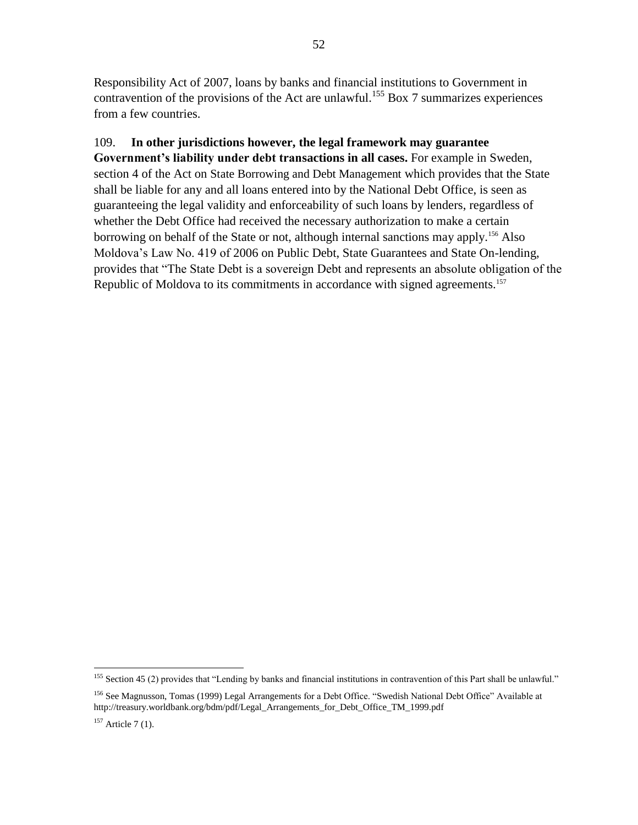Responsibility Act of 2007, loans by banks and financial institutions to Government in contravention of the provisions of the Act are unlawful.<sup>155</sup> Box 7 summarizes experiences from a few countries.

## 109. **In other jurisdictions however, the legal framework may guarantee**

**Government's liability under debt transactions in all cases.** For example in Sweden, section 4 of the Act on State Borrowing and Debt Management which provides that the State shall be liable for any and all loans entered into by the National Debt Office, is seen as guaranteeing the legal validity and enforceability of such loans by lenders, regardless of whether the Debt Office had received the necessary authorization to make a certain borrowing on behalf of the State or not, although internal sanctions may apply.<sup>156</sup> Also Moldova's Law No. 419 of 2006 on Public Debt, State Guarantees and State On-lending, provides that "The State Debt is a sovereign Debt and represents an absolute obligation of the Republic of Moldova to its commitments in accordance with signed agreements.<sup>157</sup>

 $\overline{a}$ <sup>155</sup> Section 45 (2) provides that "Lending by banks and financial institutions in contravention of this Part shall be unlawful."

<sup>156</sup> See Magnusson, Tomas (1999) Legal Arrangements for a Debt Office. "Swedish National Debt Office" Available at http://treasury.worldbank.org/bdm/pdf/Legal\_Arrangements\_for\_Debt\_Office\_TM\_1999.pdf

 $157$  Article 7 (1).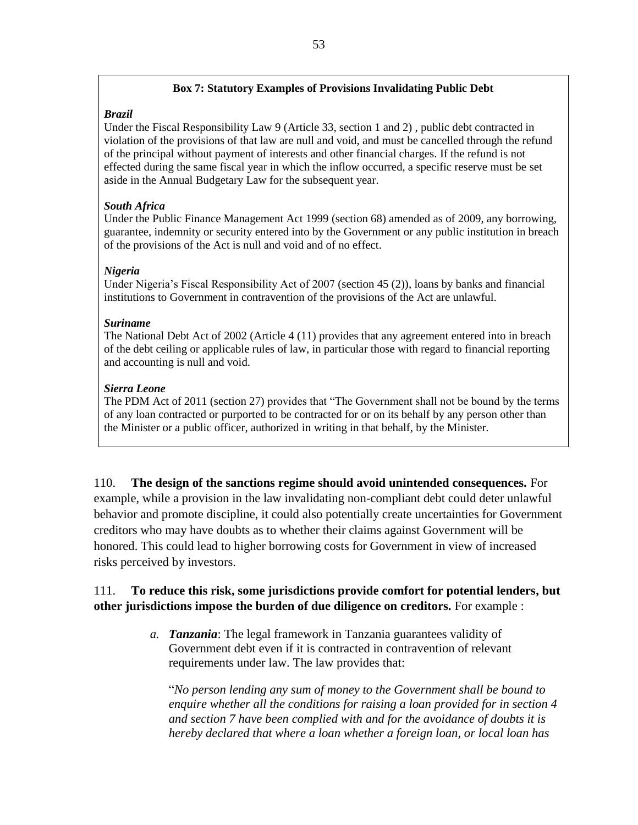#### **Box 7: Statutory Examples of Provisions Invalidating Public Debt**

## *Brazil*

Under the Fiscal Responsibility Law 9 (Article 33, section 1 and 2) , public debt contracted in violation of the provisions of that law are null and void, and must be cancelled through the refund of the principal without payment of interests and other financial charges. If the refund is not effected during the same fiscal year in which the inflow occurred, a specific reserve must be set aside in the Annual Budgetary Law for the subsequent year.

## *South Africa*

Under the Public Finance Management Act 1999 (section 68) amended as of 2009, any borrowing, guarantee, indemnity or security entered into by the Government or any public institution in breach of the provisions of the Act is null and void and of no effect.

## *Nigeria*

Under Nigeria's Fiscal Responsibility Act of 2007 (section 45 (2)), loans by banks and financial institutions to Government in contravention of the provisions of the Act are unlawful.

## *Suriname*

The National Debt Act of 2002 (Article 4 (11) provides that any agreement entered into in breach of the debt ceiling or applicable rules of law, in particular those with regard to financial reporting and accounting is null and void.

## *Sierra Leone*

The PDM Act of 2011 (section 27) provides that "The Government shall not be bound by the terms of any loan contracted or purported to be contracted for or on its behalf by any person other than the Minister or a public officer, authorized in writing in that behalf, by the Minister.

110. **The design of the sanctions regime should avoid unintended consequences.** For example, while a provision in the law invalidating non-compliant debt could deter unlawful behavior and promote discipline, it could also potentially create uncertainties for Government creditors who may have doubts as to whether their claims against Government will be honored. This could lead to higher borrowing costs for Government in view of increased risks perceived by investors.

## 111. **To reduce this risk, some jurisdictions provide comfort for potential lenders, but other jurisdictions impose the burden of due diligence on creditors.** For example :

*a. Tanzania*: The legal framework in Tanzania guarantees validity of Government debt even if it is contracted in contravention of relevant requirements under law. The law provides that:

"*No person lending any sum of money to the Government shall be bound to enquire whether all the conditions for raising a loan provided for in section 4 and section 7 have been complied with and for the avoidance of doubts it is hereby declared that where a loan whether a foreign loan, or local loan has*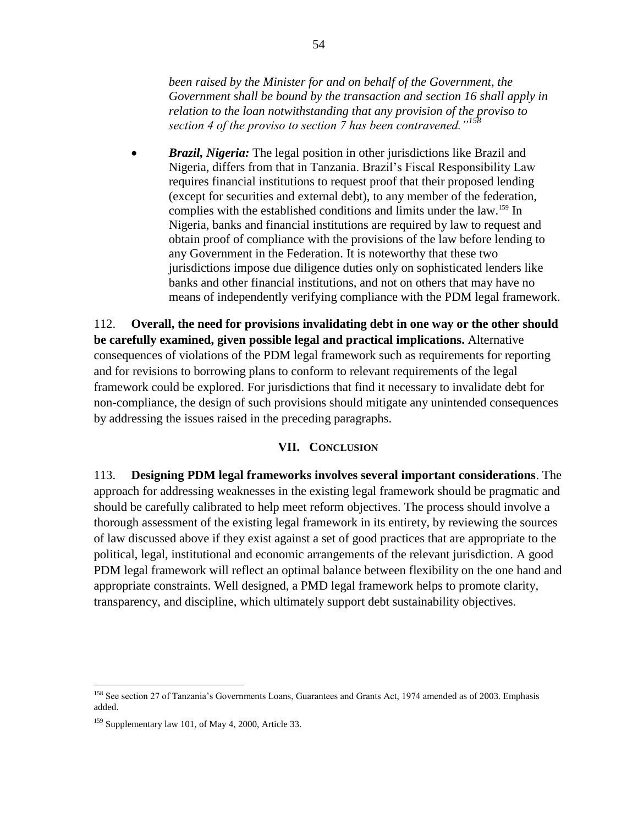*been raised by the Minister for and on behalf of the Government, the Government shall be bound by the transaction and section 16 shall apply in relation to the loan notwithstanding that any provision of the proviso to section 4 of the proviso to section 7 has been contravened."<sup>158</sup>*

 *Brazil, Nigeria:* The legal position in other jurisdictions like Brazil and Nigeria, differs from that in Tanzania. Brazil's Fiscal Responsibility Law requires financial institutions to request proof that their proposed lending (except for securities and external debt), to any member of the federation, complies with the established conditions and limits under the law.<sup>159</sup> In Nigeria, banks and financial institutions are required by law to request and obtain proof of compliance with the provisions of the law before lending to any Government in the Federation. It is noteworthy that these two jurisdictions impose due diligence duties only on sophisticated lenders like banks and other financial institutions, and not on others that may have no means of independently verifying compliance with the PDM legal framework.

112. **Overall, the need for provisions invalidating debt in one way or the other should be carefully examined, given possible legal and practical implications.** Alternative consequences of violations of the PDM legal framework such as requirements for reporting and for revisions to borrowing plans to conform to relevant requirements of the legal framework could be explored. For jurisdictions that find it necessary to invalidate debt for non-compliance, the design of such provisions should mitigate any unintended consequences by addressing the issues raised in the preceding paragraphs.

## **VII. CONCLUSION**

113. **Designing PDM legal frameworks involves several important considerations**. The approach for addressing weaknesses in the existing legal framework should be pragmatic and should be carefully calibrated to help meet reform objectives. The process should involve a thorough assessment of the existing legal framework in its entirety, by reviewing the sources of law discussed above if they exist against a set of good practices that are appropriate to the political, legal, institutional and economic arrangements of the relevant jurisdiction. A good PDM legal framework will reflect an optimal balance between flexibility on the one hand and appropriate constraints. Well designed, a PMD legal framework helps to promote clarity, transparency, and discipline, which ultimately support debt sustainability objectives.

<sup>&</sup>lt;sup>158</sup> See section 27 of Tanzania's Governments Loans, Guarantees and Grants Act, 1974 amended as of 2003. Emphasis added.

<sup>159</sup> Supplementary law 101, of May 4, 2000, Article 33.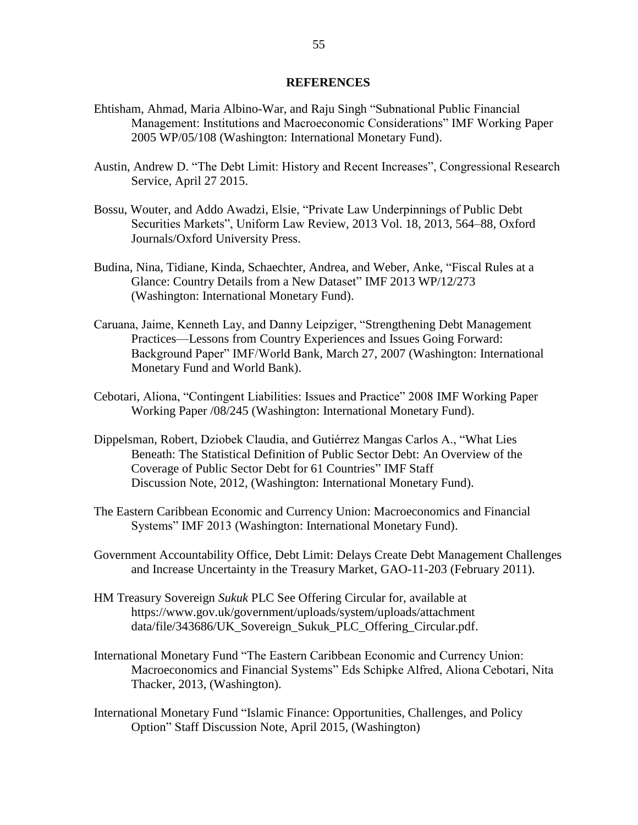#### **REFERENCES**

- Ehtisham, Ahmad, Maria Albino-War, and Raju Singh "Subnational Public Financial Management: Institutions and Macroeconomic Considerations" IMF Working Paper 2005 WP/05/108 (Washington: International Monetary Fund).
- Austin, Andrew D. "The Debt Limit: History and Recent Increases", Congressional Research Service, April 27 2015.
- Bossu, Wouter, and Addo Awadzi, Elsie, "Private Law Underpinnings of Public Debt Securities Markets", Uniform Law Review, 2013 Vol. 18, 2013, 564–88, Oxford Journals/Oxford University Press.
- Budina, Nina, Tidiane, Kinda, Schaechter, Andrea, and Weber, Anke, "Fiscal Rules at a Glance: Country Details from a New Dataset" IMF 2013 WP/12/273 (Washington: International Monetary Fund).
- Caruana, Jaime, Kenneth Lay, and Danny Leipziger, "Strengthening Debt Management Practices—Lessons from Country Experiences and Issues Going Forward: Background Paper" IMF/World Bank, March 27, 2007 (Washington: International Monetary Fund and World Bank).
- Cebotari, Aliona, "Contingent Liabilities: Issues and Practice" 2008 IMF Working Paper Working Paper /08/245 (Washington: International Monetary Fund).
- Dippelsman, Robert, Dziobek Claudia, and Gutiérrez Mangas Carlos A., "What Lies Beneath: The Statistical Definition of Public Sector Debt: An Overview of the Coverage of Public Sector Debt for 61 Countries" IMF Staff Discussion Note, 2012, (Washington: International Monetary Fund).
- The Eastern Caribbean Economic and Currency Union: Macroeconomics and Financial Systems" IMF 2013 (Washington: International Monetary Fund).
- Government Accountability Office, Debt Limit: Delays Create Debt Management Challenges and Increase Uncertainty in the Treasury Market, GAO-11-203 (February 2011).
- HM Treasury Sovereign *Sukuk* PLC See Offering Circular for, available at https://www.gov.uk/government/uploads/system/uploads/attachment data/file/343686/UK\_Sovereign\_Sukuk\_PLC\_Offering\_Circular.pdf.
- International Monetary Fund "The Eastern Caribbean Economic and Currency Union: Macroeconomics and Financial Systems" Eds Schipke Alfred, Aliona Cebotari, Nita Thacker, 2013, (Washington).
- International Monetary Fund "Islamic Finance: Opportunities, Challenges, and Policy Option" Staff Discussion Note, April 2015, (Washington)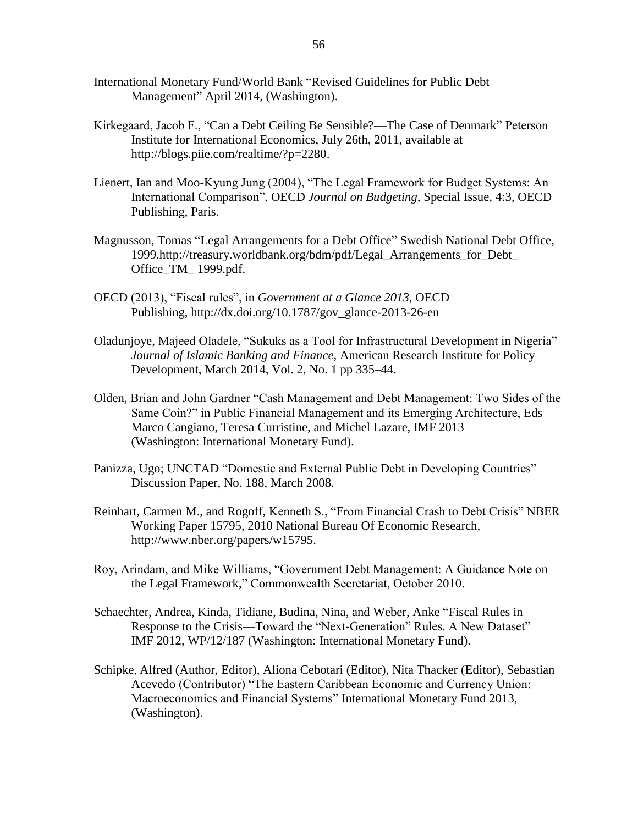- International Monetary Fund/World Bank "Revised Guidelines for Public Debt Management" April 2014, (Washington).
- Kirkegaard, Jacob F., ["Can a Debt Ceiling Be Sensible?—The Case of Denmark"](http://blogs.piie.com/realtime/?p=2280) Peterson Institute for International Economics, July 26th, 2011, available at http://blogs.piie.com/realtime/?p=2280.
- Lienert, Ian and Moo-Kyung Jung (2004), "The Legal Framework for Budget Systems: An International Comparison", OECD *Journal on Budgeting*, Special Issue, 4:3, OECD Publishing, Paris.
- Magnusson, Tomas "Legal Arrangements for a Debt Office" Swedish National Debt Office, 1999.http://treasury.worldbank.org/bdm/pdf/Legal\_Arrangements\_for\_Debt\_ Office\_TM\_ 1999.pdf.
- OECD (2013), "Fiscal rules", in *Government at a Glance 2013*, OECD Publishing, http://dx.doi.org/10.1787/gov\_glance-2013-26-en
- Oladunjoye, Majeed Oladele, "Sukuks as a Tool for Infrastructural Development in Nigeria" *Journal of Islamic Banking and Finance*, American Research Institute for Policy Development, March 2014, Vol. 2, No. 1 pp 335–44.
- Olden, Brian and John Gardner "Cash Management and Debt Management: Two Sides of the Same Coin?" in Public Financial Management and its Emerging Architecture, Eds Marco Cangiano, Teresa Curristine, and Michel Lazare, IMF 2013 (Washington: International Monetary Fund).
- Panizza, Ugo; UNCTAD "Domestic and External Public Debt in Developing Countries" Discussion Paper, No. 188, March 2008.
- Reinhart, Carmen M., and Rogoff, Kenneth S., "From Financial Crash to Debt Crisis" NBER Working Paper 15795, 2010 National Bureau Of Economic Research, http://www.nber.org/papers/w15795.
- Roy, Arindam, and Mike Williams, "Government Debt Management: A Guidance Note on the Legal Framework," Commonwealth Secretariat, October 2010.
- Schaechter, Andrea, Kinda, Tidiane, Budina, Nina, and Weber, Anke "Fiscal Rules in Response to the Crisis—Toward the "Next-Generation" Rules. A New Dataset" IMF 2012, WP/12/187 (Washington: International Monetary Fund).
- [Schipke](http://www.amazon.com/s/ref=ntt_athr_dp_sr_1/178-1992301-8340535?_encoding=UTF8&field-author=Alfred%20Schipke&search-alias=digital-text&sort=relevancerank), Alfred (Author, Editor), [Aliona Cebotari](http://www.amazon.com/s/ref=ntt_athr_dp_sr_2/178-1992301-8340535?_encoding=UTF8&field-author=Aliona%20Cebotari&search-alias=digital-text&sort=relevancerank) (Editor), [Nita Thacker](http://www.amazon.com/s/ref=ntt_athr_dp_sr_3/178-1992301-8340535?_encoding=UTF8&field-author=Nita%20Thacker&search-alias=digital-text&sort=relevancerank) (Editor), [Sebastian](http://www.amazon.com/s/ref=ntt_athr_dp_sr_5/178-1992301-8340535?_encoding=UTF8&field-author=Sebastian%20Acevedo&search-alias=digital-text&sort=relevancerank)  [Acevedo](http://www.amazon.com/s/ref=ntt_athr_dp_sr_5/178-1992301-8340535?_encoding=UTF8&field-author=Sebastian%20Acevedo&search-alias=digital-text&sort=relevancerank) (Contributor) "The Eastern Caribbean Economic and Currency Union: Macroeconomics and Financial Systems" International Monetary Fund 2013, (Washington).